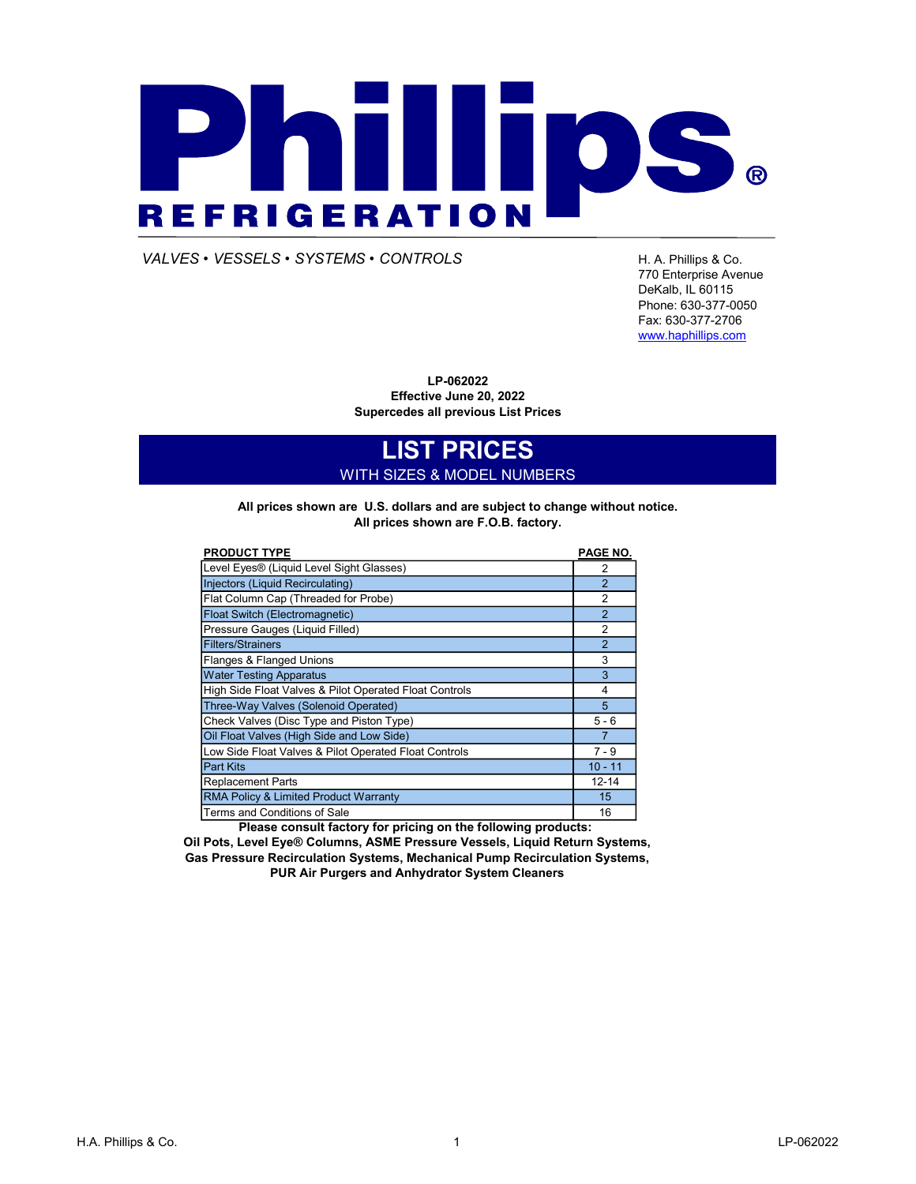# PIATILID. **® REFRIGERATION**

VALVES • VESSELS • SYSTEMS • CONTROLS FRAMILLED FOR A Phillips & Co.

770 Enterprise Avenue DeKalb, IL 60115 Phone: 630-377-0050 Fax: 630-377-2706 www.haphillips.com

LP-062022 Effective June 20, 2022 Supercedes all previous List Prices

# LIST PRICES WITH SIZES & MODEL NUMBERS

All prices shown are F.O.B. factory. All prices shown are U.S. dollars and are subject to change without notice.

| <b>PRODUCT TYPE</b>                                    | PAGE NO.       |
|--------------------------------------------------------|----------------|
| Level Eyes® (Liquid Level Sight Glasses)               | 2              |
| Injectors (Liquid Recirculating)                       | $\mathcal{P}$  |
| Flat Column Cap (Threaded for Probe)                   | $\overline{2}$ |
| Float Switch (Electromagnetic)                         | $\mathcal{P}$  |
| Pressure Gauges (Liquid Filled)                        | $\overline{2}$ |
| <b>Filters/Strainers</b>                               | $\overline{2}$ |
| Flanges & Flanged Unions                               | 3              |
| <b>Water Testing Apparatus</b>                         | 3              |
| High Side Float Valves & Pilot Operated Float Controls | 4              |
| Three-Way Valves (Solenoid Operated)                   | 5              |
| Check Valves (Disc Type and Piston Type)               | $5 - 6$        |
| Oil Float Valves (High Side and Low Side)              | $\overline{7}$ |
| Low Side Float Valves & Pilot Operated Float Controls  | $7 - 9$        |
| <b>Part Kits</b>                                       | $10 - 11$      |
| <b>Replacement Parts</b>                               | $12 - 14$      |
| RMA Policy & Limited Product Warranty                  | 15             |
| Terms and Conditions of Sale                           | 16             |

Please consult factory for pricing on the following products:

Oil Pots, Level Eye® Columns, ASME Pressure Vessels, Liquid Return Systems, Gas Pressure Recirculation Systems, Mechanical Pump Recirculation Systems, PUR Air Purgers and Anhydrator System Cleaners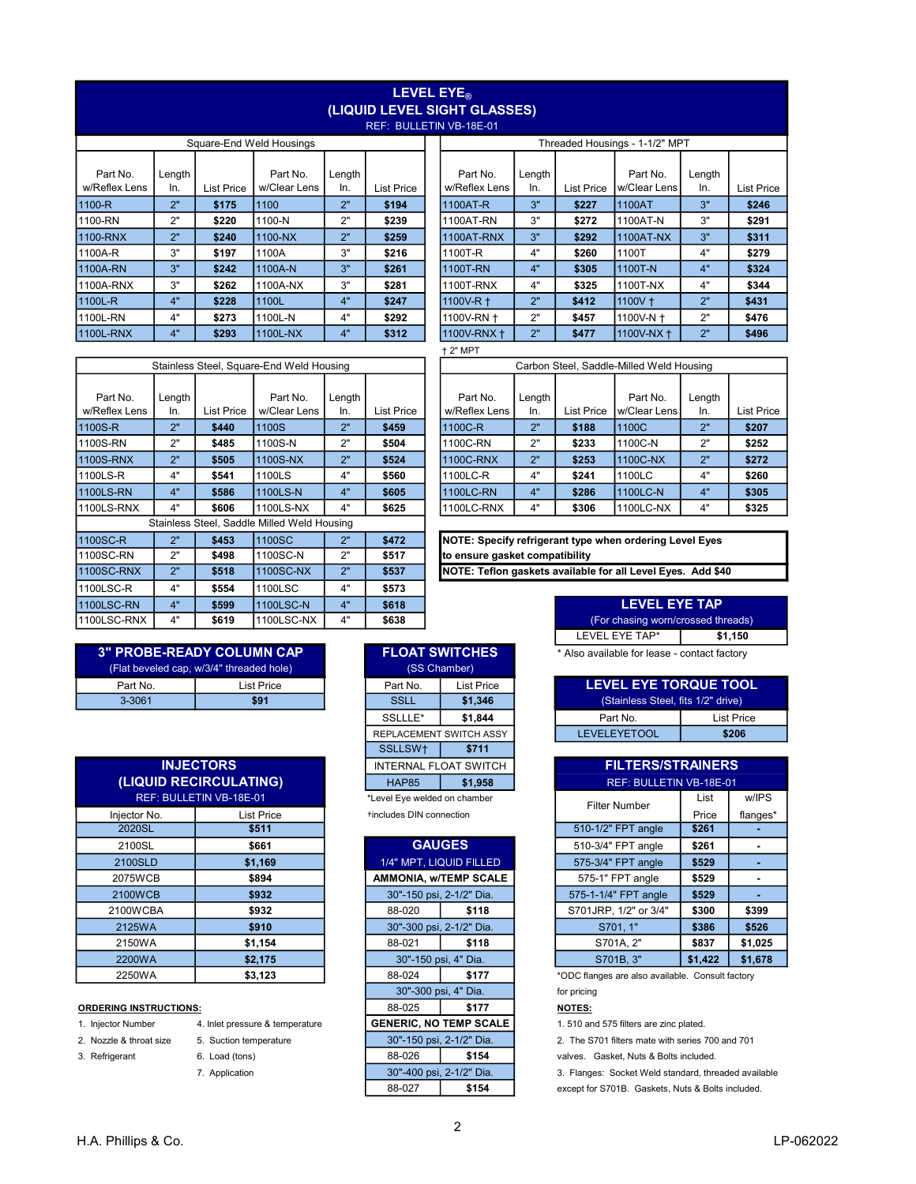### LEVEL EYE<sub>®</sub> (LIQUID LEVEL SIGHT GLASSES) REF: BULLETIN

|               | Square-End Weld Housings |                   |              |        |                   |  |               | Threaded Housings - 1-1/2" MPT |            |              |        |           |  |
|---------------|--------------------------|-------------------|--------------|--------|-------------------|--|---------------|--------------------------------|------------|--------------|--------|-----------|--|
| Part No.      | Length                   |                   | Part No.     | Length |                   |  | Part No.      | Length                         |            | Part No.     | Length |           |  |
| w/Reflex Lens | In.                      | <b>List Price</b> | w/Clear Lens | In.    | <b>List Price</b> |  | w/Reflex Lens | In.                            | List Price | w/Clear Lens | In.    | List Prio |  |
| 1100-R        | 2"                       | \$175             | 1100         | 2"     | \$194             |  | 1100AT-R      | 3"                             | \$227      | 1100AT       | 3"     | \$246     |  |
| 1100-RN       | 2"                       | \$220             | 1100-N       | 2"     | \$239             |  | 1100AT-RN     | 3"                             | \$272      | 1100AT-N     | 3"     | \$291     |  |
| 1100-RNX      | 2"                       | \$240             | 1100-NX      | 2"     | \$259             |  | 1100AT-RNX    | 3"                             | \$292      | 1100AT-NX    | 3"     | \$311     |  |
| 1100A-R       | 3"                       | \$197             | 1100A        | 3"     | \$216             |  | 1100T-R       | 4"                             | \$260      | 1100T        | 4"     | \$279     |  |
| 1100A-RN      | 3"                       | \$242             | 1100A-N      | 3"     | \$261             |  | 1100T-RN      | 4"                             | \$305      | 1100T-N      | 4"     | \$324     |  |
| 1100A-RNX     | 3"                       | \$262             | 1100A-NX     | 3"     | \$281             |  | 1100T-RNX     | 4"                             | \$325      | 1100T-NX     | 4"     | \$344     |  |
| 1100L-R       | 4"                       | \$228             | 1100L        | 4"     | \$247             |  | 1100V-R +     | 2"                             | \$412      | $1100V +$    | 2"     | \$431     |  |
| 1100L-RN      | 4"                       | \$273             | 1100L-N      | 4"     | \$292             |  | 1100V-RN +    | 2"                             | \$457      | 1100V-N +    | 2"     | \$476     |  |
| 1100L-RNX     | 4"                       | \$293             | 1100L-NX     | 4"     | \$312             |  | 1100V-RNX +   | 2"                             | \$477      | 1100V-NX +   | 2"     | \$496     |  |

|                           | Stainless Steel, Square-End Weld Housing |            |                                             |               |                   |                                              |                                                             |               |            | Carbon Steel, Saddle-Milled Weld Housing |               |          |
|---------------------------|------------------------------------------|------------|---------------------------------------------|---------------|-------------------|----------------------------------------------|-------------------------------------------------------------|---------------|------------|------------------------------------------|---------------|----------|
| Part No.<br>w/Reflex Lens | Length<br>In.                            | List Price | Part No.<br>w/Clear Lens                    | Length<br>In. | <b>List Price</b> |                                              | Part No.<br>w/Reflex Lens                                   | Length<br>In. | List Price | Part No.<br>w/Clear Lens                 | Length<br>In. | List Pri |
| 1100S-R                   | 2"                                       | \$440      | 1100S                                       | 2"            | \$459             |                                              | 1100C-R                                                     | 2"            | \$188      | 1100C                                    | 2"            | \$207    |
| 1100S-RN                  | 2"                                       | \$485      | 1100S-N                                     | 2"            | \$504             |                                              | 1100C-RN                                                    | 2"            | \$233      | 1100C-N                                  | 2"            | \$252    |
| 1100S-RNX                 | 2"                                       | \$505      | 1100S-NX                                    | 2"            | \$524             |                                              | 1100C-RNX                                                   | 2"            | \$253      | 1100C-NX                                 | 2"            | \$272    |
| 1100LS-R                  | 4"                                       | \$541      | 1100LS                                      | 4"            | \$560             |                                              | 1100LC-R                                                    | 4"            | \$241      | 1100LC                                   | 4"            | \$260    |
| 1100LS-RN                 | 4"                                       | \$586      | 1100LS-N                                    | 4"            | \$605             |                                              | 1100LC-RN                                                   | 4"            | \$286      | 1100LC-N                                 | 4"            | \$305    |
| 1100LS-RNX                | 4"                                       | \$606      | 1100LS-NX                                   | 4"            | \$625             | 4"<br>4"<br>1100LC-RNX<br>\$306<br>1100LC-NX |                                                             |               |            |                                          | \$325         |          |
|                           |                                          |            | Stainless Steel, Saddle Milled Weld Housing |               |                   |                                              |                                                             |               |            |                                          |               |          |
| 1100SC-R                  | 2"                                       | \$453      | 1100SC                                      | 2"            | \$472             |                                              | NOTE: Specify refrigerant type when ordering Level Eyes     |               |            |                                          |               |          |
| 1100SC-RN                 | 2"                                       | \$498      | 1100SC-N                                    | 2"            | \$517             |                                              | to ensure gasket compatibility                              |               |            |                                          |               |          |
| 1100SC-RNX                | 2"                                       | \$518      | 1100SC-NX                                   | 2"            | \$537             |                                              | NOTE: Teflon gaskets available for all Level Eyes. Add \$40 |               |            |                                          |               |          |
| 1100LSC-R                 | 4"                                       | \$554      | 1100LSC                                     | 4"            | \$573             |                                              |                                                             |               |            |                                          |               |          |
| 1100LSC-RN                | 4"                                       | \$599      | 1100LSC-N                                   | 4"            | \$618             |                                              |                                                             |               |            | <b>LEVEL EYE TAP</b>                     |               |          |
| 1100LSC-RNX               | 4"                                       | \$619      | 1100LSC-NX                                  | 4"            | \$638             |                                              |                                                             |               |            | (For chasing worn/crossed threads)       |               |          |

| <b>3" PROBE-READY COLUMN CAP</b>         |            |  |             | <b>FLOAT SWITCHES</b> | * Also available for lease - contact factor |  |
|------------------------------------------|------------|--|-------------|-----------------------|---------------------------------------------|--|
| (Flat beveled cap, w/3/4" threaded hole) |            |  |             | (SS Chamber)          |                                             |  |
| Part No.                                 | List Price |  | Part No.    | List Price            | LEVEL EYE TORQUE TO                         |  |
| 3-3061                                   | \$91       |  | <b>SSLL</b> | \$1.346               | (Stainless Steel, fits 1/2" drive)          |  |

|                         | <b>INJECTORS</b>       |  |                                   | <b>INTERNAL FLOAT SWITCH</b> |                    | <b>FILTERS/STRAINERS</b>                     |       |       |  |
|-------------------------|------------------------|--|-----------------------------------|------------------------------|--------------------|----------------------------------------------|-------|-------|--|
|                         | (LIQUID RECIRCULATING) |  | <b>HAP85</b><br>\$1,958           |                              |                    | REF: BULLETIN VB-18E-01                      |       |       |  |
| REF: BULLETIN VB-18E-01 |                        |  | *Level Eye welded on chamber      |                              |                    | <b>Filter Number</b>                         | List  |       |  |
| Injector No.            | <b>List Price</b>      |  | tincludes DIN connection          |                              |                    |                                              |       | Price |  |
| 2020SL                  | \$511                  |  |                                   |                              |                    | 510-1/2" FPT angle                           | \$261 |       |  |
| 2100SL                  | \$661                  |  |                                   | <b>GAUGES</b>                | 510-3/4" FPT angle | \$261                                        |       |       |  |
| 2100SLD                 | \$1,169                |  | 1/4" MPT, LIQUID FILLED           |                              |                    | 575-3/4" FPT angle                           | \$529 |       |  |
| 2075WCB                 | \$894                  |  |                                   | <b>AMMONIA, w/TEMP SCALE</b> |                    | 575-1" FPT angle                             | \$529 |       |  |
| 2100WCB                 | \$932                  |  |                                   | 30"-150 psi, 2-1/2" Dia.     |                    | 575-1-1/4" FPT angle                         | \$529 |       |  |
| 2100WCBA                | \$932                  |  | 88-020                            | \$118                        |                    | S701JRP, 1/2" or 3/4"                        | \$300 |       |  |
| 2125WA                  | \$910                  |  |                                   | 30"-300 psi, 2-1/2" Dia.     |                    | S701.1"                                      | \$386 |       |  |
| 2150WA                  | \$1,154                |  | 88-021                            | \$118                        | S701A, 2"          |                                              | \$837 |       |  |
| 2200WA                  | \$2,175                |  | S701B. 3"<br>30"-150 psi, 4" Dia. |                              |                    | \$1,422                                      |       |       |  |
| 2250WA                  | \$3,123                |  | 88-024                            | \$177                        |                    | *ODC flanges are also available. Consult fac |       |       |  |
|                         |                        |  |                                   |                              |                    |                                              |       |       |  |

- 
- 
- 
- 

| <b>FLOAT SWITCHES</b><br>(SS Chamber) |                         |  |  |  |  |  |  |  |  |  |  |
|---------------------------------------|-------------------------|--|--|--|--|--|--|--|--|--|--|
| <b>List Price</b><br>Part No.         |                         |  |  |  |  |  |  |  |  |  |  |
| \$1,346<br><b>SSLL</b>                |                         |  |  |  |  |  |  |  |  |  |  |
| \$1,844<br>SSLLLE*                    |                         |  |  |  |  |  |  |  |  |  |  |
|                                       | REPLACEMENT SWITCH ASSY |  |  |  |  |  |  |  |  |  |  |
| SSLLSW <sup>+</sup>                   | \$711                   |  |  |  |  |  |  |  |  |  |  |
| INTERNAL FLOAT SWITCH                 |                         |  |  |  |  |  |  |  |  |  |  |
| <b>HAP85</b>                          | \$1.958                 |  |  |  |  |  |  |  |  |  |  |
| I evel Fye welded on chamber          |                         |  |  |  |  |  |  |  |  |  |  |

| 2100SL                        | \$661                           |        | <b>GAUGES</b>                 |  | 510-3/4" FPT angle                       | \$261   |
|-------------------------------|---------------------------------|--------|-------------------------------|--|------------------------------------------|---------|
| 2100SLD                       | \$1,169                         |        | 1/4" MPT, LIQUID FILLED       |  | 575-3/4" FPT angle                       | \$529   |
| 2075WCB                       | \$894                           |        | AMMONIA, w/TEMP SCALE         |  | 575-1" FPT angle                         | \$529   |
| 2100WCB                       | \$932                           |        | 30"-150 psi, 2-1/2" Dia.      |  | 575-1-1/4" FPT angle                     | \$529   |
| 2100WCBA                      | \$932                           | 88-020 | \$118                         |  | S701JRP, 1/2" or 3/4"                    | \$300   |
| 2125WA                        | \$910                           |        | 30"-300 psi, 2-1/2" Dia.      |  | S701, 1"                                 | \$386   |
| 2150WA                        | \$1,154                         | 88-021 | \$118                         |  | S701A, 2"                                | \$837   |
| 2200WA                        | \$2,175                         |        | 30"-150 psi, 4" Dia.          |  | S701B.3"                                 | \$1,422 |
| 2250WA                        | \$3,123                         | 88-024 | \$177                         |  | *ODC flanges are also available. Consu   |         |
|                               |                                 |        | 30"-300 psi, 4" Dia.          |  | for pricing                              |         |
| <b>ORDERING INSTRUCTIONS:</b> |                                 | 88-025 | \$177                         |  | <b>NOTES:</b>                            |         |
| 1. Injector Number            | 4. Inlet pressure & temperature |        | <b>GENERIC, NO TEMP SCALE</b> |  | 1.510 and 575 filters are zinc plated.   |         |
| 2. Nozzle & throat size       | 5. Suction temperature          |        | 30"-150 psi, 2-1/2" Dia.      |  | 2. The S701 filters mate with series 700 |         |
| 3. Refrigerant                | 6. Load (tons)                  | 88-026 | \$154                         |  | valves. Gasket, Nuts & Bolts included.   |         |
|                               | 7. Application                  |        | 30"-400 psi, 2-1/2" Dia.      |  | 3. Flanges: Socket Weld standard, thre   |         |
|                               |                                 | 88-027 | \$154                         |  | except for S701B. Gaskets, Nuts & Bolt   |         |
|                               |                                 |        |                               |  |                                          |         |

| INLI. DULLETIN VD-10L-01 |                          |               |                   |  |                                |               |                   |                          |               |                   |  |  |  |
|--------------------------|--------------------------|---------------|-------------------|--|--------------------------------|---------------|-------------------|--------------------------|---------------|-------------------|--|--|--|
|                          | Square-End Weld Housings |               |                   |  | Threaded Housings - 1-1/2" MPT |               |                   |                          |               |                   |  |  |  |
| <b>List Price</b>        | Part No.<br>w/Clear Lens | Length<br>In. | <b>List Price</b> |  | Part No.<br>w/Reflex Lens      | Length<br>In. | <b>List Price</b> | Part No.<br>w/Clear Lens | Length<br>In. | <b>List Price</b> |  |  |  |
| \$175                    | 1100                     | 2"            | \$194             |  | 1100AT-R                       | 3"            | \$227             | 1100AT                   | 3"            | \$246             |  |  |  |
| \$220                    | 1100-N                   | 2"            | \$239             |  | 1100AT-RN                      | 3"            | \$272             | 1100AT-N                 | 3"            | \$291             |  |  |  |
| \$240                    | 1100-NX                  | 2"            | \$259             |  | 1100AT-RNX                     | 3"            | \$292             | 1100AT-NX                | 3"            | \$311             |  |  |  |
| \$197                    | 1100A                    | 3"            | \$216             |  | 1100T-R                        | 4"            | \$260             | 1100T                    | 4"            | \$279             |  |  |  |
| \$242                    | 1100A-N                  | 3"            | \$261             |  | 1100T-RN                       | 4"            | \$305             | 1100T-N                  | 4"            | \$324             |  |  |  |
| \$262                    | 1100A-NX                 | 3"            | \$281             |  | 1100T-RNX                      | 4"            | \$325             | 1100T-NX                 | 4"            | \$344             |  |  |  |
| \$228                    | 1100L                    | 4"            | \$247             |  | 1100V-R +                      | 2"            | \$412             | 1100V +                  | 2"            | \$431             |  |  |  |
| \$273                    | 1100L-N                  | 4"            | \$292             |  | 1100V-RN +                     | 2"            | \$457             | 1100V-N +                | 2"            | \$476             |  |  |  |
| \$293                    | 1100L-NX                 | 4"            | \$312             |  | 1100V-RNX +                    | 2"            | \$477             | 1100V-NX +               | 2"            | \$496             |  |  |  |

† 2" MPT

|               | Stainless Steel, Square-End Weld Housing |                          | Carbon Steel, Saddle-Milled Weld Housing |            |                           |               |                   |                          |               |            |
|---------------|------------------------------------------|--------------------------|------------------------------------------|------------|---------------------------|---------------|-------------------|--------------------------|---------------|------------|
| Length<br>In. | <b>List Price</b>                        | Part No.<br>w/Clear Lens | Length<br>In.                            | List Price | Part No.<br>w/Reflex Lens | Length<br>In. | <b>List Price</b> | Part No.<br>w/Clear Lens | Length<br>In. | List Price |
| 2"            | \$440                                    | 1100S                    | 2"                                       | \$459      | 1100C-R                   | 2"            | \$188             | 1100C                    | 2"            | \$207      |
| 2"            | \$485                                    | 1100S-N                  | 2"                                       | \$504      | 1100C-RN                  | 2"            | \$233             | 1100C-N                  | 2"            | \$252      |
| 2"            | \$505                                    | 1100S-NX                 | 2"                                       | \$524      | 1100C-RNX                 | 2"            | \$253             | 1100C-NX                 | 2"            | \$272      |
| 4"            | \$541                                    | 1100LS                   | 4"                                       | \$560      | 1100LC-R                  | 4"            | \$241             | 1100LC                   | 4"            | \$260      |
| 4"            | \$586                                    | 1100LS-N                 | 4"                                       | \$605      | 1100LC-RN                 | 4"            | \$286             | 1100LC-N                 | 4"            | \$305      |
| 4"            | \$606                                    | 1100LS-NX                | 4"                                       | \$625      | 1100LC-RNX                | 4"            | \$306             | 1100LC-NX                | 4"            | \$325      |

| <b>LEVEL EYE TAP</b>               |         |  |  |  |  |  |  |  |
|------------------------------------|---------|--|--|--|--|--|--|--|
| (For chasing worn/crossed threads) |         |  |  |  |  |  |  |  |
| LEVEL EYE TAP*                     | \$1.150 |  |  |  |  |  |  |  |
|                                    |         |  |  |  |  |  |  |  |

| LEVEL EYE TORQUE TOOL              | List Price                     | Part No.    | List Price | Part No. |
|------------------------------------|--------------------------------|-------------|------------|----------|
| (Stainless Steel, fits 1/2" drive) | \$1,346                        | <b>SSLL</b> | \$91       | 3-3061   |
| Part No.<br>List Price             | \$1.844                        | SSLLLE*     |            |          |
| \$206<br><b>LEVELEYETOOL</b>       | <b>REPLACEMENT SWITCH ASSY</b> |             |            |          |

|                           | <b>INJECTORS</b>  |  |                              | <b>INTERNAL FLOAT SWITCH</b> | <b>FILTERS/STRAINERS</b> |         |          |  |
|---------------------------|-------------------|--|------------------------------|------------------------------|--------------------------|---------|----------|--|
| <b>D RECIRCULATING)</b>   |                   |  | <b>HAP85</b><br>\$1,958      |                              | REF: BULLETIN VB-18E-01  |         |          |  |
| <b>BULLETIN VB-18E-01</b> |                   |  | *Level Eye welded on chamber |                              | <b>Filter Number</b>     | List    | w/IPS    |  |
|                           | <b>List Price</b> |  | tincludes DIN connection     |                              |                          | Price   | flanges* |  |
|                           | \$511             |  |                              |                              | 510-1/2" FPT angle       | \$261   |          |  |
|                           | \$661             |  |                              | <b>GAUGES</b>                | 510-3/4" FPT angle       | \$261   |          |  |
|                           | \$1,169           |  | 1/4" MPT, LIQUID FILLED      |                              | 575-3/4" FPT angle       | \$529   |          |  |
|                           | \$894             |  |                              | AMMONIA, w/TEMP SCALE        | 575-1" FPT angle         | \$529   |          |  |
|                           | \$932             |  |                              | 30"-150 psi, 2-1/2" Dia.     | 575-1-1/4" FPT angle     | \$529   |          |  |
|                           | \$932             |  | 88-020                       | \$118                        | S701JRP, 1/2" or 3/4"    | \$300   | \$399    |  |
|                           | \$910             |  |                              | 30"-300 psi, 2-1/2" Dia.     | S701, 1"                 | \$386   | \$526    |  |
|                           | \$1,154           |  | 88-021<br>\$118              |                              | S701A, 2"                | \$837   | \$1,025  |  |
|                           | \$2,175           |  |                              | 30"-150 psi, 4" Dia.         | S701B.3"                 | \$1,422 | \$1,678  |  |

\$177 \*ODC flanges are also available. Consult factory

2. Nozzle & throat size 5. Suction temperature 2. The S701 filters mate with series 700 and 701

7. Application **30<sup>"</sup>** 30<sup>"</sup>-400 psi, 2-1/2" Dia. 3. Flanges: Socket Weld standard, threaded available

except for S701B. Gaskets, Nuts & Bolts included.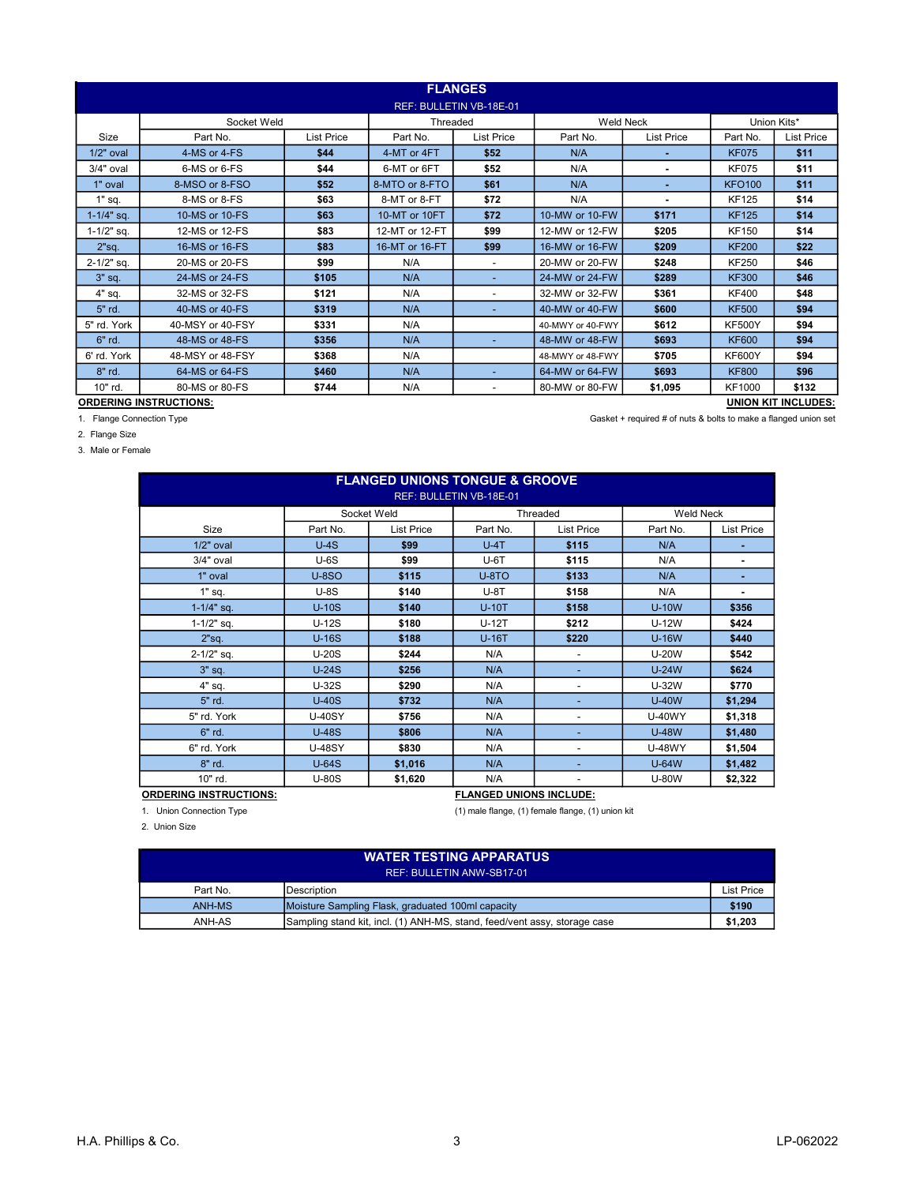|                         | <b>FLANGES</b>                |                   |                |                          |                  |                |               |                            |  |  |
|-------------------------|-------------------------------|-------------------|----------------|--------------------------|------------------|----------------|---------------|----------------------------|--|--|
| REF: BULLETIN VB-18E-01 |                               |                   |                |                          |                  |                |               |                            |  |  |
|                         | Socket Weld                   |                   | Threaded       |                          | <b>Weld Neck</b> |                | Union Kits*   |                            |  |  |
| Size                    | Part No.                      | <b>List Price</b> | Part No.       | <b>List Price</b>        | Part No.         | List Price     | Part No.      | <b>List Price</b>          |  |  |
| $1/2"$ oval             | 4-MS or 4-FS                  | \$44              | 4-MT or 4FT    | \$52                     | N/A              |                | <b>KF075</b>  | \$11                       |  |  |
| 3/4" oval               | 6-MS or 6-FS                  | \$44              | 6-MT or 6FT    | \$52                     | N/A              | $\blacksquare$ | <b>KF075</b>  | \$11                       |  |  |
| 1" oval                 | 8-MSO or 8-FSO                | \$52              | 8-MTO or 8-FTO | \$61                     | N/A              | ٠              | <b>KFO100</b> | \$11                       |  |  |
| $1"$ sq.                | 8-MS or 8-FS                  | \$63              | 8-MT or 8-FT   | \$72                     | N/A              |                | <b>KF125</b>  | \$14                       |  |  |
| $1 - 1/4$ " sq.         | 10-MS or 10-FS                | \$63              | 10-MT or 10FT  | \$72                     | 10-MW or 10-FW   | \$171          | <b>KF125</b>  | \$14                       |  |  |
| $1 - 1/2"$ sq.          | 12-MS or 12-FS                | \$83              | 12-MT or 12-FT | \$99                     | 12-MW or 12-FW   | \$205          | <b>KF150</b>  | \$14                       |  |  |
| 2"sq.                   | 16-MS or 16-FS                | \$83              | 16-MT or 16-FT | \$99                     | 16-MW or 16-FW   | \$209          | <b>KF200</b>  | \$22                       |  |  |
| $2 - 1/2"$ sq.          | 20-MS or 20-FS                | \$99              | N/A            | $\overline{\phantom{a}}$ | 20-MW or 20-FW   | \$248          | <b>KF250</b>  | \$46                       |  |  |
| $3"$ sq.                | 24-MS or 24-FS                | \$105             | N/A            | $\overline{\phantom{0}}$ | 24-MW or 24-FW   | \$289          | <b>KF300</b>  | \$46                       |  |  |
| 4" sq.                  | 32-MS or 32-FS                | \$121             | N/A            | $\overline{\phantom{a}}$ | 32-MW or 32-FW   | \$361          | <b>KF400</b>  | \$48                       |  |  |
| 5" rd.                  | 40-MS or 40-FS                | \$319             | N/A            | $\overline{\phantom{0}}$ | 40-MW or 40-FW   | \$600          | <b>KF500</b>  | \$94                       |  |  |
| 5" rd. York             | 40-MSY or 40-FSY              | \$331             | N/A            |                          | 40-MWY or 40-FWY | \$612          | <b>KF500Y</b> | \$94                       |  |  |
| 6" rd.                  | 48-MS or 48-FS                | \$356             | N/A            | $\overline{\phantom{0}}$ | 48-MW or 48-FW   | \$693          | <b>KF600</b>  | \$94                       |  |  |
| 6' rd. York             | 48-MSY or 48-FSY              | \$368             | N/A            |                          | 48-MWY or 48-FWY | \$705          | <b>KF600Y</b> | \$94                       |  |  |
| 8" rd.                  | 64-MS or 64-FS                | \$460             | N/A            | $\overline{\phantom{0}}$ | 64-MW or 64-FW   | \$693          | <b>KF800</b>  | \$96                       |  |  |
| 10" rd.                 | 80-MS or 80-FS                | \$744             | N/A            | $\overline{\phantom{a}}$ | 80-MW or 80-FW   | \$1,095        | <b>KF1000</b> | \$132                      |  |  |
|                         | <b>ORDERING INSTRUCTIONS:</b> |                   |                |                          |                  |                |               | <b>UNION KIT INCLUDES:</b> |  |  |

1. Flange Connection Type Gasket + required # of nuts & bolts to make a flanged union set

2. Flange Size

3. Male or Female

| <b>FLANGED UNIONS TONGUE &amp; GROOVE</b> |                                |                   |          |                          |                  |                   |  |  |  |  |
|-------------------------------------------|--------------------------------|-------------------|----------|--------------------------|------------------|-------------------|--|--|--|--|
| REF: BULLETIN VB-18E-01                   |                                |                   |          |                          |                  |                   |  |  |  |  |
|                                           |                                | Socket Weld       |          | Threaded                 | <b>Weld Neck</b> |                   |  |  |  |  |
| Size                                      | Part No.                       | <b>List Price</b> | Part No. | <b>List Price</b>        | Part No.         | <b>List Price</b> |  |  |  |  |
| $1/2"$ oval                               | $U-4S$                         | \$99              | $U-4T$   | \$115                    | N/A              | ٠                 |  |  |  |  |
| $3/4"$ oval                               | $U-6S$                         | \$99              | $U-6T$   | \$115                    | N/A              | ٠                 |  |  |  |  |
| 1" oval                                   | <b>U-8SO</b>                   | \$115             | $U-8TO$  | \$133                    | N/A              | ٠                 |  |  |  |  |
| $1"$ sq.                                  | $U-8S$                         | \$140             | $U-8T$   | \$158                    | N/A              | ٠                 |  |  |  |  |
| $1 - 1/4$ " sq.                           | $U-10S$                        | \$140             | $U-10T$  | \$158                    | <b>U-10W</b>     | \$356             |  |  |  |  |
| $1 - 1/2"$ sq.                            | $U-12S$                        | \$180             | $U-12T$  | \$212                    | U-12W            | \$424             |  |  |  |  |
| 2"sq.                                     | $U-16S$                        | \$188             | $U-16T$  | \$220                    | <b>U-16W</b>     | \$440             |  |  |  |  |
| $2 - 1/2"$ sq.                            | $U-20S$                        | \$244             | N/A      |                          | <b>U-20W</b>     | \$542             |  |  |  |  |
| $3"$ sq.                                  | $U-24S$                        | \$256             | N/A      |                          | $U-24W$          | \$624             |  |  |  |  |
| $4"$ sq.                                  | U-32S                          | \$290             | N/A      | -                        | U-32W            | \$770             |  |  |  |  |
| 5" rd.                                    | $U-40S$                        | \$732             | N/A      | $\overline{\phantom{a}}$ | <b>U-40W</b>     | \$1,294           |  |  |  |  |
| 5" rd. York                               | <b>U-40SY</b>                  | \$756             | N/A      |                          | <b>U-40WY</b>    | \$1,318           |  |  |  |  |
| $6"$ rd.                                  | $U-48S$                        | \$806             | N/A      |                          | <b>U-48W</b>     | \$1,480           |  |  |  |  |
| 6" rd. York                               | <b>U-48SY</b>                  | \$830             | N/A      |                          | <b>U-48WY</b>    | \$1,504           |  |  |  |  |
| 8" rd.                                    | $U-64S$                        | \$1,016           | N/A      | $\overline{\phantom{a}}$ | <b>U-64W</b>     | \$1,482           |  |  |  |  |
| 10" rd.                                   | $U-80S$                        | \$1,620           | N/A      | $\overline{\phantom{a}}$ | <b>U-80W</b>     | \$2,322           |  |  |  |  |
| <b>ORDERING INSTRUCTIONS:</b>             | <b>FLANGED UNIONS INCLUDE:</b> |                   |          |                          |                  |                   |  |  |  |  |

1. Union Connection Type (1) male flange, (1) female flange, (1) union kit

2. Union Size

| <b>WATER TESTING APPARATUS</b><br>REF: BULLETIN ANW-SB17-01 |                                                                           |            |  |  |  |  |  |  |
|-------------------------------------------------------------|---------------------------------------------------------------------------|------------|--|--|--|--|--|--|
|                                                             |                                                                           |            |  |  |  |  |  |  |
| Part No.                                                    | Description                                                               | List Price |  |  |  |  |  |  |
| ANH-MS                                                      | Moisture Sampling Flask, graduated 100ml capacity                         | \$190      |  |  |  |  |  |  |
| ANH-AS                                                      | Sampling stand kit, incl. (1) ANH-MS, stand, feed/vent assy, storage case | \$1,203    |  |  |  |  |  |  |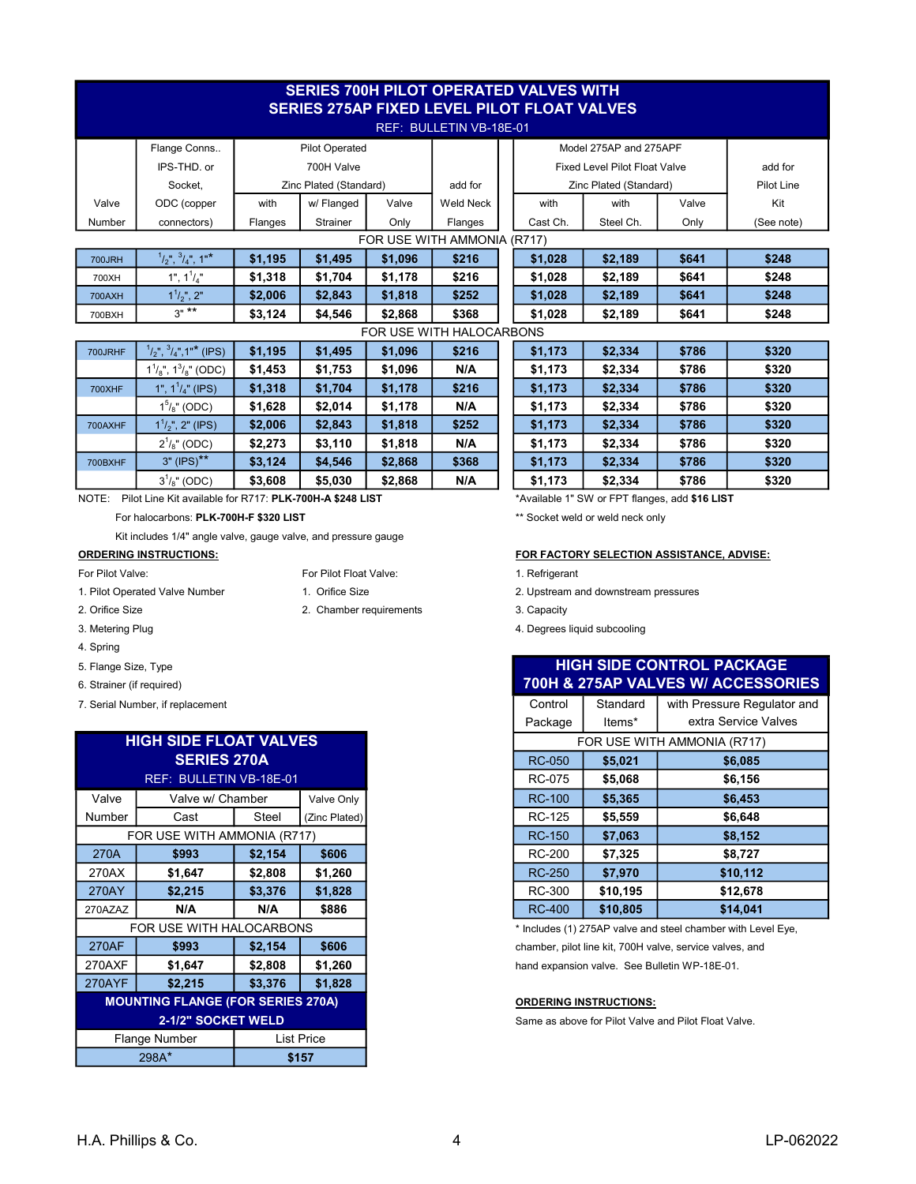|                             | <b>SERIES 700H PILOT OPERATED VALVES WITH</b><br><b>SERIES 275AP FIXED LEVEL PILOT FLOAT VALVES</b> |         |                        |         |                          |  |          |                                                |       |            |  |
|-----------------------------|-----------------------------------------------------------------------------------------------------|---------|------------------------|---------|--------------------------|--|----------|------------------------------------------------|-------|------------|--|
| REF: BULLETIN VB-18E-01     |                                                                                                     |         |                        |         |                          |  |          |                                                |       |            |  |
|                             | Flange Conns                                                                                        |         | <b>Pilot Operated</b>  |         |                          |  |          | Model 275AP and 275APF                         |       |            |  |
|                             | IPS-THD, or                                                                                         |         | 700H Valve             |         |                          |  |          | <b>Fixed Level Pilot Float Valve</b>           |       | add for    |  |
|                             | Socket.                                                                                             |         | Zinc Plated (Standard) |         | add for                  |  |          | Zinc Plated (Standard)                         |       | Pilot Line |  |
| Valve                       | ODC (copper                                                                                         | with    | w/Flanged              | Valve   | <b>Weld Neck</b>         |  | with     | with                                           | Valve | Kit        |  |
| Number                      | connectors)                                                                                         | Flanges | <b>Strainer</b>        | Only    | Flanges                  |  | Cast Ch. | Steel Ch.                                      | Only  | (See note) |  |
| FOR USE WITH AMMONIA (R717) |                                                                                                     |         |                        |         |                          |  |          |                                                |       |            |  |
| <b>700JRH</b>               | $1/2$ ", $3/4$ ", 1"*                                                                               | \$1,195 | \$1,495                | \$1,096 | \$216                    |  | \$1,028  | \$2,189                                        | \$641 | \$248      |  |
| 700XH                       | 1", 1 <sup>1</sup> /4"                                                                              | \$1,318 | \$1,704                | \$1,178 | \$216                    |  | \$1,028  | \$2,189                                        | \$641 | \$248      |  |
| <b>700AXH</b>               | $1^{1}/_{2}$ ", 2"                                                                                  | \$2,006 | \$2,843                | \$1,818 | \$252                    |  | \$1,028  | \$2,189                                        | \$641 | \$248      |  |
| 700BXH                      | $3^{n \times k}$                                                                                    | \$3,124 | \$4.546                | \$2,868 | \$368                    |  | \$1,028  | \$2,189                                        | \$641 | \$248      |  |
|                             |                                                                                                     |         |                        |         | FOR USE WITH HALOCARBONS |  |          |                                                |       |            |  |
| 700JRHF                     | $1/2$ ", $3/4$ ", 1"* (IPS)                                                                         | \$1,195 | \$1,495                | \$1,096 | \$216                    |  | \$1,173  | \$2,334                                        | \$786 | \$320      |  |
|                             | $1^{1}/_{8}$ ", $1^{3}/_{8}$ " (ODC)                                                                | \$1,453 | \$1,753                | \$1,096 | N/A                      |  | \$1,173  | \$2,334                                        | \$786 | \$320      |  |
| <b>700XHF</b>               | 1", $1^{1}/_{4}$ " (IPS)                                                                            | \$1,318 | \$1,704                | \$1,178 | \$216                    |  | \$1,173  | \$2,334                                        | \$786 | \$320      |  |
|                             | $1^{5}/_{8}$ " (ODC)                                                                                | \$1,628 | \$2,014                | \$1,178 | N/A                      |  | \$1,173  | \$2,334                                        | \$786 | \$320      |  |
| 700AXHF                     | $1^{1}/2$ ", 2" (IPS)                                                                               | \$2,006 | \$2,843                | \$1,818 | \$252                    |  | \$1,173  | \$2,334                                        | \$786 | \$320      |  |
|                             | $2^{1}/8$ " (ODC)                                                                                   | \$2,273 | \$3,110                | \$1,818 | N/A                      |  | \$1,173  | \$2,334                                        | \$786 | \$320      |  |
| 700BXHF                     | $3" (IPS)**$                                                                                        | \$3,124 | \$4,546                | \$2,868 | \$368                    |  | \$1,173  | \$2,334                                        | \$786 | \$320      |  |
|                             | $3^{1}/8$ " (ODC)                                                                                   | \$3,608 | \$5,030                | \$2,868 | N/A                      |  | \$1,173  | \$2,334                                        | \$786 | \$320      |  |
| NOTE:                       | Pilot Line Kit available for R717: PLK-700H-A \$248 LIST                                            |         |                        |         |                          |  |          | *Available 1" SW or FPT flanges, add \$16 LIST |       |            |  |

For halocarbons: PLK-700H-F \$320 LIST

Kit includes 1/4" angle valve, gauge valve, and pressure gauge

### ORDERING INSTRUCTIONS: FOR FACTORY SELECTION ASSISTANCE, ADVISE:

- For Pilot Valve: For Pilot Float Valve: 1. Refrigerant
- 1. Pilot Operated Valve Number 1. Orifice Size 2. Upstream and downstream pressures
- 
- 
- 4. Spring
- 5. Flange Size, Type
- 6. Strainer (if required)
- 7. Serial Number, if replacement

| <b>HIGH SIDE FLOAT VALVES</b> |                                          |         |               |  |
|-------------------------------|------------------------------------------|---------|---------------|--|
| <b>SERIES 270A</b>            |                                          |         |               |  |
|                               | REF: BULLETIN VB-18E-01                  |         |               |  |
| Valve                         | Valve w/ Chamber                         |         | Valve Only    |  |
| Number                        | Cast                                     | Steel   | (Zinc Plated) |  |
| FOR USE WITH AMMONIA (R717)   |                                          |         |               |  |
| 270A                          | \$993                                    | \$2,154 | \$606         |  |
| 270AX                         | \$1,647                                  | \$2,808 | \$1,260       |  |
| 270AY                         | \$2,215                                  | \$3,376 | \$1,828       |  |
| 270AZAZ                       | N/A                                      | N/A     | \$886         |  |
|                               | FOR USE WITH HALOCARBONS                 |         |               |  |
| <b>270AF</b>                  | \$993                                    | \$2,154 | \$606         |  |
| 270AXF                        | \$1,647                                  | \$2,808 | \$1,260       |  |
| <b>270AYF</b>                 | \$2,215                                  | \$3,376 | \$1,828       |  |
|                               | <b>MOUNTING FLANGE (FOR SERIES 270A)</b> |         |               |  |
| 2-1/2" SOCKET WELD            |                                          |         |               |  |
| Flange Number<br>List Price   |                                          |         |               |  |
|                               | 298A*                                    |         | \$157         |  |
|                               |                                          |         |               |  |

|  |     |     | rvi Filot Fioat valve |
|--|-----|-----|-----------------------|
|  | - - | - - |                       |

- 
- 2. Orifice Size **2. Chamber requirements** 3. Capacity
- 3. Metering Plug 1. The control of the control of the control of the control of the control of the control of the control of the control of the control of the control of the control of the control of the control of the con

\*\* Socket weld or weld neck only

| <b>HIGH SIDE CONTROL PACKAGE</b><br>700H & 275AP VALVES W/ ACCESSORIES |                             |                             |  |  |  |  |  |  |  |
|------------------------------------------------------------------------|-----------------------------|-----------------------------|--|--|--|--|--|--|--|
| Control                                                                | Standard                    | with Pressure Regulator and |  |  |  |  |  |  |  |
| Package                                                                | ltems*                      | extra Service Valves        |  |  |  |  |  |  |  |
|                                                                        | FOR USE WITH AMMONIA (R717) |                             |  |  |  |  |  |  |  |
| <b>RC-050</b>                                                          | \$5,021                     | \$6,085                     |  |  |  |  |  |  |  |
| <b>RC-075</b>                                                          | \$5,068                     | \$6,156                     |  |  |  |  |  |  |  |
| <b>RC-100</b>                                                          | \$5,365                     | \$6,453                     |  |  |  |  |  |  |  |
| <b>RC-125</b>                                                          | \$5,559                     | \$6,648                     |  |  |  |  |  |  |  |
| <b>RC-150</b>                                                          | \$7,063                     | \$8,152                     |  |  |  |  |  |  |  |
| <b>RC-200</b>                                                          | \$7,325                     | \$8,727                     |  |  |  |  |  |  |  |
| <b>RC-250</b>                                                          | \$7,970                     | \$10,112                    |  |  |  |  |  |  |  |
| <b>RC-300</b>                                                          | \$10,195                    | \$12,678                    |  |  |  |  |  |  |  |
| <b>RC-400</b>                                                          | \$10,805                    | \$14,041                    |  |  |  |  |  |  |  |

 $*$  Includes (1) 275AP valve and steel chamber with Level Eye, chamber, pilot line kit, 700H valve, service valves, and hand expansion valve. See Bulletin WP-18E-01.

### ORDERING INSTRUCTIONS:

Same as above for Pilot Valve and Pilot Float Valve.

### H.A. Phillips & Co. 4 LP-062022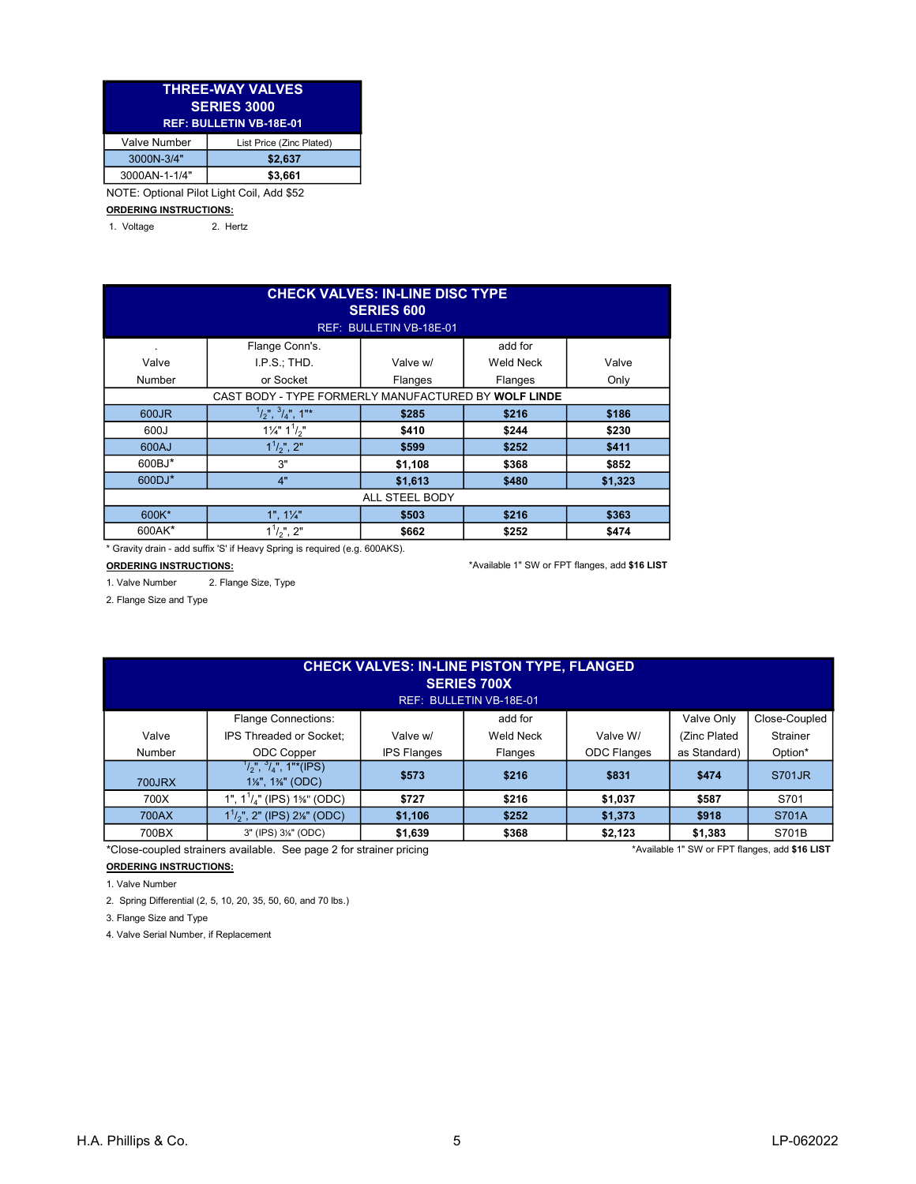| <b>THREE-WAY VALVES</b><br><b>SERIES 3000</b><br><b>REF: BULLETIN VB-18E-01</b> |                          |  |  |  |  |  |
|---------------------------------------------------------------------------------|--------------------------|--|--|--|--|--|
| <b>Valve Number</b>                                                             | List Price (Zinc Plated) |  |  |  |  |  |
| 3000N-3/4"                                                                      | \$2,637                  |  |  |  |  |  |
| 3000AN-1-1/4"                                                                   | \$3.661                  |  |  |  |  |  |
| NOTE: Optional Pilot Light Coil, Add \$52                                       |                          |  |  |  |  |  |

### ORDERING INSTRUCTIONS:

1. Voltage 2. Hertz

| <b>CHECK VALVES: IN-LINE DISC TYPE</b><br><b>SERIES 600</b><br>REF: BULLETIN VB-18E-01 |                                   |                |                  |         |  |  |  |  |  |  |
|----------------------------------------------------------------------------------------|-----------------------------------|----------------|------------------|---------|--|--|--|--|--|--|
| Flange Conn's.<br>add for<br>٠                                                         |                                   |                |                  |         |  |  |  |  |  |  |
| Valve                                                                                  | I.P.S.:THD.                       | Valve w/       | <b>Weld Neck</b> | Valve   |  |  |  |  |  |  |
| Number                                                                                 | or Socket                         | Flanges        | Flanges          | Only    |  |  |  |  |  |  |
| CAST BODY - TYPE FORMERLY MANUFACTURED BY WOLF LINDE                                   |                                   |                |                  |         |  |  |  |  |  |  |
| 600JR                                                                                  | $1/2$ ", $3/4$ ", 1"*             | \$285          | \$216            | \$186   |  |  |  |  |  |  |
| 600J                                                                                   | $1\frac{1}{4}$ " $1\frac{1}{2}$ " | \$410          | \$244            | \$230   |  |  |  |  |  |  |
| 600AJ                                                                                  | $1^{1}/2$ ", 2"                   | \$599          | \$252            | \$411   |  |  |  |  |  |  |
| 600BJ*                                                                                 | 3"                                | \$1,108        | \$368            | \$852   |  |  |  |  |  |  |
| 600DJ*                                                                                 | 4"                                | \$1,613        | \$480            | \$1,323 |  |  |  |  |  |  |
|                                                                                        |                                   | ALL STEEL BODY |                  |         |  |  |  |  |  |  |
| 600K*                                                                                  | $1", 1\frac{1}{4}"$               | \$503          | \$216            | \$363   |  |  |  |  |  |  |
| 600AK*                                                                                 | $1^{1}/2$ ", 2"                   | \$662          | \$252            | \$474   |  |  |  |  |  |  |

\* Gravity drain - add suffix 'S' if Heavy Spring is required (e.g. 600AKS).

1. Valve Number 2. Flange Size, Type

ORDERING INSTRUCTIONS: **Example 20 and 20 and 20 and 20 and 20 and 20 and 20 and 20 and 20 and 316 LIST** 

2. Flange Size and Type

| <b>CHECK VALVES: IN-LINE PISTON TYPE, FLANGED</b><br><b>SERIES 700X</b><br>REF: BULLETIN VB-18E-01 |                                                               |                    |                  |                    |              |               |  |  |  |
|----------------------------------------------------------------------------------------------------|---------------------------------------------------------------|--------------------|------------------|--------------------|--------------|---------------|--|--|--|
|                                                                                                    | <b>Flange Connections:</b>                                    |                    | add for          |                    | Valve Only   | Close-Coupled |  |  |  |
| Valve                                                                                              | <b>IPS Threaded or Socket:</b>                                | Valve w/           | <b>Weld Neck</b> | Valve W/           | (Zinc Plated | Strainer      |  |  |  |
| Number                                                                                             | ODC Copper                                                    | <b>IPS Flanges</b> | Flanges          | <b>ODC Flanges</b> | as Standard) | Option*       |  |  |  |
| 700JRX                                                                                             | $\frac{1}{2}$ ,", $\frac{3}{4}$ ", 1"*(IPS)<br>1%", 1%" (ODC) | \$573              | \$216            | \$831              | \$474        | S701JR        |  |  |  |
| 700X                                                                                               | 1", $1^{1}/_{4}$ " (IPS) 1%" (ODC)                            | \$727              | \$216            | \$1,037            | \$587        | S701          |  |  |  |
| 700AX                                                                                              | $1^{1}/2$ ", 2" (IPS) 2 <sup>%</sup> " (ODC)                  | \$1,106            | \$252            | \$1,373            | \$918        | S701A         |  |  |  |
| 700BX                                                                                              | 3" (IPS) 3%" (ODC)                                            | \$1,639            | \$368            | \$2,123            | \$1,383      | S701B         |  |  |  |

\*Close-coupled strainers available. See page 2 for strainer pricing \*Available 1" SW or FPT flanges, add \$16 LIST

# ORDERING INSTRUCTIONS:

1. Valve Number

2. Spring Differential (2, 5, 10, 20, 35, 50, 60, and 70 lbs.)

3. Flange Size and Type

4. Valve Serial Number, if Replacement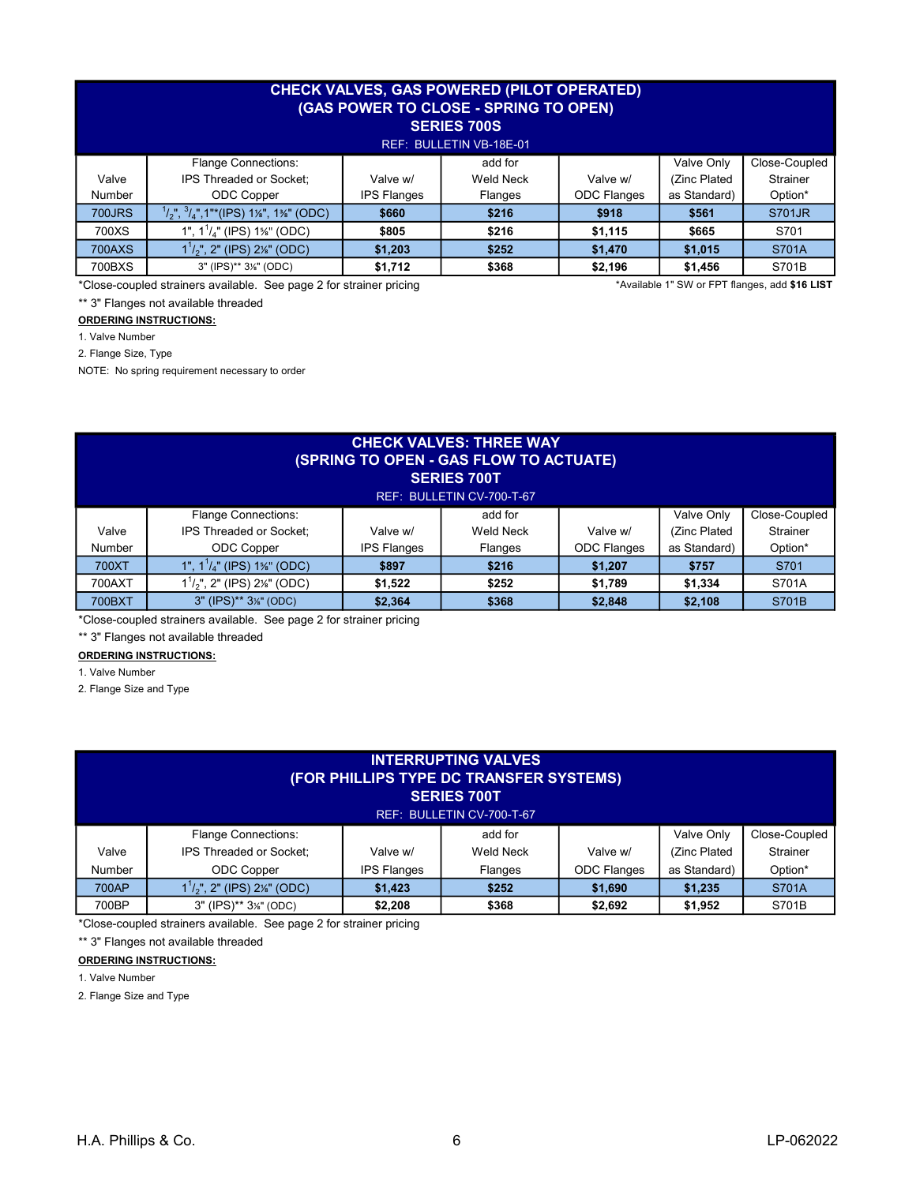| <b>CHECK VALVES, GAS POWERED (PILOT OPERATED)</b><br>(GAS POWER TO CLOSE - SPRING TO OPEN)<br><b>SERIES 700S</b><br>REF: BULLETIN VB-18E-01 |                                                         |                    |                  |                    |              |                 |  |  |  |
|---------------------------------------------------------------------------------------------------------------------------------------------|---------------------------------------------------------|--------------------|------------------|--------------------|--------------|-----------------|--|--|--|
|                                                                                                                                             | <b>Flange Connections:</b>                              |                    | add for          |                    | Valve Only   | Close-Coupled   |  |  |  |
| Valve                                                                                                                                       | IPS Threaded or Socket:                                 | Valve w/           | <b>Weld Neck</b> | Valve w/           | (Zinc Plated | <b>Strainer</b> |  |  |  |
| Number                                                                                                                                      | ODC Copper                                              | <b>IPS Flanges</b> | Flanges          | <b>ODC Flanges</b> | as Standard) | Option*         |  |  |  |
| <b>700JRS</b>                                                                                                                               | $\frac{1}{2}$ , $\frac{3}{4}$ , 1"*(IPS) 1%", 1%" (ODC) | \$660              | \$216            | \$918              | \$561        | <b>S701JR</b>   |  |  |  |
| 700XS                                                                                                                                       | 1", $1^1/\text{L}$ " (IPS) 1%" (ODC)                    | \$805              | \$216            | \$1,115            | \$665        | S701            |  |  |  |
| 700AXS                                                                                                                                      | $1^{1}/2$ ", 2" (IPS) 2 <sup>%</sup> " (ODC)            | \$1,203            | \$252            | \$1,470            | \$1,015      | <b>S701A</b>    |  |  |  |
| 700BXS                                                                                                                                      | 3" (IPS)** 3%" (ODC)                                    | \$1,712            | \$368            | \$2,196            | \$1,456      | S701B           |  |  |  |

\*Close-coupled strainers available. See page 2 for strainer pricing \*Available 1" SW or FPT flanges, add \$16 LIST

\*\* 3" Flanges not available threaded

ORDERING INSTRUCTIONS:

1. Valve Number

2. Flange Size, Type

NOTE: No spring requirement necessary to order

| <b>CHECK VALVES: THREE WAY</b><br>(SPRING TO OPEN - GAS FLOW TO ACTUATE)<br><b>SERIES 700T</b><br>REF: BULLETIN CV-700-T-67 |                                        |                    |                  |                    |              |               |  |  |  |
|-----------------------------------------------------------------------------------------------------------------------------|----------------------------------------|--------------------|------------------|--------------------|--------------|---------------|--|--|--|
|                                                                                                                             | <b>Flange Connections:</b>             |                    | add for          |                    | Valve Only   | Close-Coupled |  |  |  |
| Valve                                                                                                                       | IPS Threaded or Socket:                | Valve w/           | <b>Weld Neck</b> | Valve w/           | (Zinc Plated | Strainer      |  |  |  |
| Number                                                                                                                      | ODC Copper                             | <b>IPS Flanges</b> | Flanges          | <b>ODC Flanges</b> | as Standard) | Option*       |  |  |  |
| 700XT                                                                                                                       | 1", $1^{1}/_{4}$ " (IPS) 1%" (ODC)     | \$897              | \$216            | \$1,207            | \$757        | S701          |  |  |  |
| 700AXT                                                                                                                      | 1'/ <sub>2</sub> ", 2" (IPS) 2¼" (ODC) | \$1,522            | \$252            | \$1,789            | \$1,334      | S701A         |  |  |  |
| 700BXT                                                                                                                      | 3" (IPS)** 3 <sup>/s</sup> " (ODC)     | \$2,364            | \$368            | \$2,848            | \$2,108      | <b>S701B</b>  |  |  |  |

\*Close-coupled strainers available. See page 2 for strainer pricing

# \*\* 3" Flanges not available threaded

# ORDERING INSTRUCTIONS:

1. Valve Number

2. Flange Size and Type

| <b>INTERRUPTING VALVES</b><br>(FOR PHILLIPS TYPE DC TRANSFER SYSTEMS)<br><b>SERIES 700T</b><br>REF: BULLETIN CV-700-T-67 |                                              |                    |                  |                    |              |                 |  |
|--------------------------------------------------------------------------------------------------------------------------|----------------------------------------------|--------------------|------------------|--------------------|--------------|-----------------|--|
|                                                                                                                          | <b>Flange Connections:</b>                   |                    | add for          |                    | Valve Only   | Close-Coupled   |  |
| Valve                                                                                                                    | IPS Threaded or Socket:                      | Valve w/           | <b>Weld Neck</b> | Valve w/           | (Zinc Plated | <b>Strainer</b> |  |
| Number                                                                                                                   | ODC Copper                                   | <b>IPS Flanges</b> | <b>Flanges</b>   | <b>ODC Flanges</b> | as Standard) | Option*         |  |
| 700AP                                                                                                                    | $1^{1}/2$ ", 2" (IPS) 2 <sup>%</sup> " (ODC) | \$1,423            | \$252            | \$1,690            | \$1,235      | <b>S701A</b>    |  |
| 700BP                                                                                                                    | 3" (IPS)** 3 <sup>/8</sup> " (ODC)           | \$2,208            | \$368            | \$2,692            | \$1,952      | S701B           |  |

\*Close-coupled strainers available. See page 2 for strainer pricing

### \*\* 3" Flanges not available threaded

ORDERING INSTRUCTIONS:

1. Valve Number

2. Flange Size and Type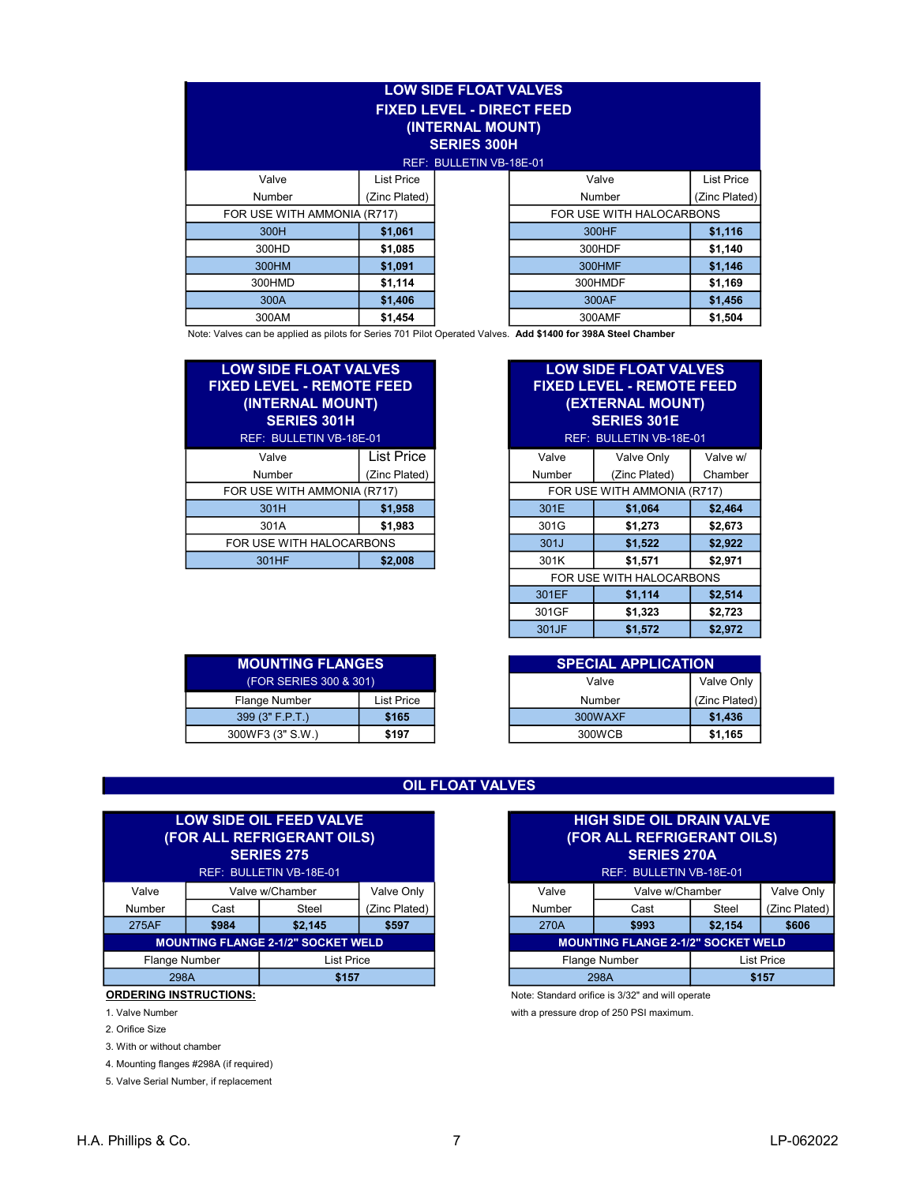| <b>LOW SIDE FLOAT VALVES</b><br><b>FIXED LEVEL - DIRECT FEED</b><br>(INTERNAL MOUNT)<br><b>SERIES 300H</b><br>REF: BULLETIN VB-18E-01 |               |  |                          |                   |  |  |  |
|---------------------------------------------------------------------------------------------------------------------------------------|---------------|--|--------------------------|-------------------|--|--|--|
| Valve                                                                                                                                 | List Price    |  | Valve                    | <b>List Price</b> |  |  |  |
| Number                                                                                                                                | (Zinc Plated) |  | Number                   | (Zinc Plated)     |  |  |  |
| FOR USE WITH AMMONIA (R717)                                                                                                           |               |  | FOR USE WITH HALOCARBONS |                   |  |  |  |
| 300H                                                                                                                                  | \$1,061       |  | 300HF                    | \$1,116           |  |  |  |
| 300HD                                                                                                                                 | \$1,085       |  | 300HDF                   | \$1,140           |  |  |  |
| 300HM                                                                                                                                 | \$1,091       |  | 300HMF                   | \$1,146           |  |  |  |
| 300HMD                                                                                                                                | \$1,114       |  | 300HMDF                  | \$1,169           |  |  |  |
| 300A                                                                                                                                  | \$1,406       |  | 300AF                    | \$1,456           |  |  |  |
| 300AM                                                                                                                                 | \$1,454       |  | 300AMF                   | \$1,504           |  |  |  |

Note: Valves can be applied as pilots for Series 701 Pilot Operated Valves. Add \$1400 for 398A Steel Chamber

| <b>LOW SIDE FLOAT VALVES</b><br><u> FIXED LEVEL - REMOTE FEED</u><br>(INTERNAL MOUNT)<br><b>SERIES 301H</b><br>REF: BULLETIN VB-18E-01 |                   |  |  |  |
|----------------------------------------------------------------------------------------------------------------------------------------|-------------------|--|--|--|
| Valve                                                                                                                                  | <b>List Price</b> |  |  |  |
| Number                                                                                                                                 | (Zinc Plated)     |  |  |  |
| FOR USE WITH AMMONIA (R717)                                                                                                            |                   |  |  |  |
| 301H                                                                                                                                   | \$1,958           |  |  |  |
| 301A                                                                                                                                   | \$1,983           |  |  |  |
| FOR USE WITH HALOCARBONS                                                                                                               |                   |  |  |  |
| 301HF                                                                                                                                  | \$2,008           |  |  |  |

| <b>LOW SIDE FLOAT VALVES</b><br><b>FIXED LEVEL - REMOTE FEED</b><br>(INTERNAL MOUNT)<br><b>SERIES 301H</b><br>REF: BULLETIN VB-18E-01 |               |                             | <b>LOW SIDE FLOAT VALVES</b><br><b>FIXED LEVEL - REMOTE FEED</b><br>(EXTERNAL MOUNT)<br><b>SERIES 301E</b><br>REF: BULLETIN VB-18E-01 |          |
|---------------------------------------------------------------------------------------------------------------------------------------|---------------|-----------------------------|---------------------------------------------------------------------------------------------------------------------------------------|----------|
| Valve                                                                                                                                 | List Price    | Valve                       | Valve Only                                                                                                                            | Valve w/ |
| Number                                                                                                                                | (Zinc Plated) | Number                      | (Zinc Plated)                                                                                                                         | Chamber  |
| FOR USE WITH AMMONIA (R717)                                                                                                           |               | FOR USE WITH AMMONIA (R717) |                                                                                                                                       |          |
| 301H                                                                                                                                  | \$1,958       | 301E                        | \$1,064                                                                                                                               | \$2,464  |
| 301A                                                                                                                                  | \$1,983       | 301G                        | \$1,273                                                                                                                               | \$2,673  |
| FOR USE WITH HALOCARBONS                                                                                                              |               | 301J                        | \$1,522                                                                                                                               | \$2,922  |
| 301HF                                                                                                                                 | \$2,008       | 301K                        | \$1,571                                                                                                                               | \$2,971  |
|                                                                                                                                       |               |                             | FOR USE WITH HALOCARBONS                                                                                                              |          |
|                                                                                                                                       |               | 301EF                       | \$1,114                                                                                                                               | \$2,514  |
|                                                                                                                                       |               | 301GF                       | \$1,323                                                                                                                               | \$2,723  |
|                                                                                                                                       |               | 301JF                       | \$1,572                                                                                                                               | \$2,972  |

| <b>MOUNTING FLANGES</b> |                   |  |  |  |  |
|-------------------------|-------------------|--|--|--|--|
| (FOR SERIES 300 & 301)  |                   |  |  |  |  |
| <b>Flange Number</b>    | <b>List Price</b> |  |  |  |  |
| 399 (3" F.P.T.)         | \$165             |  |  |  |  |
| 300WF3 (3" S.W.)        | \$197             |  |  |  |  |

| <b>MOUNTING FLANGES</b> |            | <b>SPECIAL APPLICATION</b> |               |
|-------------------------|------------|----------------------------|---------------|
| (FOR SERIES 300 & 301)  |            | Valve                      | Valve Only    |
| Flange Number           | List Price | Number                     | (Zinc Plated) |
| 399(3" F.P.T.)          | \$165      | 300WAXF                    | \$1,436       |
| 300WF3 (3" S.W.)        | \$197      | 300WCB                     | \$1,165       |

# OIL FLOAT VALVES

| <b>LOW SIDE OIL FEED VALVE</b><br>(FOR ALL REFRIGERANT OILS)<br><b>SERIES 275</b><br>REF: BULLETIN VB-18E-01 |               |                   |               |  |
|--------------------------------------------------------------------------------------------------------------|---------------|-------------------|---------------|--|
| Valve                                                                                                        |               | Valve w/Chamber   | Valve Only    |  |
| Number                                                                                                       | Cast          | Steel             | (Zinc Plated) |  |
| 275AF                                                                                                        | \$984         | \$2,145           | \$597         |  |
| <b>MOUNTING FLANGE 2-1/2" SOCKET WELD</b>                                                                    |               |                   |               |  |
|                                                                                                              | Flange Number | <b>List Price</b> |               |  |
| 298A                                                                                                         |               | \$157             |               |  |

# ORDERING INSTRUCTIONS: Note: Standard orifice is 3/32" and will operate

- 
- 2. Orifice Size
- 3. With or without chamber
- 4. Mounting flanges #298A (if required)

|                                           |                             | <b>LOW SIDE OIL FEED VALVE</b><br>(FOR ALL REFRIGERANT OILS)<br><b>SERIES 275</b><br>REF: BULLETIN VB-18E-01 |               |                                    | <b>HIGH SIDE OIL DRAIN VALVE</b><br>(FOR ALL REFRIGERANT OILS)<br><b>SERIES 270A</b><br>REF: BULLETIN VB-18E-01 |         |               |
|-------------------------------------------|-----------------------------|--------------------------------------------------------------------------------------------------------------|---------------|------------------------------------|-----------------------------------------------------------------------------------------------------------------|---------|---------------|
| Valve                                     |                             | Valve w/Chamber                                                                                              | Valve Only    | Valve                              | Valve w/Chamber                                                                                                 |         | Valve Only    |
| Number                                    | Cast                        | Steel                                                                                                        | (Zinc Plated) | Number                             | Cast                                                                                                            | Steel   | (Zinc Plated) |
| 275AF                                     | \$984                       | \$2,145                                                                                                      | \$597         | 270A                               | \$993                                                                                                           | \$2,154 | \$606         |
| <b>MOUNTING FLANGE 2-1/2" SOCKET WELD</b> |                             |                                                                                                              |               |                                    | <b>MOUNTING FLANGE 2-1/2" SOCKET WELD</b>                                                                       |         |               |
|                                           | Flange Number<br>List Price |                                                                                                              |               | Flange Number<br><b>List Price</b> |                                                                                                                 |         |               |
|                                           | 298A<br>\$157               |                                                                                                              |               | 298A                               | \$157                                                                                                           |         |               |

1. Valve Number with a pressure drop of 250 PSI maximum.

<sup>5.</sup> Valve Serial Number, if replacement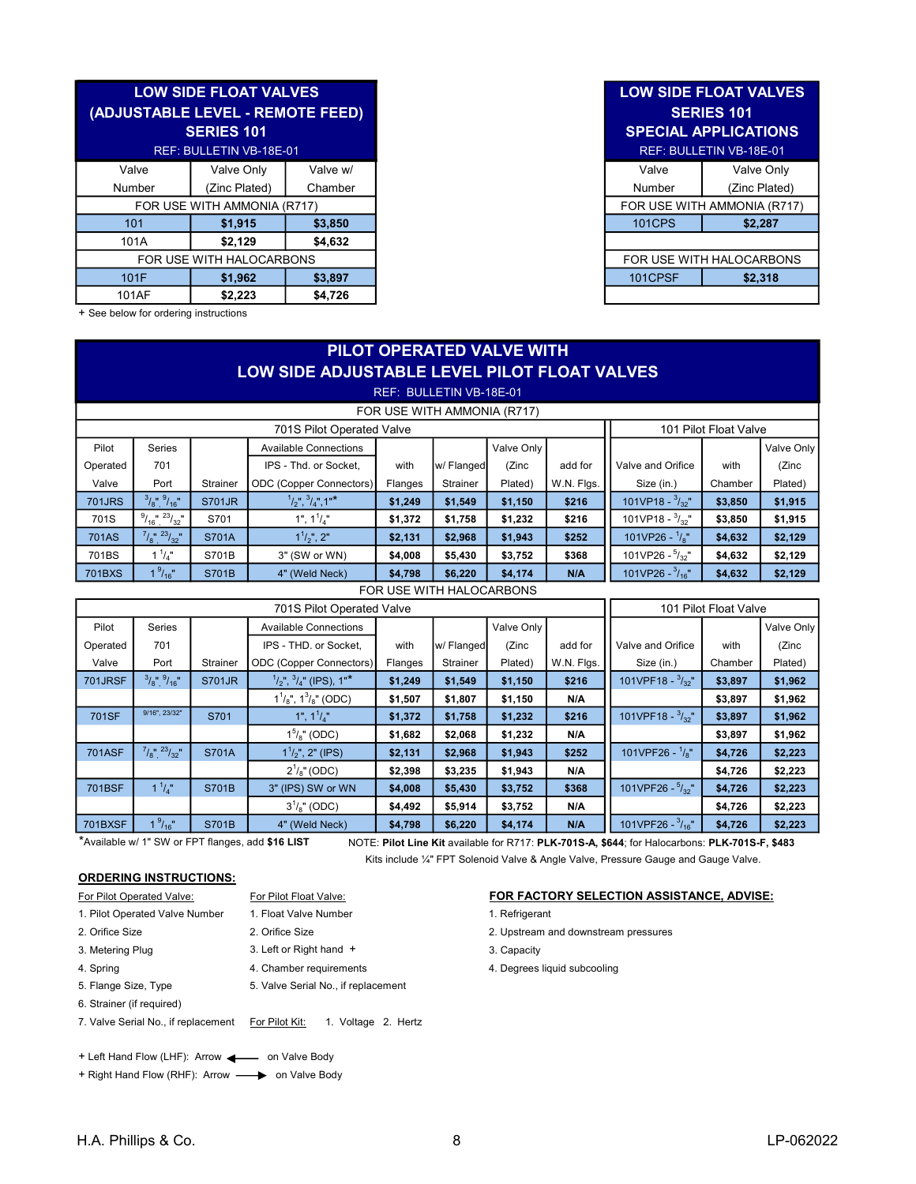|                          | <b>LOW SIDE FLOAT VALVES</b><br>(ADJUSTABLE LEVEL - REMOTE FEED)<br><b>SERIES 101</b><br>REF: BULLETIN VB-18E-01 |          |
|--------------------------|------------------------------------------------------------------------------------------------------------------|----------|
| Valve                    | Valve Only                                                                                                       | Valve w/ |
| Number                   | (Zinc Plated)                                                                                                    | Chamber  |
|                          | FOR USE WITH AMMONIA (R717)                                                                                      |          |
| 101                      | \$1,915                                                                                                          | \$3,850  |
| 101A                     | \$2.129                                                                                                          | \$4.632  |
| FOR USE WITH HALOCARBONS |                                                                                                                  |          |
| 101F                     | \$1,962                                                                                                          | \$3,897  |
| 101AF                    | \$2,223                                                                                                          | \$4,726  |

+ See below for ordering instructions

# PILOT OPERATED VALVE WITH LOW SIDE ADJUSTABLE LEVEL PILOT FLOAT VALVES REF: BULLETIN VB-18E-01

# FOR USE WITH AMMONIA (R717)

|                           | $\cdots$           |               |                                          |         |            |            |            |                            |                       |            |
|---------------------------|--------------------|---------------|------------------------------------------|---------|------------|------------|------------|----------------------------|-----------------------|------------|
| 701S Pilot Operated Valve |                    |               |                                          |         |            |            |            |                            | 101 Pilot Float Valve |            |
| Pilot                     | Series             |               | <b>Available Connections</b>             |         |            | Valve Only |            |                            |                       | Valve Only |
| Operated                  | 701                |               | IPS - Thd. or Socket.                    | with    | w/ Flanged | (Zinc      | add for    | Valve and Orifice          | with                  | (Zinc      |
| Valve                     | Port               | Strainer      | ODC (Copper Connectors)                  | Flanges | Strainer   | Plated)    | W.N. Flgs. | Size (in.)                 | Chamber               | Plated)    |
| <b>701JRS</b>             | $3/8"$ , $9/16"$   | <b>S701JR</b> | $\frac{1}{2}$ , $\frac{3}{4}$ , $1^{14}$ | \$1,249 | \$1,549    | \$1,150    | \$216      | 101VP18 - $\frac{3}{22}$ " | \$3,850               | \$1,915    |
| 701S                      | $9/16$ , $23/32$   | S701          | 1", $1^{1}/_{4}$ "                       | \$1,372 | \$1,758    | \$1,232    | \$216      | 101VP18 - $\frac{3}{32}$ " | \$3,850               | \$1,915    |
| <b>701AS</b>              | $7/8$ ", $23/32$ " | S701A         | $1^{1}/2$ ", 2"                          | \$2,131 | \$2,968    | \$1,943    | \$252      | 101VP26 - $\frac{1}{8}$ "  | \$4,632               | \$2,129    |
| 701BS                     | $1^1/\pi$          | S701B         | 3" (SW or WN)                            | \$4,008 | \$5,430    | \$3,752    | \$368      | 101VP26 - $\frac{5}{32}$ " | \$4,632               | \$2,129    |
| <b>701BXS</b>             | $1\frac{9}{16}$    | S701B         | 4" (Weld Neck)                           | \$4,798 | \$6,220    | \$4,174    | N/A        | 101VP26 - $\frac{3}{16}$ " | \$4,632               | \$2,129    |

FOR USE WITH HALOCARBONS

| 701S Pilot Operated Valve |                                |               |                                              |         |            |            |            | 101 Pilot Float Valve       |         |            |
|---------------------------|--------------------------------|---------------|----------------------------------------------|---------|------------|------------|------------|-----------------------------|---------|------------|
| Pilot                     | <b>Series</b>                  |               | <b>Available Connections</b>                 |         |            | Valve Only |            |                             |         | Valve Only |
| Operated                  | 701                            |               | IPS - THD, or Socket.                        | with    | w/ Flanged | (Zinc      | add for    | Valve and Orifice           | with    | (Zinc      |
| Valve                     | Port                           | Strainer      | <b>ODC</b> (Copper Connectors)               | Flanges | Strainer   | Plated)    | W.N. Flgs. | Size (in.)                  | Chamber | Plated)    |
| <b>701JRSF</b>            | $3/8"$ , $9/16"$               | <b>S701JR</b> | $\frac{1}{2}$ ,", $\frac{3}{4}$ " (IPS), 1"* | \$1,249 | \$1,549    | \$1,150    | \$216      | 101VPF18 - $\frac{3}{32}$ " | \$3,897 | \$1,962    |
|                           |                                |               | $1^{1}/_{8}$ ", $1^{3}/_{8}$ " (ODC)         | \$1,507 | \$1,807    | \$1,150    | N/A        |                             | \$3,897 | \$1,962    |
| <b>701SF</b>              | 9/16", 23/32"                  | S701          | 1", $1^{1}/_{4}$ "                           | \$1,372 | \$1,758    | \$1,232    | \$216      | 101VPF18 - $\frac{3}{32}$ " | \$3,897 | \$1,962    |
|                           |                                |               | $1^{5}/s$ " (ODC)                            | \$1,682 | \$2,068    | \$1,232    | N/A        |                             | \$3,897 | \$1,962    |
| <b>701ASF</b>             | $7/8$ ", $23/32$ "             | S701A         | $1^{1}/2$ ", 2" (IPS)                        | \$2,131 | \$2,968    | \$1,943    | \$252      | 101VPF26 - $\frac{1}{8}$ "  | \$4,726 | \$2,223    |
|                           |                                |               | $2^1\frac{1}{8}$ (ODC)                       | \$2,398 | \$3,235    | \$1,943    | N/A        |                             | \$4,726 | \$2,223    |
| <b>701BSF</b>             | $1^1/\pi$                      | <b>S701B</b>  | 3" (IPS) SW or WN                            | \$4,008 | \$5,430    | \$3,752    | \$368      | 101VPF26 - $\frac{5}{32}$ " | \$4,726 | \$2,223    |
|                           |                                |               | $3^{1}/s$ " (ODC)                            | \$4,492 | \$5,914    | \$3,752    | N/A        |                             | \$4,726 | \$2,223    |
| <b>701BXSF</b>            | 1 <sup>9</sup> / <sub>16</sub> | <b>S701B</b>  | 4" (Weld Neck)                               | \$4,798 | \$6,220    | \$4,174    | N/A        | 101VPF26 - $\frac{3}{16}$ " | \$4,726 | \$2,223    |

\*Available w/ 1" SW or FPT flanges, add \$16 LIST

NOTE: Pilot Line Kit available for R717: PLK-701S-A, \$644; for Halocarbons: PLK-701S-F, \$483

Kits include ¼" FPT Solenoid Valve & Angle Valve, Pressure Gauge and Gauge Valve.

### ORDERING INSTRUCTIONS:

| For Pilot Operated Valve:           | For Pilot Float Valve:                |
|-------------------------------------|---------------------------------------|
| 1. Pilot Operated Valve Number      | 1. Float Valve Number                 |
| 2. Orifice Size                     | 2. Orifice Size                       |
| 3. Metering Plug                    | 3. Left or Right hand +               |
| 4. Spring                           | 4. Chamber requirements               |
| 5. Flange Size, Type                | 5. Valve Serial No., if replacement   |
| 6. Strainer (if required)           |                                       |
| 7. Valve Serial No., if replacement | For Pilot Kit:<br>1. Voltage 2. Hertz |
|                                     |                                       |
|                                     |                                       |

+ Left Hand Flow (LHF): Arrow <a>>
on Valve Body</a>

+ Right Hand Flow (RHF): Arrow -> on Valve Body

#### FOR FACTORY SELECTION ASSISTANCE, ADVISE:

- 1. Refrigerant
- 2. Upstream and downstream pressures
- 3. Capacity
- 4. Degrees liquid subcooling

# LOW SIDE FLOAT VALVES SERIES 101 SPECIAL APPLICATIONS

| <b>TIN VB-18E-01</b> |          |
|----------------------|----------|
| alve Only            | Valve w/ |
| nc Plated)           | Chamber  |
| AMMONIA (R717)       |          |
| \$1,915              | \$3,850  |
| \$2.129              | \$4,632  |
| I HALOCARBONS        |          |
| \$1.962              | \$3,897  |
| en nnn               | 0.72C    |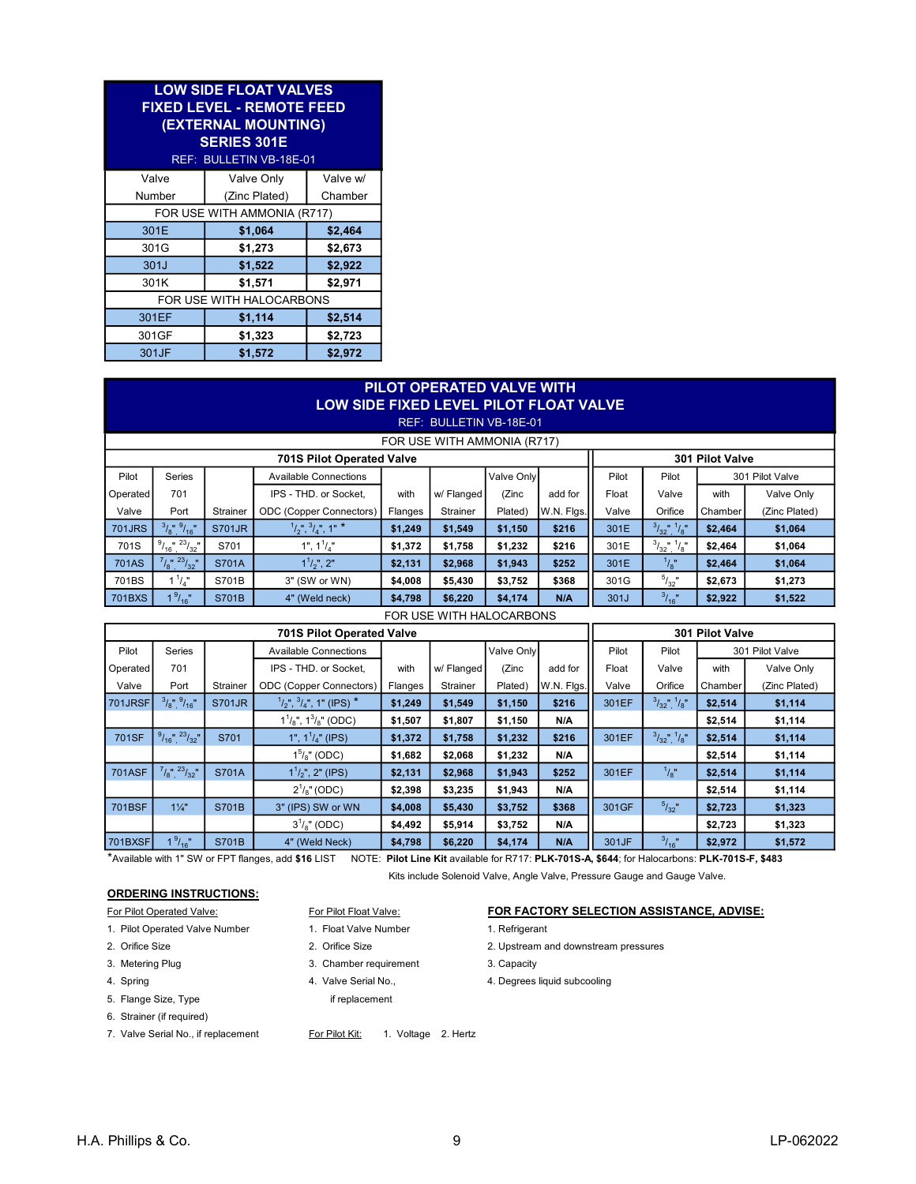| <b>LOW SIDE FLOAT VALVES</b><br><b>FIXED LEVEL - REMOTE FEED</b><br>(EXTERNAL MOUNTING)<br><b>SERIES 301E</b><br>REF: BULLETIN VB-18E-01 |                          |          |  |  |  |  |  |
|------------------------------------------------------------------------------------------------------------------------------------------|--------------------------|----------|--|--|--|--|--|
| Valve                                                                                                                                    | Valve Only               | Valve w/ |  |  |  |  |  |
| Number                                                                                                                                   | (Zinc Plated)            | Chamber  |  |  |  |  |  |
| FOR USE WITH AMMONIA (R717)                                                                                                              |                          |          |  |  |  |  |  |
| 301E                                                                                                                                     | \$1,064                  | \$2,464  |  |  |  |  |  |
| 301G                                                                                                                                     | \$1,273                  | \$2,673  |  |  |  |  |  |
| 301J                                                                                                                                     | \$1,522                  | \$2,922  |  |  |  |  |  |
| 301K                                                                                                                                     | \$1,571                  | \$2,971  |  |  |  |  |  |
|                                                                                                                                          | FOR USE WITH HALOCARBONS |          |  |  |  |  |  |
| 301EF                                                                                                                                    | \$1,114                  | \$2,514  |  |  |  |  |  |
| 301GF                                                                                                                                    | \$1,323                  | \$2,723  |  |  |  |  |  |
| 301JF                                                                                                                                    | \$1,572                  | \$2,972  |  |  |  |  |  |

|               | PILOT OPERATED VALVE WITH<br>LOW SIDE FIXED LEVEL PILOT FLOAT VALVE<br>REF: BULLETIN VB-18E-01 |               |                                    |         |            |            |            |       |                          |         |               |  |
|---------------|------------------------------------------------------------------------------------------------|---------------|------------------------------------|---------|------------|------------|------------|-------|--------------------------|---------|---------------|--|
|               | FOR USE WITH AMMONIA (R717)                                                                    |               |                                    |         |            |            |            |       |                          |         |               |  |
|               | <b>701S Pilot Operated Valve</b><br>301 Pilot Valve                                            |               |                                    |         |            |            |            |       |                          |         |               |  |
| Pilot         | <b>Series</b>                                                                                  |               | <b>Available Connections</b>       |         |            | Valve Only |            | Pilot | Pilot<br>301 Pilot Valve |         |               |  |
| Operated      | 701                                                                                            |               | IPS - THD, or Socket.              | with    | w/ Flanged | (Zinc      | add for    | Float | Valve                    | with    | Valve Only    |  |
| Valve         | Port                                                                                           | Strainer      | <b>ODC</b> (Copper Connectors)     | Flanges | Strainer   | Plated)    | W.N. Flgs. | Valve | Orifice                  | Chamber | (Zinc Plated) |  |
| <b>701JRS</b> | $3/8"$ , $9/16"$                                                                               | <b>S701JR</b> | $^{1}/_{2}$ ", $^{3}/_{4}$ ", 1" * | \$1,249 | \$1,549    | \$1,150    | \$216      | 301E  | $3/32$ , $1/8$           | \$2,464 | \$1,064       |  |
| 701S          | $1^{23}/32$<br>$9/16$ "                                                                        | S701          | 1", $1^1/\pi$ "                    | \$1,372 | \$1,758    | \$1,232    | \$216      | 301E  | $3/32$ $^{11}/8$ $^{11}$ | \$2,464 | \$1,064       |  |
| <b>701AS</b>  | $7/8$ , $23/32$                                                                                | S701A         | $1^{1}/_{2}$ ", 2"                 | \$2,131 | \$2,968    | \$1,943    | \$252      | 301E  | $^{1}/_{8}$ "            | \$2,464 | \$1,064       |  |
| 701BS         | $1^1/\pi$                                                                                      | S701B         | 3" (SW or WN)                      | \$4,008 | \$5,430    | \$3,752    | \$368      | 301G  | $5/32$ "                 | \$2,673 | \$1,273       |  |
| 701BXS        | $1\frac{9}{16}$                                                                                | S701B         | 4" (Weld neck)                     | \$4,798 | \$6,220    | \$4,174    | N/A        | 301J  | 3/16                     | \$2,922 | \$1,522       |  |

FOR USE WITH HALOCARBONS

| <b>701S Pilot Operated Valve</b> |                      |               |                                                |         |            |            |            |       | 301 Pilot Valve   |         |                 |  |
|----------------------------------|----------------------|---------------|------------------------------------------------|---------|------------|------------|------------|-------|-------------------|---------|-----------------|--|
| Pilot                            | <b>Series</b>        |               | <b>Available Connections</b>                   |         |            | Valve Only |            | Pilot | Pilot             |         | 301 Pilot Valve |  |
| Operated                         | 701                  |               | IPS - THD. or Socket,                          | with    | w/ Flanged | (Zinc      | add for    | Float | Valve             | with    | Valve Only      |  |
| Valve                            | Port                 | Strainer      | <b>ODC</b> (Copper Connectors)                 | Flanges | Strainer   | Plated)    | W.N. Flgs. | Valve | Orifice           | Chamber | (Zinc Plated)   |  |
| 701JRSF                          | $3/8"$ , $9/16"$     | <b>S701JR</b> | $\frac{1}{2}$ ", $\frac{3}{4}$ ", 1" (IPS) $*$ | \$1,249 | \$1,549    | \$1,150    | \$216      | 301EF | $3/32$ , $1/8$    | \$2,514 | \$1,114         |  |
|                                  |                      |               | $1^{1}/_{8}$ ", $1^{3}/_{8}$ " (ODC)           | \$1,507 | \$1,807    | \$1,150    | N/A        |       |                   | \$2,514 | \$1,114         |  |
| 701SF                            | $9/16$ ", $23/32$ "  | S701          | 1", $1^1/4$ " (IPS)                            | \$1,372 | \$1,758    | \$1,232    | \$216      | 301EF | $3/32$ ", $1/8$ " | \$2,514 | \$1,114         |  |
|                                  |                      |               | $1^5\text{/s}$ " (ODC)                         | \$1,682 | \$2,068    | \$1,232    | N/A        |       |                   | \$2,514 | \$1,114         |  |
| <b>701ASF</b>                    | $7/8$ ", $23/32$ "   | S701A         | $1^{1}/2$ ", 2" (IPS)                          | \$2,131 | \$2,968    | \$1,943    | \$252      | 301EF | $^{1}/_{8}$ "     | \$2,514 | \$1,114         |  |
|                                  |                      |               | $2^1/s''$ (ODC)                                | \$2,398 | \$3,235    | \$1,943    | N/A        |       |                   | \$2,514 | \$1,114         |  |
| 701BSF                           | $1\frac{1}{4}$       | S701B         | 3" (IPS) SW or WN                              | \$4,008 | \$5,430    | \$3,752    | \$368      | 301GF | $5/32$ "          | \$2,723 | \$1,323         |  |
|                                  |                      |               | $3^{1}/8$ " (ODC)                              | \$4,492 | \$5,914    | \$3,752    | N/A        |       |                   | \$2,723 | \$1,323         |  |
| <b>701BXSF</b>                   | 1 <sup>9</sup> /16'' | <b>S701B</b>  | 4" (Weld Neck)                                 | \$4,798 | \$6,220    | \$4,174    | N/A        | 301JF | $3/16$ "          | \$2,972 | \$1,572         |  |

\*Available with 1" SW or FPT flanges, add \$16 LIST NOTE: Pilot Line Kit available for R717: PLK-701S-A, \$644; for Halocarbons: PLK-701S-F, \$483

Kits include Solenoid Valve, Angle Valve, Pressure Gauge and Gauge Valve.

# ORDERING INSTRUCTIONS:

- 
- 1. Pilot Operated Valve Number 1. Float Valve Number 1. Refrigerant
- 
- 
- 
- 5. Flange Size, Type if replacement
- 6. Strainer (if required)
- 
- 
- 
- 
- 3. Metering Plug 2. Chamber requirement 3. Capacity
	-
	-

### 7. Valve Serial No., if replacement For Pilot Kit: 1. Voltage 2. Hertz

# For Pilot Operated Valve: For Pilot Float Valve: For Pilot Float Valve: FOR FACTORY SELECTION ASSISTANCE, ADVISE:

- 
- 2. Orifice Size 2. Orifice Size 2. Upstream and downstream pressures
	-
- 4. Spring The Matter Serial No., the Serial No., 4. Degrees liquid subcooling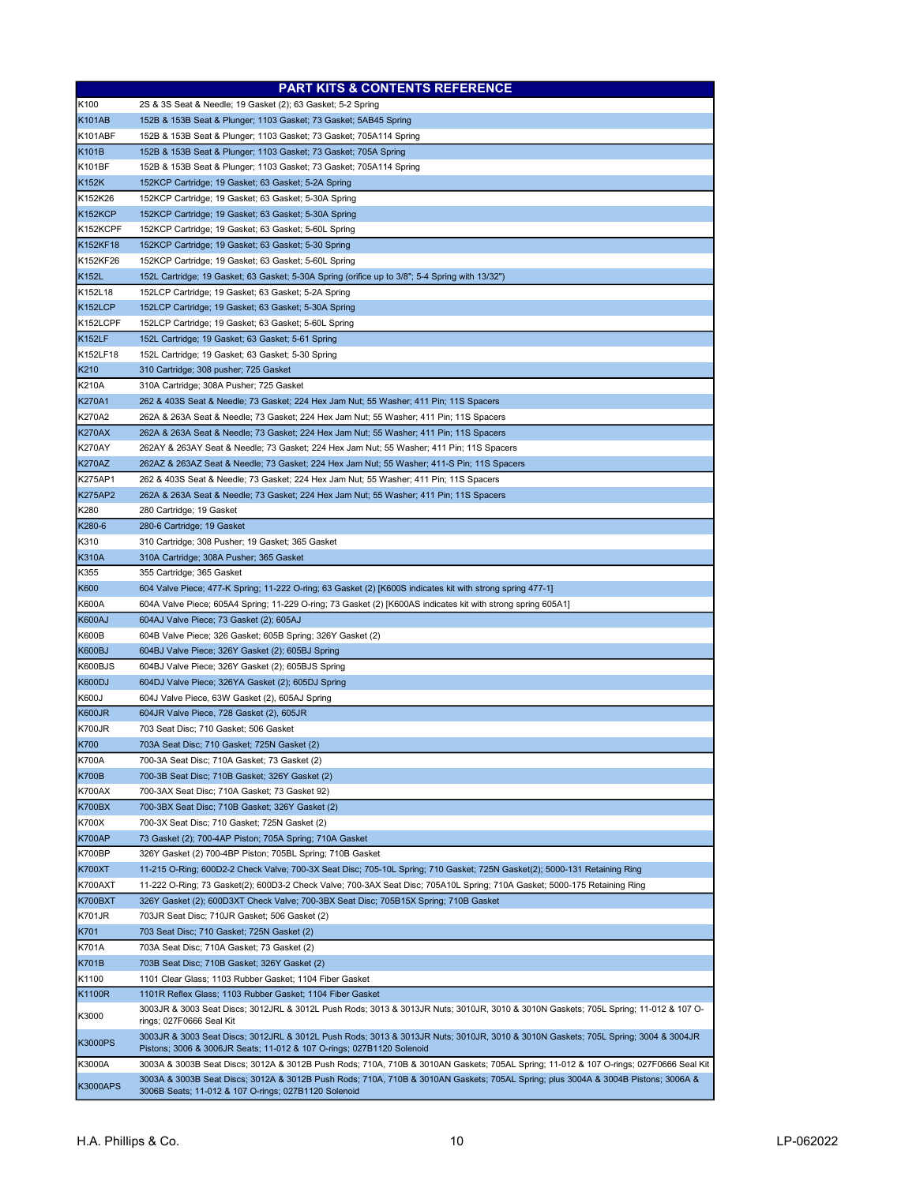|                                | <b>PART KITS &amp; CONTENTS REFERENCE</b>                                                                                                                                                                  |
|--------------------------------|------------------------------------------------------------------------------------------------------------------------------------------------------------------------------------------------------------|
| K100                           | 2S & 3S Seat & Needle; 19 Gasket (2); 63 Gasket; 5-2 Spring                                                                                                                                                |
| <b>K101AB</b>                  | 152B & 153B Seat & Plunger; 1103 Gasket; 73 Gasket; 5AB45 Spring                                                                                                                                           |
| K101ABF                        | 152B & 153B Seat & Plunger; 1103 Gasket; 73 Gasket; 705A114 Spring                                                                                                                                         |
| K101B                          | 152B & 153B Seat & Plunger; 1103 Gasket; 73 Gasket; 705A Spring                                                                                                                                            |
| K101BF                         | 152B & 153B Seat & Plunger; 1103 Gasket; 73 Gasket; 705A114 Spring                                                                                                                                         |
| K152K                          | 152KCP Cartridge; 19 Gasket; 63 Gasket; 5-2A Spring                                                                                                                                                        |
| K152K26                        | 152KCP Cartridge; 19 Gasket; 63 Gasket; 5-30A Spring                                                                                                                                                       |
| <b>K152KCP</b><br>K152KCPF     | 152KCP Cartridge; 19 Gasket; 63 Gasket; 5-30A Spring<br>152KCP Cartridge; 19 Gasket; 63 Gasket; 5-60L Spring                                                                                               |
| K152KF18                       | 152KCP Cartridge; 19 Gasket; 63 Gasket; 5-30 Spring                                                                                                                                                        |
| K152KF26                       | 152KCP Cartridge; 19 Gasket; 63 Gasket; 5-60L Spring                                                                                                                                                       |
| K152L                          | 152L Cartridge; 19 Gasket; 63 Gasket; 5-30A Spring (orifice up to 3/8"; 5-4 Spring with 13/32")                                                                                                            |
| K152L18                        | 152LCP Cartridge; 19 Gasket; 63 Gasket; 5-2A Spring                                                                                                                                                        |
| K152LCP                        | 152LCP Cartridge; 19 Gasket; 63 Gasket; 5-30A Spring                                                                                                                                                       |
| K152LCPF                       | 152LCP Cartridge; 19 Gasket; 63 Gasket; 5-60L Spring                                                                                                                                                       |
| <b>K152LF</b>                  | 152L Cartridge; 19 Gasket; 63 Gasket; 5-61 Spring                                                                                                                                                          |
| K152LF18                       | 152L Cartridge; 19 Gasket; 63 Gasket; 5-30 Spring                                                                                                                                                          |
| K210                           | 310 Cartridge; 308 pusher; 725 Gasket                                                                                                                                                                      |
| K210A                          | 310A Cartridge; 308A Pusher; 725 Gasket                                                                                                                                                                    |
| <b>K270A1</b>                  | 262 & 403S Seat & Needle; 73 Gasket; 224 Hex Jam Nut; 55 Washer; 411 Pin; 11S Spacers                                                                                                                      |
| K270A2                         | 262A & 263A Seat & Needle; 73 Gasket; 224 Hex Jam Nut; 55 Washer; 411 Pin; 11S Spacers                                                                                                                     |
| <b>K270AX</b>                  | 262A & 263A Seat & Needle; 73 Gasket; 224 Hex Jam Nut; 55 Washer; 411 Pin; 11S Spacers                                                                                                                     |
| <b>K270AY</b>                  | 262AY & 263AY Seat & Needle; 73 Gasket; 224 Hex Jam Nut; 55 Washer; 411 Pin; 11S Spacers                                                                                                                   |
| <b>K270AZ</b>                  | 262AZ & 263AZ Seat & Needle; 73 Gasket; 224 Hex Jam Nut; 55 Washer; 411-S Pin; 11S Spacers                                                                                                                 |
| K275AP1                        | 262 & 403S Seat & Needle; 73 Gasket; 224 Hex Jam Nut; 55 Washer; 411 Pin; 11S Spacers                                                                                                                      |
| <b>K275AP2</b>                 | 262A & 263A Seat & Needle; 73 Gasket; 224 Hex Jam Nut; 55 Washer; 411 Pin; 11S Spacers                                                                                                                     |
| K280<br>K280-6                 | 280 Cartridge; 19 Gasket<br>280-6 Cartridge; 19 Gasket                                                                                                                                                     |
| K310                           | 310 Cartridge; 308 Pusher; 19 Gasket; 365 Gasket                                                                                                                                                           |
| <b>K310A</b>                   | 310A Cartridge; 308A Pusher; 365 Gasket                                                                                                                                                                    |
| K355                           | 355 Cartridge; 365 Gasket                                                                                                                                                                                  |
| K600                           | 604 Valve Piece; 477-K Spring; 11-222 O-ring; 63 Gasket (2) [K600S indicates kit with strong spring 477-1]                                                                                                 |
| K600A                          | 604A Valve Piece; 605A4 Spring; 11-229 O-ring; 73 Gasket (2) [K600AS indicates kit with strong spring 605A1]                                                                                               |
| <b>K600AJ</b>                  | 604AJ Valve Piece; 73 Gasket (2); 605AJ                                                                                                                                                                    |
| K600B                          | 604B Valve Piece; 326 Gasket; 605B Spring; 326Y Gasket (2)                                                                                                                                                 |
| <b>K600BJ</b>                  | 604BJ Valve Piece; 326Y Gasket (2); 605BJ Spring                                                                                                                                                           |
| K600BJS                        | 604BJ Valve Piece; 326Y Gasket (2); 605BJS Spring                                                                                                                                                          |
| <b>K600DJ</b>                  | 604DJ Valve Piece; 326YA Gasket (2); 605DJ Spring                                                                                                                                                          |
| K600J                          | 604J Valve Piece, 63W Gasket (2), 605AJ Spring                                                                                                                                                             |
| <b>K600JR</b>                  | 604JR Valve Piece, 728 Gasket (2), 605JR                                                                                                                                                                   |
| <b>K700JR</b>                  | 703 Seat Disc; 710 Gasket; 506 Gasket                                                                                                                                                                      |
| <b>K700</b>                    | 703A Seat Disc; 710 Gasket; 725N Gasket (2)                                                                                                                                                                |
| <b>K700A</b>                   | 700-3A Seat Disc; 710A Gasket; 73 Gasket (2)                                                                                                                                                               |
| <b>K700B</b>                   | 700-3B Seat Disc; 710B Gasket; 326Y Gasket (2)                                                                                                                                                             |
| <b>K700AX</b><br><b>K700BX</b> | 700-3AX Seat Disc; 710A Gasket; 73 Gasket 92)<br>700-3BX Seat Disc; 710B Gasket; 326Y Gasket (2)                                                                                                           |
| K700X                          | 700-3X Seat Disc; 710 Gasket; 725N Gasket (2)                                                                                                                                                              |
| <b>K700AP</b>                  | 73 Gasket (2); 700-4AP Piston; 705A Spring; 710A Gasket                                                                                                                                                    |
| <b>K700BP</b>                  | 326Y Gasket (2) 700-4BP Piston; 705BL Spring; 710B Gasket                                                                                                                                                  |
| <b>K700XT</b>                  | 11-215 O-Ring; 600D2-2 Check Valve; 700-3X Seat Disc; 705-10L Spring; 710 Gasket; 725N Gasket(2); 5000-131 Retaining Ring                                                                                  |
| K700AXT                        | 11-222 O-Ring; 73 Gasket(2); 600D3-2 Check Valve; 700-3AX Seat Disc; 705A10L Spring; 710A Gasket; 5000-175 Retaining Ring                                                                                  |
| K700BXT                        | 326Y Gasket (2); 600D3XT Check Valve; 700-3BX Seat Disc; 705B15X Spring; 710B Gasket                                                                                                                       |
| <b>K701JR</b>                  | 703JR Seat Disc; 710JR Gasket; 506 Gasket (2)                                                                                                                                                              |
| K701                           | 703 Seat Disc; 710 Gasket; 725N Gasket (2)                                                                                                                                                                 |
| K701A                          | 703A Seat Disc; 710A Gasket; 73 Gasket (2)                                                                                                                                                                 |
| K701B                          | 703B Seat Disc; 710B Gasket; 326Y Gasket (2)                                                                                                                                                               |
| K1100                          | 1101 Clear Glass; 1103 Rubber Gasket; 1104 Fiber Gasket                                                                                                                                                    |
| K1100R                         | 1101R Reflex Glass; 1103 Rubber Gasket; 1104 Fiber Gasket                                                                                                                                                  |
| K3000                          | 3003JR & 3003 Seat Discs; 3012JRL & 3012L Push Rods; 3013 & 3013JR Nuts; 3010JR, 3010 & 3010N Gaskets; 705L Spring; 11-012 & 107 O-<br>rings; 027F0666 Seal Kit                                            |
| <b>K3000PS</b>                 | 3003JR & 3003 Seat Discs; 3012JRL & 3012L Push Rods; 3013 & 3013JR Nuts; 3010JR, 3010 & 3010N Gaskets; 705L Spring; 3004 & 3004JR<br>Pistons; 3006 & 3006JR Seats; 11-012 & 107 O-rings; 027B1120 Solenoid |
| K3000A                         | 3003A & 3003B Seat Discs; 3012A & 3012B Push Rods; 710A, 710B & 3010AN Gaskets; 705AL Spring; 11-012 & 107 O-rings; 027F0666 Seal Kit                                                                      |
| <b>K3000APS</b>                | 3003A & 3003B Seat Discs; 3012A & 3012B Push Rods; 710A, 710B & 3010AN Gaskets; 705AL Spring; plus 3004A & 3004B Pistons; 3006A &<br>3006B Seats; 11-012 & 107 O-rings; 027B1120 Solenoid                  |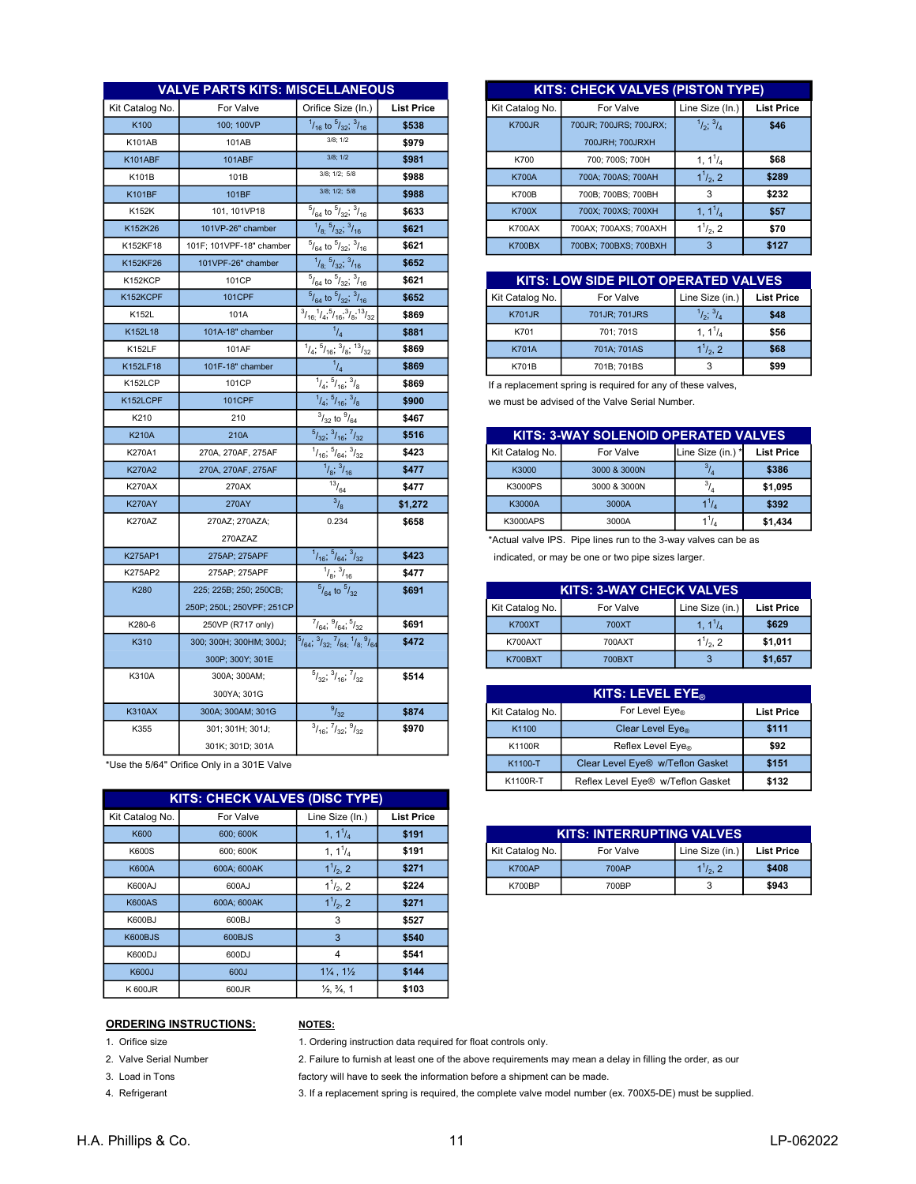|                 | <b>VALVE PARTS KITS: MISCELLANEOUS</b> |                                                                                   |                   |                 | <b>KITS: CHECK VALVES (PISTON TYPE)</b>                         |                                  |                   |
|-----------------|----------------------------------------|-----------------------------------------------------------------------------------|-------------------|-----------------|-----------------------------------------------------------------|----------------------------------|-------------------|
| Kit Catalog No. | For Valve                              | Orifice Size (In.)                                                                | <b>List Price</b> | Kit Catalog No. | For Valve                                                       | Line Size (In.)                  | <b>List Price</b> |
| K100            | 100: 100VP                             | $^{1}/_{16}$ to $^{5}/_{32}$ ; $^{3}/_{16}$                                       | \$538             | <b>K700JR</b>   | 700JR; 700JRS; 700JRX;                                          | $^{1}/_{2}$ ; $^{3}/_{4}$        | \$46              |
| <b>K101AB</b>   | 101AB                                  | $3/8$ ; $1/2$                                                                     | \$979             |                 | 700JRH; 700JRXH                                                 |                                  |                   |
| K101ABF         | 101ABF                                 | $3/8$ ; $1/2$                                                                     | \$981             | K700            | 700; 700S; 700H                                                 | 1, $1^1/4$                       | \$68              |
| K101B           | 101B                                   | 3/8; 1/2; 5/8                                                                     | \$988             | <b>K700A</b>    | 700A; 700AS; 700AH                                              | $1^{1}/_{2}$ , 2                 | \$289             |
| <b>K101BF</b>   | 101BF                                  | 3/8; 1/2; 5/8                                                                     | \$988             | <b>K700B</b>    | 700B; 700BS; 700BH                                              | 3                                | \$232             |
| K152K           | 101, 101VP18                           | $^{5}/_{64}$ to $^{5}/_{32}$ ; $^{3}/_{16}$                                       | \$633             | <b>K700X</b>    | 700X; 700XS; 700XH                                              | $1, 1^{1}/_{4}$                  | \$57              |
| K152K26         | 101VP-26" chamber                      | 1/8.5/32.3/16                                                                     | \$621             | <b>K700AX</b>   | 700AX; 700AXS; 700AXH                                           | $1^{1}/_{2}$ , 2                 | \$70              |
| K152KF18        | 101F; 101VPF-18" chamber               | $^{5}/_{64}$ to $^{5}/_{32}$ ; $^{3}/_{16}$                                       | \$621             | <b>K700BX</b>   | 700BX; 700BXS; 700BXH                                           | $\overline{3}$                   | \$127             |
| K152KF26        | 101VPF-26" chamber                     | $1/8$ ; $5/32$ ; $3/16$                                                           | \$652             |                 |                                                                 |                                  |                   |
| K152KCP         | 101CP                                  | $^{5}/_{64}$ to $^{5}/_{32}$ ; $^{3}/_{16}$                                       | \$621             |                 | KITS: LOW SIDE PILOT OPERATED VALVES                            |                                  |                   |
| K152KCPF        | <b>101CPF</b>                          | $^{5}/_{64}$ to $^{5}/_{32}$ ; $^{3}/_{16}$                                       | \$652             | Kit Catalog No. | For Valve                                                       | Line Size (in.)                  | <b>List Price</b> |
| K152L           | 101A                                   | $\frac{3}{16}$ , $\frac{1}{4}$ , $\frac{5}{16}$ , $\frac{3}{8}$ , $\frac{13}{32}$ | \$869             | <b>K701JR</b>   | 701JR; 701JRS                                                   | $^{1}/_{2}$ ; $^{3}/_{4}$        | \$48              |
| K152L18         | 101A-18" chamber                       | $^{1}/_{4}$                                                                       | \$881             | K701            | 701; 701S                                                       | 1, $1^1/4$                       | \$56              |
| <b>K152LF</b>   | 101AF                                  | $1/4$ ; $5/16$ ; $3/8$ ; $13/32$                                                  | \$869             | <b>K701A</b>    | 701A; 701AS                                                     | $1^{1}/_{2}$ , 2                 | \$68              |
| K152LF18        | 101F-18" chamber                       | $^{1}/_{4}$                                                                       | \$869             | <b>K701B</b>    | 701B; 701BS                                                     | 3                                | \$99              |
| K152LCP         | 101CP                                  | $\frac{1}{1/4}$ ; $\frac{5}{16}$ ; $\frac{3}{8}$                                  | \$869             |                 | If a replacement spring is required for any of these valves,    |                                  |                   |
| K152LCPF        | 101CPF                                 | $^{1}/_{4}$ ; $^{5}/_{16}$ ; $^{3}/_{8}$                                          | \$900             |                 | we must be advised of the Valve Serial Number.                  |                                  |                   |
| K210            | 210                                    | $^{3}/_{32}$ to $^{9}/_{64}$                                                      | \$467             |                 |                                                                 |                                  |                   |
| <b>K210A</b>    | 210A                                   | $5/32$ ; $3/16$ ; $7/32$                                                          | \$516             |                 | KITS: 3-WAY SOLENOID OPERATED VALVES                            |                                  |                   |
| K270A1          | 270A, 270AF, 275AF                     | $^{1}/_{16}$ ; $^{5}/_{64}$ ; $^{3}/_{32}$                                        | \$423             | Kit Catalog No. | For Valve                                                       | Line Size (in.)                  | <b>List Price</b> |
| K270A2          | 270A, 270AF, 275AF                     | $\frac{1}{8}$ ; $\frac{3}{16}$                                                    | \$477             | K3000           | 3000 & 3000N                                                    | $^{3}/_{4}$                      | \$386             |
| <b>K270AX</b>   | 270AX                                  | $\frac{13}{13}$ / <sub>64</sub>                                                   | \$477             | K3000PS         | 3000 & 3000N                                                    | $^{3}/_{4}$                      | \$1,095           |
| <b>K270AY</b>   | <b>270AY</b>                           | $\frac{3}{8}$                                                                     | \$1,272           | K3000A          | 3000A                                                           | $1^{1}/_{4}$                     | \$392             |
| <b>K270AZ</b>   | 270AZ; 270AZA;                         | 0.234                                                                             | \$658             | K3000APS        | 3000A                                                           | $1^{1}/_{4}$                     | \$1,434           |
|                 | 270AZAZ                                |                                                                                   |                   |                 | *Actual valve IPS. Pipe lines run to the 3-way valves can be as |                                  |                   |
| <b>K275AP1</b>  | 275AP; 275APF                          | $1/16$ , $5/64$ , $3/32$                                                          | \$423             |                 | indicated, or may be one or two pipe sizes larger.              |                                  |                   |
| K275AP2         | 275AP; 275APF                          | $^{1}/_{8}$ ; $^{3}/_{16}$                                                        | \$477             |                 |                                                                 |                                  |                   |
| K280            | 225; 225B; 250; 250CB;                 | $^{5}/_{64}$ to $^{5}/_{32}$                                                      | \$691             |                 | <b>KITS: 3-WAY CHECK VALVES</b>                                 |                                  |                   |
|                 | 250P; 250L; 250VPF; 251CP              |                                                                                   |                   | Kit Catalog No. | For Valve                                                       | Line Size (in.)                  | <b>List Price</b> |
| K280-6          | 250VP (R717 only)                      | $^{7}/_{64}$ ; $^{9}/_{64}$ ; $^{5}/_{32}$                                        | \$691             | <b>K700XT</b>   | 700XT                                                           | 1, 1 <sup>1</sup> / <sub>4</sub> | \$629             |
| K310            | 300; 300H; 300HM; 300J;                | $^{5}/_{64}$ , $^{3}/_{32}$ , $^{7}/_{64}$ , $^{1}/_{8}$ , $^{9}/_{64}$           | \$472             | K700AXT         | 700AXT                                                          | $1^{1}/_{2}$ , 2                 | \$1,011           |
|                 | 300P; 300Y; 301E                       |                                                                                   |                   | <b>K700BXT</b>  | <b>700BXT</b>                                                   | 3                                | \$1,657           |
| K310A           | 300A; 300AM;                           | $\frac{5}{32}$ ; $\frac{3}{16}$ ; $\frac{7}{32}$                                  | \$514             |                 |                                                                 |                                  |                   |
|                 | 300YA; 301G                            |                                                                                   |                   |                 | KITS: LEVEL EYE <sub>®</sub>                                    |                                  |                   |
| <b>K310AX</b>   | 300A; 300AM; 301G                      | 9/32                                                                              | \$874             | Kit Catalog No. | For Level Eye®                                                  |                                  | <b>List Price</b> |
| K355            | 301; 301H; 301J;                       | $\frac{3}{16}$ ; $\frac{7}{32}$ ; $\frac{9}{32}$                                  | \$970             | K1100           | Clear Level Eye <sub>®</sub>                                    |                                  | \$111             |
|                 | 301K; 301D; 301A                       |                                                                                   |                   | K1100R          | Reflex Level Eye®                                               |                                  | \$92              |

\*Use the 5/64" Orifice Only in a 301E Valve

|                 | <b>KITS: CHECK VALVES (DISC TYPE)</b> |                                   |                   |  |  |  |  |  |  |  |
|-----------------|---------------------------------------|-----------------------------------|-------------------|--|--|--|--|--|--|--|
| Kit Catalog No. | For Valve                             | Line Size (In.)                   | <b>List Price</b> |  |  |  |  |  |  |  |
| <b>K600</b>     | 600: 600K                             | 1, $1^{1}/_{4}$                   | \$191             |  |  |  |  |  |  |  |
| K600S           | 600; 600K                             | 1, $1^1/4$                        | \$191             |  |  |  |  |  |  |  |
| <b>K600A</b>    | 600A; 600AK                           | $1^{1}/_{2}$ , 2                  | \$271             |  |  |  |  |  |  |  |
| K600AJ          | 600AJ                                 | $1^{1}/_{2}$ , 2                  | \$224             |  |  |  |  |  |  |  |
| <b>K600AS</b>   | 600A; 600AK                           | $1^{1}/_{2}$ , 2                  | \$271             |  |  |  |  |  |  |  |
| K600BJ          | 600BJ                                 | 3                                 | \$527             |  |  |  |  |  |  |  |
| K600BJS         | 600BJS                                | 3                                 | \$540             |  |  |  |  |  |  |  |
| K600DJ          | 600DJ                                 | 4                                 | \$541             |  |  |  |  |  |  |  |
| <b>K600J</b>    | 600J                                  | $1\frac{1}{4}$ , $1\frac{1}{2}$   | \$144             |  |  |  |  |  |  |  |
| K 600JR         | 600JR                                 | $\frac{1}{2}$ , $\frac{3}{4}$ , 1 | \$103             |  |  |  |  |  |  |  |

|     | <b>VALVE PARTS KITS: MISCELLANEOUS</b> |                                             |                   |                 | <b>KITS: CHECK VALVES (PISTON TYPE)</b> |                           |                   |
|-----|----------------------------------------|---------------------------------------------|-------------------|-----------------|-----------------------------------------|---------------------------|-------------------|
| No. | For Valve                              | Orifice Size (In.)                          | <b>List Price</b> | Kit Catalog No. | For Valve                               | Line Size (In.)           | <b>List Price</b> |
|     | 100: 100VP                             | $^{1}/_{16}$ to $^{5}/_{32}$ ; $^{3}/_{16}$ | \$538             | <b>K700JR</b>   | 700JR: 700JRS: 700JRX:                  | $^{1}/_{2}$ ; $^{3}/_{4}$ | \$46              |
|     | 101AB                                  | 3/8:1/2                                     | \$979             |                 | 700JRH: 700JRXH                         |                           |                   |
|     | <b>101ABF</b>                          | 3/8:1/2                                     | \$981             | K700            | 700: 700S: 700H                         | 1, $1^1/4$                | \$68              |
|     | 101B                                   | $3/8$ ; $1/2$ ; $5/8$                       | \$988             | <b>K700A</b>    | 700A: 700AS: 700AH                      | $1^{1}/_{2}$ , 2          | \$289             |
|     | 101BF                                  | $3/8$ : $1/2$ : $5/8$                       | \$988             | <b>K700B</b>    | 700B: 700BS: 700BH                      | 3                         | \$232             |
|     | 101.101VP18                            | $^{5}/_{64}$ to $^{5}/_{32}$ ; $^{3}/_{16}$ | \$633             | <b>K700X</b>    | 700X: 700XS: 700XH                      | 1, $1^1/4$                | \$57              |
|     | 101VP-26" chamber                      | $^{1}/_{8}$ ; $^{5}/_{32}$ ; $^{3}/_{16}$   | \$621             | <b>K700AX</b>   | 700AX: 700AXS: 700AXH                   | $1^{1}/_{2}$ , 2          | \$70              |
|     | 101F: 101VPF-18" chamber               | $^{5}/_{64}$ to $^{5}/_{32}$ ; $^{3}/_{16}$ | \$621             | <b>K700BX</b>   | 700BX: 700BXS: 700BXH                   | 3                         | \$127             |

| $\frac{1}{32}$ , $\frac{3}{16}$ | \$621 |                 | <b>KITS: LOW SIDE PILOT OPERATED VALVES</b> |                           |                   |  |  |  |  |  |
|---------------------------------|-------|-----------------|---------------------------------------------|---------------------------|-------------------|--|--|--|--|--|
| $\frac{5}{32}$ , $\frac{3}{16}$ | \$652 | Kit Catalog No. | For Valve                                   | Line Size (in.)           | <b>List Price</b> |  |  |  |  |  |
| $16^{3}/8, 13/3$<br>$1_{32}$    | \$869 | <b>K701JR</b>   | 701JR; 701JRS                               | $^{1}/_{2}$ ; $^{3}/_{4}$ | \$48              |  |  |  |  |  |
| 14                              | \$881 | K701            | 701: 701S                                   | 1. 1'/.                   | \$56              |  |  |  |  |  |
| $^{3}/_{8}$ ; $^{13}/_{32}$     | \$869 | <b>K701A</b>    | 701A: 701AS                                 | $1^1/2$ , 2               | \$68              |  |  |  |  |  |
| 14                              | \$869 | <b>K701B</b>    | 701B: 701BS                                 | ົ                         | \$99              |  |  |  |  |  |
|                                 |       |                 |                                             |                           |                   |  |  |  |  |  |

| '04                            |         |                 |                                             |                   |                   |  |  |  |  |  |
|--------------------------------|---------|-----------------|---------------------------------------------|-------------------|-------------------|--|--|--|--|--|
| $\frac{7}{3}$ ; $\frac{7}{32}$ | \$516   |                 | <b>KITS: 3-WAY SOLENOID OPERATED VALVES</b> |                   |                   |  |  |  |  |  |
| $\frac{3}{2}$                  | \$423   | Kit Catalog No. | For Valve                                   | Line Size (in.) * | <b>List Price</b> |  |  |  |  |  |
| $I_{16}$                       | \$477   | K3000           | 3000 & 3000N                                |                   | \$386             |  |  |  |  |  |
| 4                              | \$477   | K3000PS         | 3000 & 3000N                                |                   | \$1,095           |  |  |  |  |  |
|                                | \$1,272 | K3000A          | 3000A                                       | $1^{\prime}/_{4}$ | \$392             |  |  |  |  |  |
| ١4                             | \$658   | <b>K3000APS</b> | 3000A                                       |                   | \$1,434           |  |  |  |  |  |
|                                |         |                 |                                             |                   |                   |  |  |  |  |  |

| 225; 225B; 250; 250CB;    | $\frac{3}{4}$ to $\frac{5}{32}$                                             | \$691 | <b>KITS: 3-WAY CHECK VALVES</b> |           |                  |            |
|---------------------------|-----------------------------------------------------------------------------|-------|---------------------------------|-----------|------------------|------------|
| 250P: 250L: 250VPF: 251CP |                                                                             |       | Kit Catalog No.                 | For Valve | Line Size (in.)  | List Price |
| 250VP (R717 only)         | $^{7}/_{64}$ ; $^{9}/_{64}$ ; $^{5}/_{32}$                                  | \$691 | <b>K700XT</b>                   | 700XT     | 1, $1^1/4$       | \$629      |
| 300; 300H; 300HM; 300J;   | $3/32; \frac{7}{64}$ ; $1/8$ ; $\frac{9}{64}$<br>$^{5}/_{64}$ , $^{3}/_{3}$ | \$472 | K700AXT                         | 700AXT    | $1^{1}/_{2}$ , 2 | \$1.011    |
| 300P; 300Y; 301E          |                                                                             |       | <b>K700BXT</b>                  | 700BXT    |                  | \$1,657    |

| 300YA: 301G          |                                                  |       |                 | <b>KITS: LEVEL EYE</b>            |                   |
|----------------------|--------------------------------------------------|-------|-----------------|-----------------------------------|-------------------|
| 800A; 300AM; 301G    | 9/32                                             | \$874 | Kit Catalog No. | For Level $Eve_{\otimes}$         | <b>List Price</b> |
| 301; 301H; 301J;     | $\frac{3}{16}$ , $\frac{7}{32}$ , $\frac{9}{32}$ | \$970 | K1100           | Clear Level Eye <sub>®</sub>      | \$111             |
| 301K: 301D: 301A     |                                                  |       | K1100R          | Reflex Level Eye <sub>®</sub>     | \$92              |
| Only in a 301E Valve |                                                  |       | K1100-T         | Clear Level Eye® w/Teflon Gasket  | \$151             |
|                      |                                                  |       | K1100R-T        | Reflex Level Eye® w/Teflon Gasket | \$132             |

| -- | --------- |                                  |           |                  |                   |  |  |  |  |  |
|----|-----------|----------------------------------|-----------|------------------|-------------------|--|--|--|--|--|
|    | \$191     | <b>KITS: INTERRUPTING VALVES</b> |           |                  |                   |  |  |  |  |  |
|    | \$191     | Kit Catalog No.                  | For Valve | Line Size (in.)  | <b>List Price</b> |  |  |  |  |  |
|    | \$271     | <b>K700AP</b>                    | 700AP     | $1^{1}/_{2}$ , 2 | \$408             |  |  |  |  |  |
|    | \$224     | <b>K700BP</b>                    | 700BP     |                  | \$943             |  |  |  |  |  |

## ORDERING INSTRUCTIONS: NOTES:

1. Orifice size

- 2. Valve Serial Number
- 3. Load in Tons
- 4. Refrigerant

1. Ordering instruction data required for float controls only.

2. Failure to furnish at least one of the above requirements may mean a delay in filling the order, as our

factory will have to seek the information before a shipment can be made.

3. If a replacement spring is required, the complete valve model number (ex. 700X5-DE) must be supplied.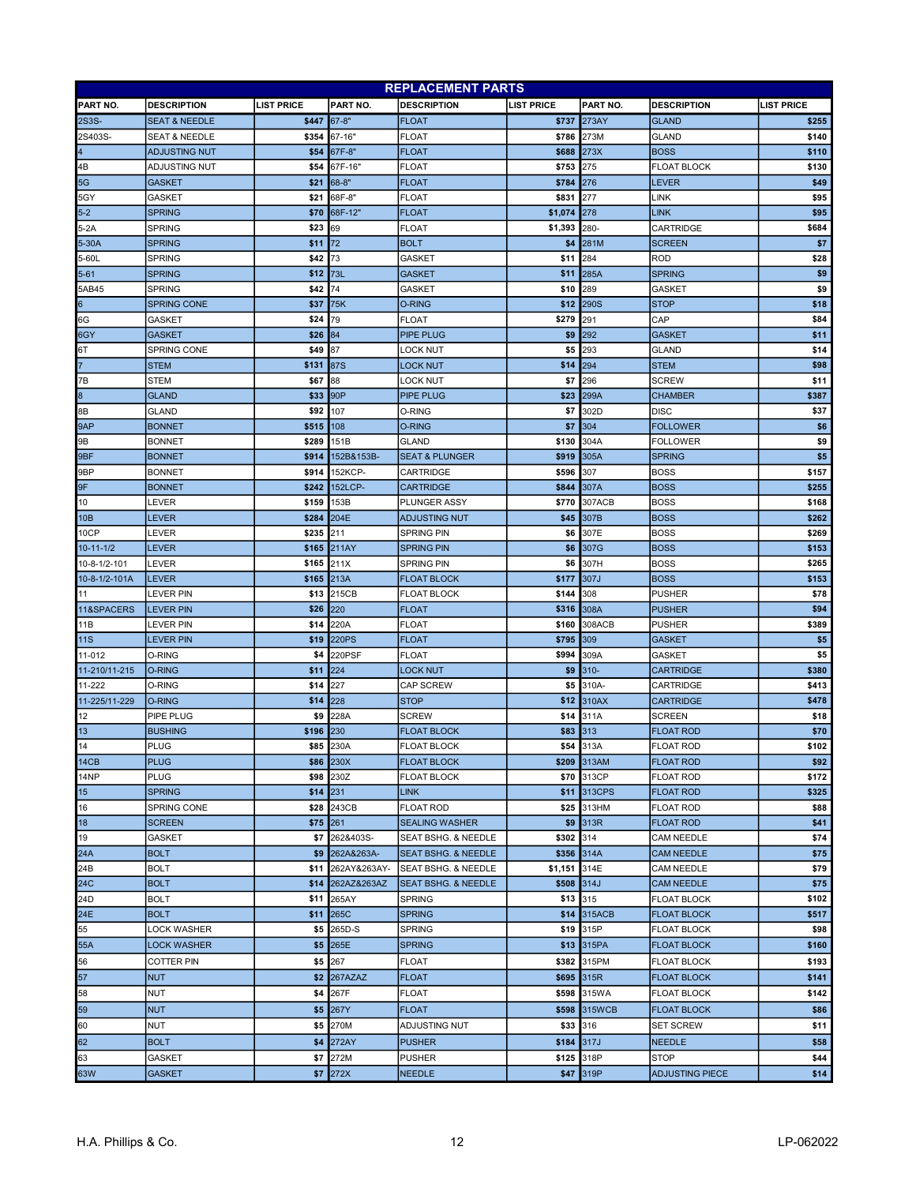| <b>REPLACEMENT PARTS</b> |                          |                   |                   |                                |                   |              |                        |                   |
|--------------------------|--------------------------|-------------------|-------------------|--------------------------------|-------------------|--------------|------------------------|-------------------|
| PART NO.                 | <b>DESCRIPTION</b>       | <b>LIST PRICE</b> | PART NO.          | <b>DESCRIPTION</b>             | <b>LIST PRICE</b> | PART NO.     | <b>DESCRIPTION</b>     | <b>LIST PRICE</b> |
| 2S3S-                    | <b>SEAT &amp; NEEDLE</b> | \$447             | $67 - 8"$         | <b>FLOAT</b>                   | \$737             | 273AY        | <b>GLAND</b>           | \$255             |
| 2S403S-                  | <b>SEAT &amp; NEEDLE</b> | \$354             | 67-16"            | <b>FLOAT</b>                   | \$786             | 273M         | <b>GLAND</b>           | \$140             |
| $\overline{4}$           | <b>ADJUSTING NUT</b>     | \$54              | 67F-8"            | <b>FLOAT</b>                   | \$688             | 273X         | <b>BOSS</b>            | \$110             |
| 4B                       | <b>ADJUSTING NUT</b>     | \$54              | 67F-16"           | <b>FLOAT</b>                   | \$753             | 275          | <b>FLOAT BLOCK</b>     | \$130             |
| 5G                       | <b>GASKET</b>            | \$21              | 68-8"             | <b>FLOAT</b>                   | \$784             | 276          | LEVER                  | \$49              |
| 5GY                      | <b>GASKET</b>            | \$21              | 68F-8"            | FLOAT                          | \$831             | 277          | LINK                   | \$95              |
| $5-2$                    | <b>SPRING</b>            | \$70              | 68F-12"           | <b>FLOAT</b>                   | \$1,074           | 278          | <b>LINK</b>            | \$95              |
| 5-2A                     | <b>SPRING</b>            | \$23              | 69                | <b>FLOAT</b>                   | \$1,393           | 280-         | <b>CARTRIDGE</b>       | \$684             |
| 5-30A                    | <b>SPRING</b>            | \$11              | 72                | <b>BOLT</b>                    | \$4               | 281M         | <b>SCREEN</b>          | \$7               |
| 5-60L                    | <b>SPRING</b>            | \$42              | 73                | <b>GASKET</b>                  | \$11              | 284          | <b>ROD</b>             | \$28              |
| 5-61                     | <b>SPRING</b>            | \$12              | 73L               | <b>GASKET</b>                  | \$11              | 285A         | <b>SPRING</b>          | \$9               |
| 5AB45                    | <b>SPRING</b>            | \$42              | 74                | <b>GASKET</b>                  | \$10              | 289          | <b>GASKET</b>          | \$9               |
| 6                        | <b>SPRING CONE</b>       | \$37              | 75K               | <b>O-RING</b>                  | \$12              | <b>290S</b>  | <b>STOP</b>            | \$18              |
| 6G                       | GASKET                   | \$24              | 79                | <b>FLOAT</b>                   | \$279             | 291          | CAP                    | \$84              |
| 6GY                      | <b>GASKET</b>            | \$26              | 84                | PIPE PLUG                      | \$9               | 292          | <b>GASKET</b>          | \$11              |
| 6T                       | <b>SPRING CONE</b>       | \$49              | 87                | LOCK NUT                       | \$5               | 293          | <b>GLAND</b>           | \$14              |
|                          | <b>STEM</b>              | \$131             | <b>87S</b>        | LOCK NUT                       | \$14              | 294          | STEM                   | \$98              |
| 7В                       | <b>STEM</b>              | \$67              | 88                | LOCK NUT                       | \$7               | 296          | <b>SCREW</b>           | \$11              |
| $\overline{\mathbf{8}}$  | <b>GLAND</b>             | \$33              | 90 <sub>P</sub>   | PIPE PLUG                      | \$23              | 299A         | <b>CHAMBER</b>         | \$387             |
| 8Β                       | <b>GLAND</b>             | \$92              | 107               | 0-RING                         | \$7               | 302D         | <b>DISC</b>            | \$37              |
| 9AP                      | <b>BONNET</b>            | \$515             | 108               | <b>O-RING</b>                  | \$7               | 304          | <b>FOLLOWER</b>        | \$6               |
| 9B                       | <b>BONNET</b>            | \$289             | 151B              | <b>GLAND</b>                   | \$130             | 304A         | <b>FOLLOWER</b>        | \$9               |
| 9BF                      | <b>BONNET</b>            | \$914             | 152B&153B-        | <b>SEAT &amp; PLUNGER</b>      | \$919             | 305A         | <b>SPRING</b>          | \$5               |
| 9BP                      | <b>BONNET</b>            | \$914             | 152KCP-           | CARTRIDGE                      | \$596             | 307          | <b>BOSS</b>            | \$157             |
| 9F                       | <b>BONNET</b>            | \$242             | 152LCP-           | <b>CARTRIDGE</b>               | \$844             | 307A         | <b>BOSS</b>            | \$255             |
| 10                       | LEVER                    | \$159             | 153B              | PLUNGER ASSY                   | \$770             | 307ACB       | <b>BOSS</b>            | \$168             |
| 10B                      | <b>LEVER</b>             | \$284             | 204E              | <b>ADJUSTING NUT</b>           | \$45              | 307B         | <b>BOSS</b>            | \$262             |
| 10CP                     | LEVER                    | \$235             | 211               | <b>SPRING PIN</b>              | \$6               | 307E         | <b>BOSS</b>            | \$269             |
| $10 - 11 - 1/2$          | <b>LEVER</b>             | \$165             | 211AY             | <b>SPRING PIN</b>              | \$6               | 307G         | <b>BOSS</b>            | \$153             |
| 10-8-1/2-101             | LEVER                    | \$165             | 211X              | <b>SPRING PIN</b>              | \$6               | 307H         | <b>BOSS</b>            | \$265             |
| 10-8-1/2-101A            | <b>LEVER</b>             | \$165             | 213A              | <b>FLOAT BLOCK</b>             | \$177             | 307J         | <b>BOSS</b>            | \$153             |
| 11                       | LEVER PIN                | \$13              | 215CB             | <b>FLOAT BLOCK</b>             | \$144             | 308          | <b>PUSHER</b>          | \$78              |
| 11&SPACERS               | <b>LEVER PIN</b>         | \$26              | 220               | <b>FLOAT</b>                   | \$316             | 308A         | <b>PUSHER</b>          | \$94              |
| 11B                      | LEVER PIN                | \$14              | 220A              | <b>FLOAT</b>                   | \$160             | 308ACB       | PUSHER                 | \$389             |
| 11S                      | lever pin                | \$19              | <b>220PS</b>      | <b>FLOAT</b>                   | \$795             | 309          | <b>GASKET</b>          | \$5               |
| 11-012                   | O-RING                   | \$4               | 220PSF            | <b>FLOAT</b>                   | \$994             | 309A         | GASKET                 | \$5               |
| 11-210/11-215            | O-RING                   | \$11              | 224               | LOCK NUT                       | \$9               | $310 -$      | <b>CARTRIDGE</b>       | \$380             |
| 11-222                   | O-RING                   | \$14              | 227               | CAP SCREW                      | \$5               | 310A-        | CARTRIDGE              | \$413             |
| 11-225/11-229            | O-RING                   | \$14              | 228               | <b>STOP</b>                    | \$12              | 310AX        | <b>CARTRIDGE</b>       | \$478             |
| 12                       | PIPE PLUG                | \$9               | 228A              | <b>SCREW</b>                   | \$14              | 311A         | <b>SCREEN</b>          | \$18              |
| 13                       | <b>BUSHING</b>           | \$196             | 230               | <b>FLOAT BLOCK</b>             | \$83              | 313          | <b>FLOAT ROD</b>       | \$70              |
| 14                       | <b>PLUG</b>              |                   | \$85 230A         | <b>FLOAT BLOCK</b>             |                   | \$54 313A    | <b>FLOAT ROD</b>       | \$102             |
| 14CB                     | <b>PLUG</b>              |                   | \$86 230X         | <b>FLOAT BLOCK</b>             |                   | \$209 313AM  | <b>FLOAT ROD</b>       | \$92              |
| 14NP                     | <b>PLUG</b>              | \$98              | 230Z              | <b>FLOAT BLOCK</b>             |                   | \$70 313CP   | <b>FLOAT ROD</b>       | \$172             |
| 15                       | <b>SPRING</b>            | $$14$ 231         |                   | <b>LINK</b>                    |                   | \$11 313CPS  | <b>FLOAT ROD</b>       | \$325             |
| 16                       | <b>SPRING CONE</b>       | \$28              | 243CB             | FLOAT ROD                      |                   | \$25 313HM   | <b>FLOAT ROD</b>       | \$88              |
| 18                       | <b>SCREEN</b>            | \$75 261          |                   | <b>SEALING WASHER</b>          |                   | \$9 313R     | <b>FLOAT ROD</b>       | \$41              |
| 19                       | <b>GASKET</b>            | \$7               | 262&403S-         | SEAT BSHG. & NEEDLE            | \$302 314         |              | <b>CAM NEEDLE</b>      | \$74              |
| 24A                      | <b>BOLT</b>              | \$9               | 262A&263A-        | <b>SEAT BSHG. &amp; NEEDLE</b> |                   | \$356 314A   | <b>CAM NEEDLE</b>      | \$75              |
| 24B                      | <b>BOLT</b>              |                   | \$11 262AY&263AY- | SEAT BSHG. & NEEDLE            | \$1,151           | 314E         | <b>CAM NEEDLE</b>      | \$79              |
| 24C                      | <b>BOLT</b>              | \$14              | 262AZ&263AZ       | <b>SEAT BSHG. &amp; NEEDLE</b> | \$508 314J        |              | <b>CAM NEEDLE</b>      | \$75              |
| 24D                      | <b>BOLT</b>              | \$11              | 265AY             | SPRING                         | \$13              | 315          | <b>FLOAT BLOCK</b>     | \$102             |
| 24E                      | <b>BOLT</b>              |                   | \$11 265C         | <b>SPRING</b>                  |                   | \$14 315ACB  | <b>FLOAT BLOCK</b>     | \$517             |
| 55                       | LOCK WASHER              | \$5               | 265D-S            | <b>SPRING</b>                  |                   | \$19 315P    | <b>FLOAT BLOCK</b>     | \$98              |
| 55A                      | <b>LOCK WASHER</b>       |                   | \$5 265E          | <b>SPRING</b>                  |                   | \$13 315PA   | <b>FLOAT BLOCK</b>     | \$160             |
|                          |                          |                   |                   |                                |                   |              |                        |                   |
| 56                       | <b>COTTER PIN</b>        |                   | \$5 267           | FLOAT                          | \$382             | 315PM        | <b>FLOAT BLOCK</b>     | \$193             |
| 57                       | <b>NUT</b>               | \$2               | 267AZAZ           | <b>FLOAT</b>                   |                   | \$695 315R   | <b>FLOAT BLOCK</b>     | \$141             |
| 58                       | <b>NUT</b>               |                   | \$4 267F          | <b>FLOAT</b>                   |                   | \$598 315WA  | <b>FLOAT BLOCK</b>     | \$142             |
| 59                       | <b>NUT</b>               |                   | \$5 267Y          | <b>FLOAT</b>                   |                   | \$598 315WCB | <b>FLOAT BLOCK</b>     | \$86              |
| 60                       | <b>NUT</b>               |                   | \$5 270M          | ADJUSTING NUT                  | \$33 316          |              | <b>SET SCREW</b>       | \$11              |
| 62                       | <b>BOLT</b>              |                   | <b>\$4 272AY</b>  | <b>PUSHER</b>                  | \$184 317J        |              | <b>NEEDLE</b>          | \$58              |
| 63                       | <b>GASKET</b>            |                   | \$7 272M          | <b>PUSHER</b>                  | \$125 318P        |              | <b>STOP</b>            | \$44              |
| 63W                      | <b>GASKET</b>            |                   | <b>\$7 272X</b>   | <b>NEEDLE</b>                  |                   | \$47 319P    | <b>ADJUSTING PIECE</b> | \$14              |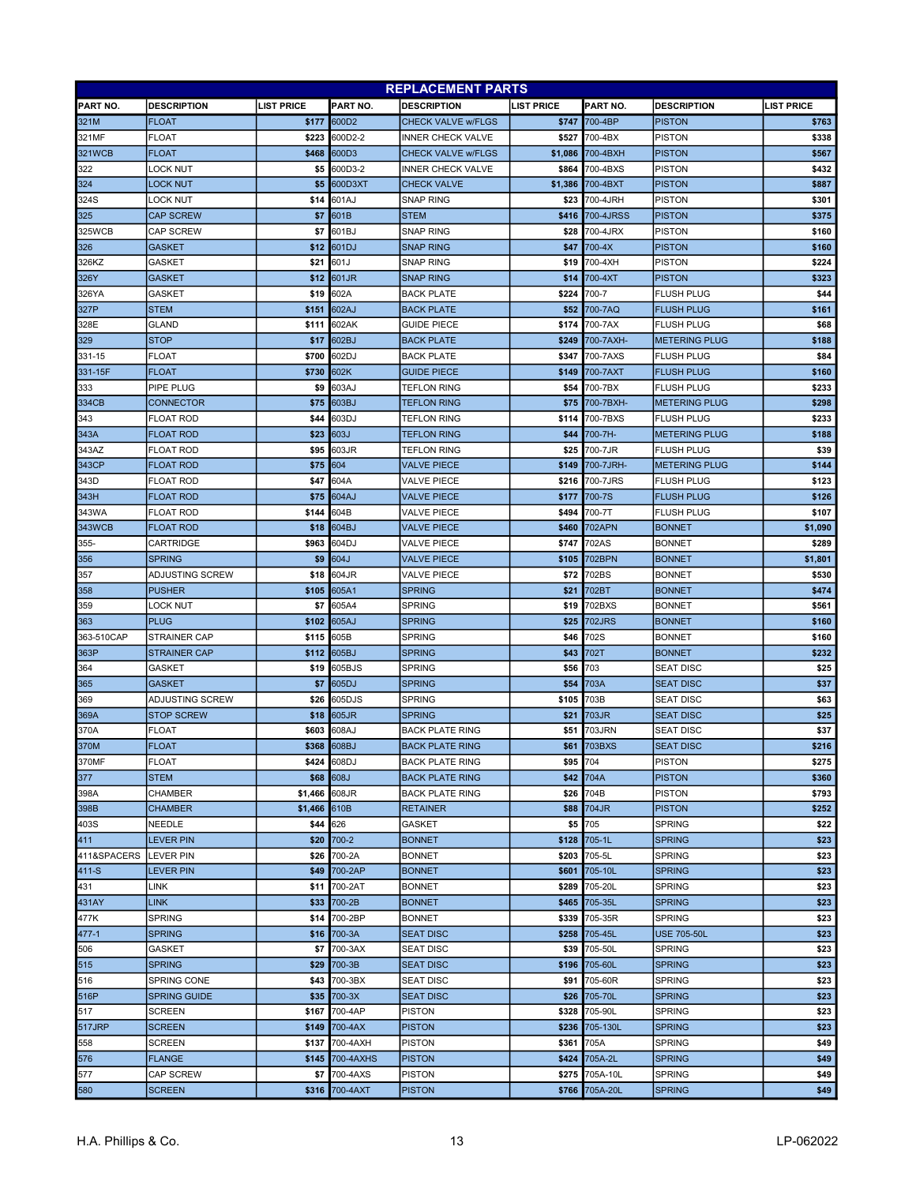| <b>LIST PRICE</b><br>PART NO.<br><b>DESCRIPTION</b><br><b>LIST PRICE</b><br><b>PART NO.</b><br><b>LIST PRICE</b><br>PART NO.<br><b>DESCRIPTION</b><br><b>DESCRIPTION</b><br>600D2<br>700-4BP<br>321M<br><b>FLOAT</b><br>\$177<br><b>CHECK VALVE w/FLGS</b><br>\$747<br><b>PISTON</b><br>\$763<br>FLOAT<br>600D2-2<br><b>PISTON</b><br>321MF<br>\$223<br><b>INNER CHECK VALVE</b><br>\$527 700-4BX<br>\$338<br><b>321WCB</b><br>\$567<br><b>FLOAT</b><br>\$468<br>600D3<br><b>CHECK VALVE w/FLGS</b><br>700-4BXH<br><b>PISTON</b><br>\$1.086<br>\$5<br>600D3-2<br><b>INNER CHECK VALVE</b><br>\$864 700-4BXS<br><b>PISTON</b><br>\$432<br>322<br>LOCK NUT<br>324<br>\$887<br><b>LOCK NUT</b><br>\$5<br>600D3XT<br><b>CHECK VALVE</b><br>700-4BXT<br><b>PISTON</b><br>\$1,386<br>324S<br>LOCK NUT<br>601AJ<br><b>SNAP RING</b><br>\$23 700-4JRH<br><b>PISTON</b><br>\$301<br>\$14<br>\$375<br>325<br><b>CAP SCREW</b><br>\$7<br>601B<br><b>STEM</b><br>700-4JRSS<br><b>PISTON</b><br>\$416<br>325WCB<br>\$7<br>601BJ<br>SNAP RING<br>\$160<br>CAP SCREW<br>\$28<br>700-4JRX<br><b>PISTON</b><br>326<br>601DJ<br><b>SNAP RING</b><br>700-4X<br><b>PISTON</b><br>\$160<br><b>GASKET</b><br>\$12<br>\$47<br>601J<br>\$224<br>326KZ<br><b>GASKET</b><br>\$21<br>SNAP RING<br>\$19 700-4XH<br><b>PISTON</b><br>601JR<br>700-4XT<br>\$323<br>326Y<br><b>GASKET</b><br>\$12<br><b>SNAP RING</b><br>\$14<br><b>PISTON</b><br>602A<br>\$224<br>\$19<br>700-7<br><b>FLUSH PLUG</b><br>\$44<br>326YA<br>GASKET<br><b>BACK PLATE</b><br>327P<br>602AJ<br>\$161<br><b>STEM</b><br>\$151<br>700-7AQ<br><b>FLUSH PLUG</b><br><b>BACK PLATE</b><br>\$52<br><b>GLAND</b><br>602AK<br>700-7AX<br>328E<br>\$111<br><b>GUIDE PIECE</b><br>\$174<br><b>FLUSH PLUG</b><br>\$68<br>329<br><b>STOP</b><br>\$17<br>602BJ<br>\$249<br>700-7AXH-<br><b>METERING PLUG</b><br>\$188<br><b>BACK PLATE</b><br>331-15<br>FLOAT<br>\$700<br>602DJ<br>\$347<br>700-7AXS<br><b>FLUSH PLUG</b><br>\$84<br><b>BACK PLATE</b><br>331-15F<br><b>FLOAT</b><br>\$730<br>602K<br><b>GUIDE PIECE</b><br>\$149 700-7AXT<br><b>FLUSH PLUG</b><br>\$160<br>333<br>PIPE PLUG<br>\$9<br>603AJ<br>TEFLON RING<br>\$54<br>700-7BX<br><b>FLUSH PLUG</b><br>\$233<br>334CB<br><b>CONNECTOR</b><br>\$75<br>603BJ<br><b>TEFLON RING</b><br>\$75<br>700-7BXH-<br><b>METERING PLUG</b><br>\$298<br>343<br>\$44<br>603DJ<br>TEFLON RING<br>\$114<br>700-7BXS<br><b>FLUSH PLUG</b><br>\$233<br>FLOAT ROD<br>343A<br><b>FLOAT ROD</b><br>\$23<br>603J<br><b>TEFLON RING</b><br>\$44 700-7H-<br><b>METERING PLUG</b><br>\$188<br>343AZ<br>\$95<br>603JR<br><b>TEFLON RING</b><br>700-7JR<br><b>FLUSH PLUG</b><br>\$39<br>FLOAT ROD<br>\$25<br>343CP<br><b>FLOAT ROD</b><br>\$75<br>604<br><b>VALVE PIECE</b><br>\$149<br>700-7JRH-<br><b>METERING PLUG</b><br>\$144<br>343D<br><b>FLOAT ROD</b><br>\$47<br>604A<br><b>VALVE PIECE</b><br>\$216<br>700-7JRS<br><b>FLUSH PLUG</b><br>\$123<br>343H<br><b>FLOAT ROD</b><br>\$75<br>604AJ<br><b>VALVE PIECE</b><br>\$177<br>700-7S<br><b>FLUSH PLUG</b><br>\$126<br>343WA<br><b>FLOAT ROD</b><br>\$144<br>604B<br>VALVE PIECE<br>\$494<br>700-7T<br><b>FLUSH PLUG</b><br>\$107<br>343WCB<br><b>FLOAT ROD</b><br>\$18<br>604BJ<br><b>VALVE PIECE</b><br>\$460<br>702APN<br><b>BONNET</b><br>\$1,090<br>\$289<br>\$963<br>604DJ<br>\$747<br>702AS<br><b>BONNET</b><br>355-<br>CARTRIDGE<br>VALVE PIECE<br>356<br><b>SPRING</b><br>\$9<br>604J<br><b>VALVE PIECE</b><br>702BPN<br><b>BONNET</b><br>\$1,801<br>\$105<br>357<br>ADJUSTING SCREW<br>\$18<br>604JR<br>VALVE PIECE<br>\$72<br>702BS<br><b>BONNET</b><br>\$530<br><b>PUSHER</b><br>\$105<br>605A1<br><b>SPRING</b><br>\$21<br>702BT<br>\$474<br>358<br><b>BONNET</b><br>605A4<br><b>SPRING</b><br>702BXS<br>\$561<br>359<br>LOCK NUT<br>\$7<br>\$19<br><b>BONNET</b><br>605AJ<br><b>SPRING</b><br>363<br><b>PLUG</b><br>\$102<br>\$25<br><b>702JRS</b><br><b>BONNET</b><br>\$160<br>363-510CAP<br>605B<br><b>SPRING</b><br>\$46 702S<br>\$160<br><b>STRAINER CAP</b><br>\$115<br><b>BONNET</b><br>363P<br>605BJ<br>702T<br>\$232<br>\$112<br><b>SPRING</b><br>\$43<br><b>BONNET</b><br><b>STRAINER CAP</b><br>605BJS<br><b>SPRING</b><br>\$25<br>364<br>\$19<br>\$56 703<br>GASKET<br><b>SEAT DISC</b><br><b>SPRING</b><br>703A<br>\$37<br>365<br>\$7<br>605DJ<br>\$54<br><b>SEAT DISC</b><br><b>GASKET</b><br><b>SPRING</b><br>703B<br>369<br>ADJUSTING SCREW<br>\$26<br>605DJS<br>\$105<br><b>SEAT DISC</b><br>\$63<br>703JR<br>\$25<br>369A<br><b>STOP SCREW</b><br>605JR<br><b>SPRING</b><br><b>SEAT DISC</b><br>\$18<br>\$21<br>\$37<br>370A<br><b>FLOAT</b><br>\$603<br>608AJ<br><b>BACK PLATE RING</b><br>\$51 703JRN<br><b>SEAT DISC</b><br><b>\$61 703BXS</b><br><b>FLOAT</b><br>\$368 608BJ<br><b>BACK PLATE RING</b><br><b>SEAT DISC</b><br>\$216<br>\$95 704<br>370MF<br>FLOAT<br>\$424 608DJ<br><b>BACK PLATE RING</b><br><b>PISTON</b><br>\$275<br>608J<br>\$42 704A<br><b>PISTON</b><br>\$360<br>377<br><b>STEM</b><br>\$68<br><b>BACK PLATE RING</b><br>\$1,466 608JR<br>\$26 704B<br><b>PISTON</b><br>\$793<br>398A<br><b>CHAMBER</b><br><b>BACK PLATE RING</b><br>398B<br>\$1,466 610B<br>\$88 704JR<br><b>PISTON</b><br>\$252<br><b>CHAMBER</b><br><b>RETAINER</b><br>\$5 705<br><b>SPRING</b><br>403S<br>NEEDLE<br>\$44<br>626<br><b>GASKET</b><br>\$22<br>411<br>700-2<br>\$128 705-1L<br><b>LEVER PIN</b><br><b>BONNET</b><br><b>SPRING</b><br>\$23<br>\$20<br>\$203 705-5L<br><b>SPRING</b><br>411&SPACERS<br>LEVER PIN<br>\$26<br>700-2A<br><b>BONNET</b><br>\$23<br>$411-S$<br>700-2AP<br>705-10L<br><b>SPRING</b><br>\$23<br><b>LEVER PIN</b><br>\$49<br><b>BONNET</b><br>\$601<br>\$289 705-20L<br><b>SPRING</b><br>431<br>\$11<br>700-2AT<br><b>BONNET</b><br>\$23<br>LINK<br>431AY<br>700-2B<br>\$465 705-35L<br><b>SPRING</b><br>\$23<br><b>LINK</b><br>\$33<br><b>BONNET</b><br><b>SPRING</b><br>700-2BP<br>\$339 705-35R<br><b>SPRING</b><br>\$23<br>477K<br>\$14<br><b>BONNET</b><br>\$23<br>$477 - 1$<br><b>SPRING</b><br>700-3A<br>\$258 705-45L<br><b>USE 705-50L</b><br>\$16<br><b>SEAT DISC</b><br>\$39 705-50L<br><b>SPRING</b><br>\$23<br>GASKET<br>\$7<br>700-3AX<br><b>SEAT DISC</b><br>506<br>\$23<br>515<br><b>SPRING</b><br>\$29<br>700-3B<br><b>SEAT DISC</b><br>\$196 705-60L<br><b>SPRING</b><br>700-3BX<br><b>SEAT DISC</b><br>\$91 705-60R<br><b>SPRING</b><br>\$23<br>516<br><b>SPRING CONE</b><br>\$43<br>516P<br>\$35<br>700-3X<br><b>SEAT DISC</b><br>\$26 705-70L<br><b>SPRING</b><br>\$23<br><b>SPRING GUIDE</b><br>\$328 705-90L<br><b>SPRING</b><br>\$23<br>517<br><b>SCREEN</b><br>\$167<br>700-4AP<br><b>PISTON</b><br>517JRP<br><b>SCREEN</b><br>\$149<br>700-4AX<br><b>PISTON</b><br>\$236 705-130L<br><b>SPRING</b><br>\$23<br>700-4AXH<br><b>PISTON</b><br>705A<br><b>SPRING</b><br>\$49<br>558<br><b>SCREEN</b><br>\$137<br>\$361<br>700-4AXHS<br><b>PISTON</b><br>\$424<br>705A-2L<br><b>SPRING</b><br>\$49<br>576<br><b>FLANGE</b><br>\$145<br>\$275 705A-10L<br>\$49<br>CAP SCREW<br>\$7<br>700-4AXS<br><b>PISTON</b><br><b>SPRING</b><br>577<br><b>PISTON</b><br><b>SPRING</b><br>\$49<br>580<br><b>SCREEN</b><br>\$316<br>700-4AXT<br>\$766 705A-20L | <b>REPLACEMENT PARTS</b> |  |  |  |  |  |  |  |  |
|-----------------------------------------------------------------------------------------------------------------------------------------------------------------------------------------------------------------------------------------------------------------------------------------------------------------------------------------------------------------------------------------------------------------------------------------------------------------------------------------------------------------------------------------------------------------------------------------------------------------------------------------------------------------------------------------------------------------------------------------------------------------------------------------------------------------------------------------------------------------------------------------------------------------------------------------------------------------------------------------------------------------------------------------------------------------------------------------------------------------------------------------------------------------------------------------------------------------------------------------------------------------------------------------------------------------------------------------------------------------------------------------------------------------------------------------------------------------------------------------------------------------------------------------------------------------------------------------------------------------------------------------------------------------------------------------------------------------------------------------------------------------------------------------------------------------------------------------------------------------------------------------------------------------------------------------------------------------------------------------------------------------------------------------------------------------------------------------------------------------------------------------------------------------------------------------------------------------------------------------------------------------------------------------------------------------------------------------------------------------------------------------------------------------------------------------------------------------------------------------------------------------------------------------------------------------------------------------------------------------------------------------------------------------------------------------------------------------------------------------------------------------------------------------------------------------------------------------------------------------------------------------------------------------------------------------------------------------------------------------------------------------------------------------------------------------------------------------------------------------------------------------------------------------------------------------------------------------------------------------------------------------------------------------------------------------------------------------------------------------------------------------------------------------------------------------------------------------------------------------------------------------------------------------------------------------------------------------------------------------------------------------------------------------------------------------------------------------------------------------------------------------------------------------------------------------------------------------------------------------------------------------------------------------------------------------------------------------------------------------------------------------------------------------------------------------------------------------------------------------------------------------------------------------------------------------------------------------------------------------------------------------------------------------------------------------------------------------------------------------------------------------------------------------------------------------------------------------------------------------------------------------------------------------------------------------------------------------------------------------------------------------------------------------------------------------------------------------------------------------------------------------------------------------------------------------------------------------------------------------------------------------------------------------------------------------------------------------------------------------------------------------------------------------------------------------------------------------------------------------------------------------------------------------------------------------------------------------------------------------------------------------------------------------------------------------------------------------------------------------------------------------------------------------------------------------------------------------------------------------------------------------------------------------------------------------------------------------------------------------------------------------------------------------------------------------------------------------------------------------------------------------------------------------------------------------------------------------------------------------------------------------------------------------------------------------------------------------------------------------------------------------------------------------------------------------------------------------------------------------------------------------------------------------------------------------------------------------------------------------------------------------------------------------------------------------------------------------------------------------------------------------------------------------------------------------------------------------------------------------------------------------------------------------------------------------------------------------------------------------------------------------------------------------------------------------------------------------------------------------------------------------------------------------------------------------------------------------------------------------------------------------------------------------------------------------------------------------------------------------------------------------------------------------------------------------------------------------------------------------------------------------------------------------|--------------------------|--|--|--|--|--|--|--|--|
|                                                                                                                                                                                                                                                                                                                                                                                                                                                                                                                                                                                                                                                                                                                                                                                                                                                                                                                                                                                                                                                                                                                                                                                                                                                                                                                                                                                                                                                                                                                                                                                                                                                                                                                                                                                                                                                                                                                                                                                                                                                                                                                                                                                                                                                                                                                                                                                                                                                                                                                                                                                                                                                                                                                                                                                                                                                                                                                                                                                                                                                                                                                                                                                                                                                                                                                                                                                                                                                                                                                                                                                                                                                                                                                                                                                                                                                                                                                                                                                                                                                                                                                                                                                                                                                                                                                                                                                                                                                                                                                                                                                                                                                                                                                                                                                                                                                                                                                                                                                                                                                                                                                                                                                                                                                                                                                                                                                                                                                                                                                                                                                                                                                                                                                                                                                                                                                                                                                                                                                                                                                                                                                                                                                                                                                                                                                                                                                                                                                                                                                                                                                                                                                                                                                                                                                                                                                                                                                                                                                                                                                                                                                                                                 |                          |  |  |  |  |  |  |  |  |
|                                                                                                                                                                                                                                                                                                                                                                                                                                                                                                                                                                                                                                                                                                                                                                                                                                                                                                                                                                                                                                                                                                                                                                                                                                                                                                                                                                                                                                                                                                                                                                                                                                                                                                                                                                                                                                                                                                                                                                                                                                                                                                                                                                                                                                                                                                                                                                                                                                                                                                                                                                                                                                                                                                                                                                                                                                                                                                                                                                                                                                                                                                                                                                                                                                                                                                                                                                                                                                                                                                                                                                                                                                                                                                                                                                                                                                                                                                                                                                                                                                                                                                                                                                                                                                                                                                                                                                                                                                                                                                                                                                                                                                                                                                                                                                                                                                                                                                                                                                                                                                                                                                                                                                                                                                                                                                                                                                                                                                                                                                                                                                                                                                                                                                                                                                                                                                                                                                                                                                                                                                                                                                                                                                                                                                                                                                                                                                                                                                                                                                                                                                                                                                                                                                                                                                                                                                                                                                                                                                                                                                                                                                                                                                 |                          |  |  |  |  |  |  |  |  |
|                                                                                                                                                                                                                                                                                                                                                                                                                                                                                                                                                                                                                                                                                                                                                                                                                                                                                                                                                                                                                                                                                                                                                                                                                                                                                                                                                                                                                                                                                                                                                                                                                                                                                                                                                                                                                                                                                                                                                                                                                                                                                                                                                                                                                                                                                                                                                                                                                                                                                                                                                                                                                                                                                                                                                                                                                                                                                                                                                                                                                                                                                                                                                                                                                                                                                                                                                                                                                                                                                                                                                                                                                                                                                                                                                                                                                                                                                                                                                                                                                                                                                                                                                                                                                                                                                                                                                                                                                                                                                                                                                                                                                                                                                                                                                                                                                                                                                                                                                                                                                                                                                                                                                                                                                                                                                                                                                                                                                                                                                                                                                                                                                                                                                                                                                                                                                                                                                                                                                                                                                                                                                                                                                                                                                                                                                                                                                                                                                                                                                                                                                                                                                                                                                                                                                                                                                                                                                                                                                                                                                                                                                                                                                                 |                          |  |  |  |  |  |  |  |  |
|                                                                                                                                                                                                                                                                                                                                                                                                                                                                                                                                                                                                                                                                                                                                                                                                                                                                                                                                                                                                                                                                                                                                                                                                                                                                                                                                                                                                                                                                                                                                                                                                                                                                                                                                                                                                                                                                                                                                                                                                                                                                                                                                                                                                                                                                                                                                                                                                                                                                                                                                                                                                                                                                                                                                                                                                                                                                                                                                                                                                                                                                                                                                                                                                                                                                                                                                                                                                                                                                                                                                                                                                                                                                                                                                                                                                                                                                                                                                                                                                                                                                                                                                                                                                                                                                                                                                                                                                                                                                                                                                                                                                                                                                                                                                                                                                                                                                                                                                                                                                                                                                                                                                                                                                                                                                                                                                                                                                                                                                                                                                                                                                                                                                                                                                                                                                                                                                                                                                                                                                                                                                                                                                                                                                                                                                                                                                                                                                                                                                                                                                                                                                                                                                                                                                                                                                                                                                                                                                                                                                                                                                                                                                                                 |                          |  |  |  |  |  |  |  |  |
|                                                                                                                                                                                                                                                                                                                                                                                                                                                                                                                                                                                                                                                                                                                                                                                                                                                                                                                                                                                                                                                                                                                                                                                                                                                                                                                                                                                                                                                                                                                                                                                                                                                                                                                                                                                                                                                                                                                                                                                                                                                                                                                                                                                                                                                                                                                                                                                                                                                                                                                                                                                                                                                                                                                                                                                                                                                                                                                                                                                                                                                                                                                                                                                                                                                                                                                                                                                                                                                                                                                                                                                                                                                                                                                                                                                                                                                                                                                                                                                                                                                                                                                                                                                                                                                                                                                                                                                                                                                                                                                                                                                                                                                                                                                                                                                                                                                                                                                                                                                                                                                                                                                                                                                                                                                                                                                                                                                                                                                                                                                                                                                                                                                                                                                                                                                                                                                                                                                                                                                                                                                                                                                                                                                                                                                                                                                                                                                                                                                                                                                                                                                                                                                                                                                                                                                                                                                                                                                                                                                                                                                                                                                                                                 |                          |  |  |  |  |  |  |  |  |
|                                                                                                                                                                                                                                                                                                                                                                                                                                                                                                                                                                                                                                                                                                                                                                                                                                                                                                                                                                                                                                                                                                                                                                                                                                                                                                                                                                                                                                                                                                                                                                                                                                                                                                                                                                                                                                                                                                                                                                                                                                                                                                                                                                                                                                                                                                                                                                                                                                                                                                                                                                                                                                                                                                                                                                                                                                                                                                                                                                                                                                                                                                                                                                                                                                                                                                                                                                                                                                                                                                                                                                                                                                                                                                                                                                                                                                                                                                                                                                                                                                                                                                                                                                                                                                                                                                                                                                                                                                                                                                                                                                                                                                                                                                                                                                                                                                                                                                                                                                                                                                                                                                                                                                                                                                                                                                                                                                                                                                                                                                                                                                                                                                                                                                                                                                                                                                                                                                                                                                                                                                                                                                                                                                                                                                                                                                                                                                                                                                                                                                                                                                                                                                                                                                                                                                                                                                                                                                                                                                                                                                                                                                                                                                 |                          |  |  |  |  |  |  |  |  |
|                                                                                                                                                                                                                                                                                                                                                                                                                                                                                                                                                                                                                                                                                                                                                                                                                                                                                                                                                                                                                                                                                                                                                                                                                                                                                                                                                                                                                                                                                                                                                                                                                                                                                                                                                                                                                                                                                                                                                                                                                                                                                                                                                                                                                                                                                                                                                                                                                                                                                                                                                                                                                                                                                                                                                                                                                                                                                                                                                                                                                                                                                                                                                                                                                                                                                                                                                                                                                                                                                                                                                                                                                                                                                                                                                                                                                                                                                                                                                                                                                                                                                                                                                                                                                                                                                                                                                                                                                                                                                                                                                                                                                                                                                                                                                                                                                                                                                                                                                                                                                                                                                                                                                                                                                                                                                                                                                                                                                                                                                                                                                                                                                                                                                                                                                                                                                                                                                                                                                                                                                                                                                                                                                                                                                                                                                                                                                                                                                                                                                                                                                                                                                                                                                                                                                                                                                                                                                                                                                                                                                                                                                                                                                                 |                          |  |  |  |  |  |  |  |  |
|                                                                                                                                                                                                                                                                                                                                                                                                                                                                                                                                                                                                                                                                                                                                                                                                                                                                                                                                                                                                                                                                                                                                                                                                                                                                                                                                                                                                                                                                                                                                                                                                                                                                                                                                                                                                                                                                                                                                                                                                                                                                                                                                                                                                                                                                                                                                                                                                                                                                                                                                                                                                                                                                                                                                                                                                                                                                                                                                                                                                                                                                                                                                                                                                                                                                                                                                                                                                                                                                                                                                                                                                                                                                                                                                                                                                                                                                                                                                                                                                                                                                                                                                                                                                                                                                                                                                                                                                                                                                                                                                                                                                                                                                                                                                                                                                                                                                                                                                                                                                                                                                                                                                                                                                                                                                                                                                                                                                                                                                                                                                                                                                                                                                                                                                                                                                                                                                                                                                                                                                                                                                                                                                                                                                                                                                                                                                                                                                                                                                                                                                                                                                                                                                                                                                                                                                                                                                                                                                                                                                                                                                                                                                                                 |                          |  |  |  |  |  |  |  |  |
|                                                                                                                                                                                                                                                                                                                                                                                                                                                                                                                                                                                                                                                                                                                                                                                                                                                                                                                                                                                                                                                                                                                                                                                                                                                                                                                                                                                                                                                                                                                                                                                                                                                                                                                                                                                                                                                                                                                                                                                                                                                                                                                                                                                                                                                                                                                                                                                                                                                                                                                                                                                                                                                                                                                                                                                                                                                                                                                                                                                                                                                                                                                                                                                                                                                                                                                                                                                                                                                                                                                                                                                                                                                                                                                                                                                                                                                                                                                                                                                                                                                                                                                                                                                                                                                                                                                                                                                                                                                                                                                                                                                                                                                                                                                                                                                                                                                                                                                                                                                                                                                                                                                                                                                                                                                                                                                                                                                                                                                                                                                                                                                                                                                                                                                                                                                                                                                                                                                                                                                                                                                                                                                                                                                                                                                                                                                                                                                                                                                                                                                                                                                                                                                                                                                                                                                                                                                                                                                                                                                                                                                                                                                                                                 |                          |  |  |  |  |  |  |  |  |
|                                                                                                                                                                                                                                                                                                                                                                                                                                                                                                                                                                                                                                                                                                                                                                                                                                                                                                                                                                                                                                                                                                                                                                                                                                                                                                                                                                                                                                                                                                                                                                                                                                                                                                                                                                                                                                                                                                                                                                                                                                                                                                                                                                                                                                                                                                                                                                                                                                                                                                                                                                                                                                                                                                                                                                                                                                                                                                                                                                                                                                                                                                                                                                                                                                                                                                                                                                                                                                                                                                                                                                                                                                                                                                                                                                                                                                                                                                                                                                                                                                                                                                                                                                                                                                                                                                                                                                                                                                                                                                                                                                                                                                                                                                                                                                                                                                                                                                                                                                                                                                                                                                                                                                                                                                                                                                                                                                                                                                                                                                                                                                                                                                                                                                                                                                                                                                                                                                                                                                                                                                                                                                                                                                                                                                                                                                                                                                                                                                                                                                                                                                                                                                                                                                                                                                                                                                                                                                                                                                                                                                                                                                                                                                 |                          |  |  |  |  |  |  |  |  |
|                                                                                                                                                                                                                                                                                                                                                                                                                                                                                                                                                                                                                                                                                                                                                                                                                                                                                                                                                                                                                                                                                                                                                                                                                                                                                                                                                                                                                                                                                                                                                                                                                                                                                                                                                                                                                                                                                                                                                                                                                                                                                                                                                                                                                                                                                                                                                                                                                                                                                                                                                                                                                                                                                                                                                                                                                                                                                                                                                                                                                                                                                                                                                                                                                                                                                                                                                                                                                                                                                                                                                                                                                                                                                                                                                                                                                                                                                                                                                                                                                                                                                                                                                                                                                                                                                                                                                                                                                                                                                                                                                                                                                                                                                                                                                                                                                                                                                                                                                                                                                                                                                                                                                                                                                                                                                                                                                                                                                                                                                                                                                                                                                                                                                                                                                                                                                                                                                                                                                                                                                                                                                                                                                                                                                                                                                                                                                                                                                                                                                                                                                                                                                                                                                                                                                                                                                                                                                                                                                                                                                                                                                                                                                                 |                          |  |  |  |  |  |  |  |  |
|                                                                                                                                                                                                                                                                                                                                                                                                                                                                                                                                                                                                                                                                                                                                                                                                                                                                                                                                                                                                                                                                                                                                                                                                                                                                                                                                                                                                                                                                                                                                                                                                                                                                                                                                                                                                                                                                                                                                                                                                                                                                                                                                                                                                                                                                                                                                                                                                                                                                                                                                                                                                                                                                                                                                                                                                                                                                                                                                                                                                                                                                                                                                                                                                                                                                                                                                                                                                                                                                                                                                                                                                                                                                                                                                                                                                                                                                                                                                                                                                                                                                                                                                                                                                                                                                                                                                                                                                                                                                                                                                                                                                                                                                                                                                                                                                                                                                                                                                                                                                                                                                                                                                                                                                                                                                                                                                                                                                                                                                                                                                                                                                                                                                                                                                                                                                                                                                                                                                                                                                                                                                                                                                                                                                                                                                                                                                                                                                                                                                                                                                                                                                                                                                                                                                                                                                                                                                                                                                                                                                                                                                                                                                                                 |                          |  |  |  |  |  |  |  |  |
|                                                                                                                                                                                                                                                                                                                                                                                                                                                                                                                                                                                                                                                                                                                                                                                                                                                                                                                                                                                                                                                                                                                                                                                                                                                                                                                                                                                                                                                                                                                                                                                                                                                                                                                                                                                                                                                                                                                                                                                                                                                                                                                                                                                                                                                                                                                                                                                                                                                                                                                                                                                                                                                                                                                                                                                                                                                                                                                                                                                                                                                                                                                                                                                                                                                                                                                                                                                                                                                                                                                                                                                                                                                                                                                                                                                                                                                                                                                                                                                                                                                                                                                                                                                                                                                                                                                                                                                                                                                                                                                                                                                                                                                                                                                                                                                                                                                                                                                                                                                                                                                                                                                                                                                                                                                                                                                                                                                                                                                                                                                                                                                                                                                                                                                                                                                                                                                                                                                                                                                                                                                                                                                                                                                                                                                                                                                                                                                                                                                                                                                                                                                                                                                                                                                                                                                                                                                                                                                                                                                                                                                                                                                                                                 |                          |  |  |  |  |  |  |  |  |
|                                                                                                                                                                                                                                                                                                                                                                                                                                                                                                                                                                                                                                                                                                                                                                                                                                                                                                                                                                                                                                                                                                                                                                                                                                                                                                                                                                                                                                                                                                                                                                                                                                                                                                                                                                                                                                                                                                                                                                                                                                                                                                                                                                                                                                                                                                                                                                                                                                                                                                                                                                                                                                                                                                                                                                                                                                                                                                                                                                                                                                                                                                                                                                                                                                                                                                                                                                                                                                                                                                                                                                                                                                                                                                                                                                                                                                                                                                                                                                                                                                                                                                                                                                                                                                                                                                                                                                                                                                                                                                                                                                                                                                                                                                                                                                                                                                                                                                                                                                                                                                                                                                                                                                                                                                                                                                                                                                                                                                                                                                                                                                                                                                                                                                                                                                                                                                                                                                                                                                                                                                                                                                                                                                                                                                                                                                                                                                                                                                                                                                                                                                                                                                                                                                                                                                                                                                                                                                                                                                                                                                                                                                                                                                 |                          |  |  |  |  |  |  |  |  |
|                                                                                                                                                                                                                                                                                                                                                                                                                                                                                                                                                                                                                                                                                                                                                                                                                                                                                                                                                                                                                                                                                                                                                                                                                                                                                                                                                                                                                                                                                                                                                                                                                                                                                                                                                                                                                                                                                                                                                                                                                                                                                                                                                                                                                                                                                                                                                                                                                                                                                                                                                                                                                                                                                                                                                                                                                                                                                                                                                                                                                                                                                                                                                                                                                                                                                                                                                                                                                                                                                                                                                                                                                                                                                                                                                                                                                                                                                                                                                                                                                                                                                                                                                                                                                                                                                                                                                                                                                                                                                                                                                                                                                                                                                                                                                                                                                                                                                                                                                                                                                                                                                                                                                                                                                                                                                                                                                                                                                                                                                                                                                                                                                                                                                                                                                                                                                                                                                                                                                                                                                                                                                                                                                                                                                                                                                                                                                                                                                                                                                                                                                                                                                                                                                                                                                                                                                                                                                                                                                                                                                                                                                                                                                                 |                          |  |  |  |  |  |  |  |  |
|                                                                                                                                                                                                                                                                                                                                                                                                                                                                                                                                                                                                                                                                                                                                                                                                                                                                                                                                                                                                                                                                                                                                                                                                                                                                                                                                                                                                                                                                                                                                                                                                                                                                                                                                                                                                                                                                                                                                                                                                                                                                                                                                                                                                                                                                                                                                                                                                                                                                                                                                                                                                                                                                                                                                                                                                                                                                                                                                                                                                                                                                                                                                                                                                                                                                                                                                                                                                                                                                                                                                                                                                                                                                                                                                                                                                                                                                                                                                                                                                                                                                                                                                                                                                                                                                                                                                                                                                                                                                                                                                                                                                                                                                                                                                                                                                                                                                                                                                                                                                                                                                                                                                                                                                                                                                                                                                                                                                                                                                                                                                                                                                                                                                                                                                                                                                                                                                                                                                                                                                                                                                                                                                                                                                                                                                                                                                                                                                                                                                                                                                                                                                                                                                                                                                                                                                                                                                                                                                                                                                                                                                                                                                                                 |                          |  |  |  |  |  |  |  |  |
|                                                                                                                                                                                                                                                                                                                                                                                                                                                                                                                                                                                                                                                                                                                                                                                                                                                                                                                                                                                                                                                                                                                                                                                                                                                                                                                                                                                                                                                                                                                                                                                                                                                                                                                                                                                                                                                                                                                                                                                                                                                                                                                                                                                                                                                                                                                                                                                                                                                                                                                                                                                                                                                                                                                                                                                                                                                                                                                                                                                                                                                                                                                                                                                                                                                                                                                                                                                                                                                                                                                                                                                                                                                                                                                                                                                                                                                                                                                                                                                                                                                                                                                                                                                                                                                                                                                                                                                                                                                                                                                                                                                                                                                                                                                                                                                                                                                                                                                                                                                                                                                                                                                                                                                                                                                                                                                                                                                                                                                                                                                                                                                                                                                                                                                                                                                                                                                                                                                                                                                                                                                                                                                                                                                                                                                                                                                                                                                                                                                                                                                                                                                                                                                                                                                                                                                                                                                                                                                                                                                                                                                                                                                                                                 |                          |  |  |  |  |  |  |  |  |
|                                                                                                                                                                                                                                                                                                                                                                                                                                                                                                                                                                                                                                                                                                                                                                                                                                                                                                                                                                                                                                                                                                                                                                                                                                                                                                                                                                                                                                                                                                                                                                                                                                                                                                                                                                                                                                                                                                                                                                                                                                                                                                                                                                                                                                                                                                                                                                                                                                                                                                                                                                                                                                                                                                                                                                                                                                                                                                                                                                                                                                                                                                                                                                                                                                                                                                                                                                                                                                                                                                                                                                                                                                                                                                                                                                                                                                                                                                                                                                                                                                                                                                                                                                                                                                                                                                                                                                                                                                                                                                                                                                                                                                                                                                                                                                                                                                                                                                                                                                                                                                                                                                                                                                                                                                                                                                                                                                                                                                                                                                                                                                                                                                                                                                                                                                                                                                                                                                                                                                                                                                                                                                                                                                                                                                                                                                                                                                                                                                                                                                                                                                                                                                                                                                                                                                                                                                                                                                                                                                                                                                                                                                                                                                 |                          |  |  |  |  |  |  |  |  |
|                                                                                                                                                                                                                                                                                                                                                                                                                                                                                                                                                                                                                                                                                                                                                                                                                                                                                                                                                                                                                                                                                                                                                                                                                                                                                                                                                                                                                                                                                                                                                                                                                                                                                                                                                                                                                                                                                                                                                                                                                                                                                                                                                                                                                                                                                                                                                                                                                                                                                                                                                                                                                                                                                                                                                                                                                                                                                                                                                                                                                                                                                                                                                                                                                                                                                                                                                                                                                                                                                                                                                                                                                                                                                                                                                                                                                                                                                                                                                                                                                                                                                                                                                                                                                                                                                                                                                                                                                                                                                                                                                                                                                                                                                                                                                                                                                                                                                                                                                                                                                                                                                                                                                                                                                                                                                                                                                                                                                                                                                                                                                                                                                                                                                                                                                                                                                                                                                                                                                                                                                                                                                                                                                                                                                                                                                                                                                                                                                                                                                                                                                                                                                                                                                                                                                                                                                                                                                                                                                                                                                                                                                                                                                                 |                          |  |  |  |  |  |  |  |  |
|                                                                                                                                                                                                                                                                                                                                                                                                                                                                                                                                                                                                                                                                                                                                                                                                                                                                                                                                                                                                                                                                                                                                                                                                                                                                                                                                                                                                                                                                                                                                                                                                                                                                                                                                                                                                                                                                                                                                                                                                                                                                                                                                                                                                                                                                                                                                                                                                                                                                                                                                                                                                                                                                                                                                                                                                                                                                                                                                                                                                                                                                                                                                                                                                                                                                                                                                                                                                                                                                                                                                                                                                                                                                                                                                                                                                                                                                                                                                                                                                                                                                                                                                                                                                                                                                                                                                                                                                                                                                                                                                                                                                                                                                                                                                                                                                                                                                                                                                                                                                                                                                                                                                                                                                                                                                                                                                                                                                                                                                                                                                                                                                                                                                                                                                                                                                                                                                                                                                                                                                                                                                                                                                                                                                                                                                                                                                                                                                                                                                                                                                                                                                                                                                                                                                                                                                                                                                                                                                                                                                                                                                                                                                                                 |                          |  |  |  |  |  |  |  |  |
|                                                                                                                                                                                                                                                                                                                                                                                                                                                                                                                                                                                                                                                                                                                                                                                                                                                                                                                                                                                                                                                                                                                                                                                                                                                                                                                                                                                                                                                                                                                                                                                                                                                                                                                                                                                                                                                                                                                                                                                                                                                                                                                                                                                                                                                                                                                                                                                                                                                                                                                                                                                                                                                                                                                                                                                                                                                                                                                                                                                                                                                                                                                                                                                                                                                                                                                                                                                                                                                                                                                                                                                                                                                                                                                                                                                                                                                                                                                                                                                                                                                                                                                                                                                                                                                                                                                                                                                                                                                                                                                                                                                                                                                                                                                                                                                                                                                                                                                                                                                                                                                                                                                                                                                                                                                                                                                                                                                                                                                                                                                                                                                                                                                                                                                                                                                                                                                                                                                                                                                                                                                                                                                                                                                                                                                                                                                                                                                                                                                                                                                                                                                                                                                                                                                                                                                                                                                                                                                                                                                                                                                                                                                                                                 |                          |  |  |  |  |  |  |  |  |
|                                                                                                                                                                                                                                                                                                                                                                                                                                                                                                                                                                                                                                                                                                                                                                                                                                                                                                                                                                                                                                                                                                                                                                                                                                                                                                                                                                                                                                                                                                                                                                                                                                                                                                                                                                                                                                                                                                                                                                                                                                                                                                                                                                                                                                                                                                                                                                                                                                                                                                                                                                                                                                                                                                                                                                                                                                                                                                                                                                                                                                                                                                                                                                                                                                                                                                                                                                                                                                                                                                                                                                                                                                                                                                                                                                                                                                                                                                                                                                                                                                                                                                                                                                                                                                                                                                                                                                                                                                                                                                                                                                                                                                                                                                                                                                                                                                                                                                                                                                                                                                                                                                                                                                                                                                                                                                                                                                                                                                                                                                                                                                                                                                                                                                                                                                                                                                                                                                                                                                                                                                                                                                                                                                                                                                                                                                                                                                                                                                                                                                                                                                                                                                                                                                                                                                                                                                                                                                                                                                                                                                                                                                                                                                 |                          |  |  |  |  |  |  |  |  |
|                                                                                                                                                                                                                                                                                                                                                                                                                                                                                                                                                                                                                                                                                                                                                                                                                                                                                                                                                                                                                                                                                                                                                                                                                                                                                                                                                                                                                                                                                                                                                                                                                                                                                                                                                                                                                                                                                                                                                                                                                                                                                                                                                                                                                                                                                                                                                                                                                                                                                                                                                                                                                                                                                                                                                                                                                                                                                                                                                                                                                                                                                                                                                                                                                                                                                                                                                                                                                                                                                                                                                                                                                                                                                                                                                                                                                                                                                                                                                                                                                                                                                                                                                                                                                                                                                                                                                                                                                                                                                                                                                                                                                                                                                                                                                                                                                                                                                                                                                                                                                                                                                                                                                                                                                                                                                                                                                                                                                                                                                                                                                                                                                                                                                                                                                                                                                                                                                                                                                                                                                                                                                                                                                                                                                                                                                                                                                                                                                                                                                                                                                                                                                                                                                                                                                                                                                                                                                                                                                                                                                                                                                                                                                                 |                          |  |  |  |  |  |  |  |  |
|                                                                                                                                                                                                                                                                                                                                                                                                                                                                                                                                                                                                                                                                                                                                                                                                                                                                                                                                                                                                                                                                                                                                                                                                                                                                                                                                                                                                                                                                                                                                                                                                                                                                                                                                                                                                                                                                                                                                                                                                                                                                                                                                                                                                                                                                                                                                                                                                                                                                                                                                                                                                                                                                                                                                                                                                                                                                                                                                                                                                                                                                                                                                                                                                                                                                                                                                                                                                                                                                                                                                                                                                                                                                                                                                                                                                                                                                                                                                                                                                                                                                                                                                                                                                                                                                                                                                                                                                                                                                                                                                                                                                                                                                                                                                                                                                                                                                                                                                                                                                                                                                                                                                                                                                                                                                                                                                                                                                                                                                                                                                                                                                                                                                                                                                                                                                                                                                                                                                                                                                                                                                                                                                                                                                                                                                                                                                                                                                                                                                                                                                                                                                                                                                                                                                                                                                                                                                                                                                                                                                                                                                                                                                                                 |                          |  |  |  |  |  |  |  |  |
|                                                                                                                                                                                                                                                                                                                                                                                                                                                                                                                                                                                                                                                                                                                                                                                                                                                                                                                                                                                                                                                                                                                                                                                                                                                                                                                                                                                                                                                                                                                                                                                                                                                                                                                                                                                                                                                                                                                                                                                                                                                                                                                                                                                                                                                                                                                                                                                                                                                                                                                                                                                                                                                                                                                                                                                                                                                                                                                                                                                                                                                                                                                                                                                                                                                                                                                                                                                                                                                                                                                                                                                                                                                                                                                                                                                                                                                                                                                                                                                                                                                                                                                                                                                                                                                                                                                                                                                                                                                                                                                                                                                                                                                                                                                                                                                                                                                                                                                                                                                                                                                                                                                                                                                                                                                                                                                                                                                                                                                                                                                                                                                                                                                                                                                                                                                                                                                                                                                                                                                                                                                                                                                                                                                                                                                                                                                                                                                                                                                                                                                                                                                                                                                                                                                                                                                                                                                                                                                                                                                                                                                                                                                                                                 |                          |  |  |  |  |  |  |  |  |
|                                                                                                                                                                                                                                                                                                                                                                                                                                                                                                                                                                                                                                                                                                                                                                                                                                                                                                                                                                                                                                                                                                                                                                                                                                                                                                                                                                                                                                                                                                                                                                                                                                                                                                                                                                                                                                                                                                                                                                                                                                                                                                                                                                                                                                                                                                                                                                                                                                                                                                                                                                                                                                                                                                                                                                                                                                                                                                                                                                                                                                                                                                                                                                                                                                                                                                                                                                                                                                                                                                                                                                                                                                                                                                                                                                                                                                                                                                                                                                                                                                                                                                                                                                                                                                                                                                                                                                                                                                                                                                                                                                                                                                                                                                                                                                                                                                                                                                                                                                                                                                                                                                                                                                                                                                                                                                                                                                                                                                                                                                                                                                                                                                                                                                                                                                                                                                                                                                                                                                                                                                                                                                                                                                                                                                                                                                                                                                                                                                                                                                                                                                                                                                                                                                                                                                                                                                                                                                                                                                                                                                                                                                                                                                 |                          |  |  |  |  |  |  |  |  |
|                                                                                                                                                                                                                                                                                                                                                                                                                                                                                                                                                                                                                                                                                                                                                                                                                                                                                                                                                                                                                                                                                                                                                                                                                                                                                                                                                                                                                                                                                                                                                                                                                                                                                                                                                                                                                                                                                                                                                                                                                                                                                                                                                                                                                                                                                                                                                                                                                                                                                                                                                                                                                                                                                                                                                                                                                                                                                                                                                                                                                                                                                                                                                                                                                                                                                                                                                                                                                                                                                                                                                                                                                                                                                                                                                                                                                                                                                                                                                                                                                                                                                                                                                                                                                                                                                                                                                                                                                                                                                                                                                                                                                                                                                                                                                                                                                                                                                                                                                                                                                                                                                                                                                                                                                                                                                                                                                                                                                                                                                                                                                                                                                                                                                                                                                                                                                                                                                                                                                                                                                                                                                                                                                                                                                                                                                                                                                                                                                                                                                                                                                                                                                                                                                                                                                                                                                                                                                                                                                                                                                                                                                                                                                                 |                          |  |  |  |  |  |  |  |  |
|                                                                                                                                                                                                                                                                                                                                                                                                                                                                                                                                                                                                                                                                                                                                                                                                                                                                                                                                                                                                                                                                                                                                                                                                                                                                                                                                                                                                                                                                                                                                                                                                                                                                                                                                                                                                                                                                                                                                                                                                                                                                                                                                                                                                                                                                                                                                                                                                                                                                                                                                                                                                                                                                                                                                                                                                                                                                                                                                                                                                                                                                                                                                                                                                                                                                                                                                                                                                                                                                                                                                                                                                                                                                                                                                                                                                                                                                                                                                                                                                                                                                                                                                                                                                                                                                                                                                                                                                                                                                                                                                                                                                                                                                                                                                                                                                                                                                                                                                                                                                                                                                                                                                                                                                                                                                                                                                                                                                                                                                                                                                                                                                                                                                                                                                                                                                                                                                                                                                                                                                                                                                                                                                                                                                                                                                                                                                                                                                                                                                                                                                                                                                                                                                                                                                                                                                                                                                                                                                                                                                                                                                                                                                                                 |                          |  |  |  |  |  |  |  |  |
|                                                                                                                                                                                                                                                                                                                                                                                                                                                                                                                                                                                                                                                                                                                                                                                                                                                                                                                                                                                                                                                                                                                                                                                                                                                                                                                                                                                                                                                                                                                                                                                                                                                                                                                                                                                                                                                                                                                                                                                                                                                                                                                                                                                                                                                                                                                                                                                                                                                                                                                                                                                                                                                                                                                                                                                                                                                                                                                                                                                                                                                                                                                                                                                                                                                                                                                                                                                                                                                                                                                                                                                                                                                                                                                                                                                                                                                                                                                                                                                                                                                                                                                                                                                                                                                                                                                                                                                                                                                                                                                                                                                                                                                                                                                                                                                                                                                                                                                                                                                                                                                                                                                                                                                                                                                                                                                                                                                                                                                                                                                                                                                                                                                                                                                                                                                                                                                                                                                                                                                                                                                                                                                                                                                                                                                                                                                                                                                                                                                                                                                                                                                                                                                                                                                                                                                                                                                                                                                                                                                                                                                                                                                                                                 |                          |  |  |  |  |  |  |  |  |
|                                                                                                                                                                                                                                                                                                                                                                                                                                                                                                                                                                                                                                                                                                                                                                                                                                                                                                                                                                                                                                                                                                                                                                                                                                                                                                                                                                                                                                                                                                                                                                                                                                                                                                                                                                                                                                                                                                                                                                                                                                                                                                                                                                                                                                                                                                                                                                                                                                                                                                                                                                                                                                                                                                                                                                                                                                                                                                                                                                                                                                                                                                                                                                                                                                                                                                                                                                                                                                                                                                                                                                                                                                                                                                                                                                                                                                                                                                                                                                                                                                                                                                                                                                                                                                                                                                                                                                                                                                                                                                                                                                                                                                                                                                                                                                                                                                                                                                                                                                                                                                                                                                                                                                                                                                                                                                                                                                                                                                                                                                                                                                                                                                                                                                                                                                                                                                                                                                                                                                                                                                                                                                                                                                                                                                                                                                                                                                                                                                                                                                                                                                                                                                                                                                                                                                                                                                                                                                                                                                                                                                                                                                                                                                 |                          |  |  |  |  |  |  |  |  |
|                                                                                                                                                                                                                                                                                                                                                                                                                                                                                                                                                                                                                                                                                                                                                                                                                                                                                                                                                                                                                                                                                                                                                                                                                                                                                                                                                                                                                                                                                                                                                                                                                                                                                                                                                                                                                                                                                                                                                                                                                                                                                                                                                                                                                                                                                                                                                                                                                                                                                                                                                                                                                                                                                                                                                                                                                                                                                                                                                                                                                                                                                                                                                                                                                                                                                                                                                                                                                                                                                                                                                                                                                                                                                                                                                                                                                                                                                                                                                                                                                                                                                                                                                                                                                                                                                                                                                                                                                                                                                                                                                                                                                                                                                                                                                                                                                                                                                                                                                                                                                                                                                                                                                                                                                                                                                                                                                                                                                                                                                                                                                                                                                                                                                                                                                                                                                                                                                                                                                                                                                                                                                                                                                                                                                                                                                                                                                                                                                                                                                                                                                                                                                                                                                                                                                                                                                                                                                                                                                                                                                                                                                                                                                                 |                          |  |  |  |  |  |  |  |  |
|                                                                                                                                                                                                                                                                                                                                                                                                                                                                                                                                                                                                                                                                                                                                                                                                                                                                                                                                                                                                                                                                                                                                                                                                                                                                                                                                                                                                                                                                                                                                                                                                                                                                                                                                                                                                                                                                                                                                                                                                                                                                                                                                                                                                                                                                                                                                                                                                                                                                                                                                                                                                                                                                                                                                                                                                                                                                                                                                                                                                                                                                                                                                                                                                                                                                                                                                                                                                                                                                                                                                                                                                                                                                                                                                                                                                                                                                                                                                                                                                                                                                                                                                                                                                                                                                                                                                                                                                                                                                                                                                                                                                                                                                                                                                                                                                                                                                                                                                                                                                                                                                                                                                                                                                                                                                                                                                                                                                                                                                                                                                                                                                                                                                                                                                                                                                                                                                                                                                                                                                                                                                                                                                                                                                                                                                                                                                                                                                                                                                                                                                                                                                                                                                                                                                                                                                                                                                                                                                                                                                                                                                                                                                                                 |                          |  |  |  |  |  |  |  |  |
|                                                                                                                                                                                                                                                                                                                                                                                                                                                                                                                                                                                                                                                                                                                                                                                                                                                                                                                                                                                                                                                                                                                                                                                                                                                                                                                                                                                                                                                                                                                                                                                                                                                                                                                                                                                                                                                                                                                                                                                                                                                                                                                                                                                                                                                                                                                                                                                                                                                                                                                                                                                                                                                                                                                                                                                                                                                                                                                                                                                                                                                                                                                                                                                                                                                                                                                                                                                                                                                                                                                                                                                                                                                                                                                                                                                                                                                                                                                                                                                                                                                                                                                                                                                                                                                                                                                                                                                                                                                                                                                                                                                                                                                                                                                                                                                                                                                                                                                                                                                                                                                                                                                                                                                                                                                                                                                                                                                                                                                                                                                                                                                                                                                                                                                                                                                                                                                                                                                                                                                                                                                                                                                                                                                                                                                                                                                                                                                                                                                                                                                                                                                                                                                                                                                                                                                                                                                                                                                                                                                                                                                                                                                                                                 |                          |  |  |  |  |  |  |  |  |
|                                                                                                                                                                                                                                                                                                                                                                                                                                                                                                                                                                                                                                                                                                                                                                                                                                                                                                                                                                                                                                                                                                                                                                                                                                                                                                                                                                                                                                                                                                                                                                                                                                                                                                                                                                                                                                                                                                                                                                                                                                                                                                                                                                                                                                                                                                                                                                                                                                                                                                                                                                                                                                                                                                                                                                                                                                                                                                                                                                                                                                                                                                                                                                                                                                                                                                                                                                                                                                                                                                                                                                                                                                                                                                                                                                                                                                                                                                                                                                                                                                                                                                                                                                                                                                                                                                                                                                                                                                                                                                                                                                                                                                                                                                                                                                                                                                                                                                                                                                                                                                                                                                                                                                                                                                                                                                                                                                                                                                                                                                                                                                                                                                                                                                                                                                                                                                                                                                                                                                                                                                                                                                                                                                                                                                                                                                                                                                                                                                                                                                                                                                                                                                                                                                                                                                                                                                                                                                                                                                                                                                                                                                                                                                 |                          |  |  |  |  |  |  |  |  |
|                                                                                                                                                                                                                                                                                                                                                                                                                                                                                                                                                                                                                                                                                                                                                                                                                                                                                                                                                                                                                                                                                                                                                                                                                                                                                                                                                                                                                                                                                                                                                                                                                                                                                                                                                                                                                                                                                                                                                                                                                                                                                                                                                                                                                                                                                                                                                                                                                                                                                                                                                                                                                                                                                                                                                                                                                                                                                                                                                                                                                                                                                                                                                                                                                                                                                                                                                                                                                                                                                                                                                                                                                                                                                                                                                                                                                                                                                                                                                                                                                                                                                                                                                                                                                                                                                                                                                                                                                                                                                                                                                                                                                                                                                                                                                                                                                                                                                                                                                                                                                                                                                                                                                                                                                                                                                                                                                                                                                                                                                                                                                                                                                                                                                                                                                                                                                                                                                                                                                                                                                                                                                                                                                                                                                                                                                                                                                                                                                                                                                                                                                                                                                                                                                                                                                                                                                                                                                                                                                                                                                                                                                                                                                                 |                          |  |  |  |  |  |  |  |  |
|                                                                                                                                                                                                                                                                                                                                                                                                                                                                                                                                                                                                                                                                                                                                                                                                                                                                                                                                                                                                                                                                                                                                                                                                                                                                                                                                                                                                                                                                                                                                                                                                                                                                                                                                                                                                                                                                                                                                                                                                                                                                                                                                                                                                                                                                                                                                                                                                                                                                                                                                                                                                                                                                                                                                                                                                                                                                                                                                                                                                                                                                                                                                                                                                                                                                                                                                                                                                                                                                                                                                                                                                                                                                                                                                                                                                                                                                                                                                                                                                                                                                                                                                                                                                                                                                                                                                                                                                                                                                                                                                                                                                                                                                                                                                                                                                                                                                                                                                                                                                                                                                                                                                                                                                                                                                                                                                                                                                                                                                                                                                                                                                                                                                                                                                                                                                                                                                                                                                                                                                                                                                                                                                                                                                                                                                                                                                                                                                                                                                                                                                                                                                                                                                                                                                                                                                                                                                                                                                                                                                                                                                                                                                                                 |                          |  |  |  |  |  |  |  |  |
|                                                                                                                                                                                                                                                                                                                                                                                                                                                                                                                                                                                                                                                                                                                                                                                                                                                                                                                                                                                                                                                                                                                                                                                                                                                                                                                                                                                                                                                                                                                                                                                                                                                                                                                                                                                                                                                                                                                                                                                                                                                                                                                                                                                                                                                                                                                                                                                                                                                                                                                                                                                                                                                                                                                                                                                                                                                                                                                                                                                                                                                                                                                                                                                                                                                                                                                                                                                                                                                                                                                                                                                                                                                                                                                                                                                                                                                                                                                                                                                                                                                                                                                                                                                                                                                                                                                                                                                                                                                                                                                                                                                                                                                                                                                                                                                                                                                                                                                                                                                                                                                                                                                                                                                                                                                                                                                                                                                                                                                                                                                                                                                                                                                                                                                                                                                                                                                                                                                                                                                                                                                                                                                                                                                                                                                                                                                                                                                                                                                                                                                                                                                                                                                                                                                                                                                                                                                                                                                                                                                                                                                                                                                                                                 |                          |  |  |  |  |  |  |  |  |
|                                                                                                                                                                                                                                                                                                                                                                                                                                                                                                                                                                                                                                                                                                                                                                                                                                                                                                                                                                                                                                                                                                                                                                                                                                                                                                                                                                                                                                                                                                                                                                                                                                                                                                                                                                                                                                                                                                                                                                                                                                                                                                                                                                                                                                                                                                                                                                                                                                                                                                                                                                                                                                                                                                                                                                                                                                                                                                                                                                                                                                                                                                                                                                                                                                                                                                                                                                                                                                                                                                                                                                                                                                                                                                                                                                                                                                                                                                                                                                                                                                                                                                                                                                                                                                                                                                                                                                                                                                                                                                                                                                                                                                                                                                                                                                                                                                                                                                                                                                                                                                                                                                                                                                                                                                                                                                                                                                                                                                                                                                                                                                                                                                                                                                                                                                                                                                                                                                                                                                                                                                                                                                                                                                                                                                                                                                                                                                                                                                                                                                                                                                                                                                                                                                                                                                                                                                                                                                                                                                                                                                                                                                                                                                 |                          |  |  |  |  |  |  |  |  |
|                                                                                                                                                                                                                                                                                                                                                                                                                                                                                                                                                                                                                                                                                                                                                                                                                                                                                                                                                                                                                                                                                                                                                                                                                                                                                                                                                                                                                                                                                                                                                                                                                                                                                                                                                                                                                                                                                                                                                                                                                                                                                                                                                                                                                                                                                                                                                                                                                                                                                                                                                                                                                                                                                                                                                                                                                                                                                                                                                                                                                                                                                                                                                                                                                                                                                                                                                                                                                                                                                                                                                                                                                                                                                                                                                                                                                                                                                                                                                                                                                                                                                                                                                                                                                                                                                                                                                                                                                                                                                                                                                                                                                                                                                                                                                                                                                                                                                                                                                                                                                                                                                                                                                                                                                                                                                                                                                                                                                                                                                                                                                                                                                                                                                                                                                                                                                                                                                                                                                                                                                                                                                                                                                                                                                                                                                                                                                                                                                                                                                                                                                                                                                                                                                                                                                                                                                                                                                                                                                                                                                                                                                                                                                                 |                          |  |  |  |  |  |  |  |  |
|                                                                                                                                                                                                                                                                                                                                                                                                                                                                                                                                                                                                                                                                                                                                                                                                                                                                                                                                                                                                                                                                                                                                                                                                                                                                                                                                                                                                                                                                                                                                                                                                                                                                                                                                                                                                                                                                                                                                                                                                                                                                                                                                                                                                                                                                                                                                                                                                                                                                                                                                                                                                                                                                                                                                                                                                                                                                                                                                                                                                                                                                                                                                                                                                                                                                                                                                                                                                                                                                                                                                                                                                                                                                                                                                                                                                                                                                                                                                                                                                                                                                                                                                                                                                                                                                                                                                                                                                                                                                                                                                                                                                                                                                                                                                                                                                                                                                                                                                                                                                                                                                                                                                                                                                                                                                                                                                                                                                                                                                                                                                                                                                                                                                                                                                                                                                                                                                                                                                                                                                                                                                                                                                                                                                                                                                                                                                                                                                                                                                                                                                                                                                                                                                                                                                                                                                                                                                                                                                                                                                                                                                                                                                                                 |                          |  |  |  |  |  |  |  |  |
|                                                                                                                                                                                                                                                                                                                                                                                                                                                                                                                                                                                                                                                                                                                                                                                                                                                                                                                                                                                                                                                                                                                                                                                                                                                                                                                                                                                                                                                                                                                                                                                                                                                                                                                                                                                                                                                                                                                                                                                                                                                                                                                                                                                                                                                                                                                                                                                                                                                                                                                                                                                                                                                                                                                                                                                                                                                                                                                                                                                                                                                                                                                                                                                                                                                                                                                                                                                                                                                                                                                                                                                                                                                                                                                                                                                                                                                                                                                                                                                                                                                                                                                                                                                                                                                                                                                                                                                                                                                                                                                                                                                                                                                                                                                                                                                                                                                                                                                                                                                                                                                                                                                                                                                                                                                                                                                                                                                                                                                                                                                                                                                                                                                                                                                                                                                                                                                                                                                                                                                                                                                                                                                                                                                                                                                                                                                                                                                                                                                                                                                                                                                                                                                                                                                                                                                                                                                                                                                                                                                                                                                                                                                                                                 |                          |  |  |  |  |  |  |  |  |
|                                                                                                                                                                                                                                                                                                                                                                                                                                                                                                                                                                                                                                                                                                                                                                                                                                                                                                                                                                                                                                                                                                                                                                                                                                                                                                                                                                                                                                                                                                                                                                                                                                                                                                                                                                                                                                                                                                                                                                                                                                                                                                                                                                                                                                                                                                                                                                                                                                                                                                                                                                                                                                                                                                                                                                                                                                                                                                                                                                                                                                                                                                                                                                                                                                                                                                                                                                                                                                                                                                                                                                                                                                                                                                                                                                                                                                                                                                                                                                                                                                                                                                                                                                                                                                                                                                                                                                                                                                                                                                                                                                                                                                                                                                                                                                                                                                                                                                                                                                                                                                                                                                                                                                                                                                                                                                                                                                                                                                                                                                                                                                                                                                                                                                                                                                                                                                                                                                                                                                                                                                                                                                                                                                                                                                                                                                                                                                                                                                                                                                                                                                                                                                                                                                                                                                                                                                                                                                                                                                                                                                                                                                                                                                 |                          |  |  |  |  |  |  |  |  |
|                                                                                                                                                                                                                                                                                                                                                                                                                                                                                                                                                                                                                                                                                                                                                                                                                                                                                                                                                                                                                                                                                                                                                                                                                                                                                                                                                                                                                                                                                                                                                                                                                                                                                                                                                                                                                                                                                                                                                                                                                                                                                                                                                                                                                                                                                                                                                                                                                                                                                                                                                                                                                                                                                                                                                                                                                                                                                                                                                                                                                                                                                                                                                                                                                                                                                                                                                                                                                                                                                                                                                                                                                                                                                                                                                                                                                                                                                                                                                                                                                                                                                                                                                                                                                                                                                                                                                                                                                                                                                                                                                                                                                                                                                                                                                                                                                                                                                                                                                                                                                                                                                                                                                                                                                                                                                                                                                                                                                                                                                                                                                                                                                                                                                                                                                                                                                                                                                                                                                                                                                                                                                                                                                                                                                                                                                                                                                                                                                                                                                                                                                                                                                                                                                                                                                                                                                                                                                                                                                                                                                                                                                                                                                                 | 370M                     |  |  |  |  |  |  |  |  |
|                                                                                                                                                                                                                                                                                                                                                                                                                                                                                                                                                                                                                                                                                                                                                                                                                                                                                                                                                                                                                                                                                                                                                                                                                                                                                                                                                                                                                                                                                                                                                                                                                                                                                                                                                                                                                                                                                                                                                                                                                                                                                                                                                                                                                                                                                                                                                                                                                                                                                                                                                                                                                                                                                                                                                                                                                                                                                                                                                                                                                                                                                                                                                                                                                                                                                                                                                                                                                                                                                                                                                                                                                                                                                                                                                                                                                                                                                                                                                                                                                                                                                                                                                                                                                                                                                                                                                                                                                                                                                                                                                                                                                                                                                                                                                                                                                                                                                                                                                                                                                                                                                                                                                                                                                                                                                                                                                                                                                                                                                                                                                                                                                                                                                                                                                                                                                                                                                                                                                                                                                                                                                                                                                                                                                                                                                                                                                                                                                                                                                                                                                                                                                                                                                                                                                                                                                                                                                                                                                                                                                                                                                                                                                                 |                          |  |  |  |  |  |  |  |  |
|                                                                                                                                                                                                                                                                                                                                                                                                                                                                                                                                                                                                                                                                                                                                                                                                                                                                                                                                                                                                                                                                                                                                                                                                                                                                                                                                                                                                                                                                                                                                                                                                                                                                                                                                                                                                                                                                                                                                                                                                                                                                                                                                                                                                                                                                                                                                                                                                                                                                                                                                                                                                                                                                                                                                                                                                                                                                                                                                                                                                                                                                                                                                                                                                                                                                                                                                                                                                                                                                                                                                                                                                                                                                                                                                                                                                                                                                                                                                                                                                                                                                                                                                                                                                                                                                                                                                                                                                                                                                                                                                                                                                                                                                                                                                                                                                                                                                                                                                                                                                                                                                                                                                                                                                                                                                                                                                                                                                                                                                                                                                                                                                                                                                                                                                                                                                                                                                                                                                                                                                                                                                                                                                                                                                                                                                                                                                                                                                                                                                                                                                                                                                                                                                                                                                                                                                                                                                                                                                                                                                                                                                                                                                                                 |                          |  |  |  |  |  |  |  |  |
|                                                                                                                                                                                                                                                                                                                                                                                                                                                                                                                                                                                                                                                                                                                                                                                                                                                                                                                                                                                                                                                                                                                                                                                                                                                                                                                                                                                                                                                                                                                                                                                                                                                                                                                                                                                                                                                                                                                                                                                                                                                                                                                                                                                                                                                                                                                                                                                                                                                                                                                                                                                                                                                                                                                                                                                                                                                                                                                                                                                                                                                                                                                                                                                                                                                                                                                                                                                                                                                                                                                                                                                                                                                                                                                                                                                                                                                                                                                                                                                                                                                                                                                                                                                                                                                                                                                                                                                                                                                                                                                                                                                                                                                                                                                                                                                                                                                                                                                                                                                                                                                                                                                                                                                                                                                                                                                                                                                                                                                                                                                                                                                                                                                                                                                                                                                                                                                                                                                                                                                                                                                                                                                                                                                                                                                                                                                                                                                                                                                                                                                                                                                                                                                                                                                                                                                                                                                                                                                                                                                                                                                                                                                                                                 |                          |  |  |  |  |  |  |  |  |
|                                                                                                                                                                                                                                                                                                                                                                                                                                                                                                                                                                                                                                                                                                                                                                                                                                                                                                                                                                                                                                                                                                                                                                                                                                                                                                                                                                                                                                                                                                                                                                                                                                                                                                                                                                                                                                                                                                                                                                                                                                                                                                                                                                                                                                                                                                                                                                                                                                                                                                                                                                                                                                                                                                                                                                                                                                                                                                                                                                                                                                                                                                                                                                                                                                                                                                                                                                                                                                                                                                                                                                                                                                                                                                                                                                                                                                                                                                                                                                                                                                                                                                                                                                                                                                                                                                                                                                                                                                                                                                                                                                                                                                                                                                                                                                                                                                                                                                                                                                                                                                                                                                                                                                                                                                                                                                                                                                                                                                                                                                                                                                                                                                                                                                                                                                                                                                                                                                                                                                                                                                                                                                                                                                                                                                                                                                                                                                                                                                                                                                                                                                                                                                                                                                                                                                                                                                                                                                                                                                                                                                                                                                                                                                 |                          |  |  |  |  |  |  |  |  |
|                                                                                                                                                                                                                                                                                                                                                                                                                                                                                                                                                                                                                                                                                                                                                                                                                                                                                                                                                                                                                                                                                                                                                                                                                                                                                                                                                                                                                                                                                                                                                                                                                                                                                                                                                                                                                                                                                                                                                                                                                                                                                                                                                                                                                                                                                                                                                                                                                                                                                                                                                                                                                                                                                                                                                                                                                                                                                                                                                                                                                                                                                                                                                                                                                                                                                                                                                                                                                                                                                                                                                                                                                                                                                                                                                                                                                                                                                                                                                                                                                                                                                                                                                                                                                                                                                                                                                                                                                                                                                                                                                                                                                                                                                                                                                                                                                                                                                                                                                                                                                                                                                                                                                                                                                                                                                                                                                                                                                                                                                                                                                                                                                                                                                                                                                                                                                                                                                                                                                                                                                                                                                                                                                                                                                                                                                                                                                                                                                                                                                                                                                                                                                                                                                                                                                                                                                                                                                                                                                                                                                                                                                                                                                                 |                          |  |  |  |  |  |  |  |  |
|                                                                                                                                                                                                                                                                                                                                                                                                                                                                                                                                                                                                                                                                                                                                                                                                                                                                                                                                                                                                                                                                                                                                                                                                                                                                                                                                                                                                                                                                                                                                                                                                                                                                                                                                                                                                                                                                                                                                                                                                                                                                                                                                                                                                                                                                                                                                                                                                                                                                                                                                                                                                                                                                                                                                                                                                                                                                                                                                                                                                                                                                                                                                                                                                                                                                                                                                                                                                                                                                                                                                                                                                                                                                                                                                                                                                                                                                                                                                                                                                                                                                                                                                                                                                                                                                                                                                                                                                                                                                                                                                                                                                                                                                                                                                                                                                                                                                                                                                                                                                                                                                                                                                                                                                                                                                                                                                                                                                                                                                                                                                                                                                                                                                                                                                                                                                                                                                                                                                                                                                                                                                                                                                                                                                                                                                                                                                                                                                                                                                                                                                                                                                                                                                                                                                                                                                                                                                                                                                                                                                                                                                                                                                                                 |                          |  |  |  |  |  |  |  |  |
|                                                                                                                                                                                                                                                                                                                                                                                                                                                                                                                                                                                                                                                                                                                                                                                                                                                                                                                                                                                                                                                                                                                                                                                                                                                                                                                                                                                                                                                                                                                                                                                                                                                                                                                                                                                                                                                                                                                                                                                                                                                                                                                                                                                                                                                                                                                                                                                                                                                                                                                                                                                                                                                                                                                                                                                                                                                                                                                                                                                                                                                                                                                                                                                                                                                                                                                                                                                                                                                                                                                                                                                                                                                                                                                                                                                                                                                                                                                                                                                                                                                                                                                                                                                                                                                                                                                                                                                                                                                                                                                                                                                                                                                                                                                                                                                                                                                                                                                                                                                                                                                                                                                                                                                                                                                                                                                                                                                                                                                                                                                                                                                                                                                                                                                                                                                                                                                                                                                                                                                                                                                                                                                                                                                                                                                                                                                                                                                                                                                                                                                                                                                                                                                                                                                                                                                                                                                                                                                                                                                                                                                                                                                                                                 |                          |  |  |  |  |  |  |  |  |
|                                                                                                                                                                                                                                                                                                                                                                                                                                                                                                                                                                                                                                                                                                                                                                                                                                                                                                                                                                                                                                                                                                                                                                                                                                                                                                                                                                                                                                                                                                                                                                                                                                                                                                                                                                                                                                                                                                                                                                                                                                                                                                                                                                                                                                                                                                                                                                                                                                                                                                                                                                                                                                                                                                                                                                                                                                                                                                                                                                                                                                                                                                                                                                                                                                                                                                                                                                                                                                                                                                                                                                                                                                                                                                                                                                                                                                                                                                                                                                                                                                                                                                                                                                                                                                                                                                                                                                                                                                                                                                                                                                                                                                                                                                                                                                                                                                                                                                                                                                                                                                                                                                                                                                                                                                                                                                                                                                                                                                                                                                                                                                                                                                                                                                                                                                                                                                                                                                                                                                                                                                                                                                                                                                                                                                                                                                                                                                                                                                                                                                                                                                                                                                                                                                                                                                                                                                                                                                                                                                                                                                                                                                                                                                 |                          |  |  |  |  |  |  |  |  |
|                                                                                                                                                                                                                                                                                                                                                                                                                                                                                                                                                                                                                                                                                                                                                                                                                                                                                                                                                                                                                                                                                                                                                                                                                                                                                                                                                                                                                                                                                                                                                                                                                                                                                                                                                                                                                                                                                                                                                                                                                                                                                                                                                                                                                                                                                                                                                                                                                                                                                                                                                                                                                                                                                                                                                                                                                                                                                                                                                                                                                                                                                                                                                                                                                                                                                                                                                                                                                                                                                                                                                                                                                                                                                                                                                                                                                                                                                                                                                                                                                                                                                                                                                                                                                                                                                                                                                                                                                                                                                                                                                                                                                                                                                                                                                                                                                                                                                                                                                                                                                                                                                                                                                                                                                                                                                                                                                                                                                                                                                                                                                                                                                                                                                                                                                                                                                                                                                                                                                                                                                                                                                                                                                                                                                                                                                                                                                                                                                                                                                                                                                                                                                                                                                                                                                                                                                                                                                                                                                                                                                                                                                                                                                                 |                          |  |  |  |  |  |  |  |  |
|                                                                                                                                                                                                                                                                                                                                                                                                                                                                                                                                                                                                                                                                                                                                                                                                                                                                                                                                                                                                                                                                                                                                                                                                                                                                                                                                                                                                                                                                                                                                                                                                                                                                                                                                                                                                                                                                                                                                                                                                                                                                                                                                                                                                                                                                                                                                                                                                                                                                                                                                                                                                                                                                                                                                                                                                                                                                                                                                                                                                                                                                                                                                                                                                                                                                                                                                                                                                                                                                                                                                                                                                                                                                                                                                                                                                                                                                                                                                                                                                                                                                                                                                                                                                                                                                                                                                                                                                                                                                                                                                                                                                                                                                                                                                                                                                                                                                                                                                                                                                                                                                                                                                                                                                                                                                                                                                                                                                                                                                                                                                                                                                                                                                                                                                                                                                                                                                                                                                                                                                                                                                                                                                                                                                                                                                                                                                                                                                                                                                                                                                                                                                                                                                                                                                                                                                                                                                                                                                                                                                                                                                                                                                                                 |                          |  |  |  |  |  |  |  |  |
|                                                                                                                                                                                                                                                                                                                                                                                                                                                                                                                                                                                                                                                                                                                                                                                                                                                                                                                                                                                                                                                                                                                                                                                                                                                                                                                                                                                                                                                                                                                                                                                                                                                                                                                                                                                                                                                                                                                                                                                                                                                                                                                                                                                                                                                                                                                                                                                                                                                                                                                                                                                                                                                                                                                                                                                                                                                                                                                                                                                                                                                                                                                                                                                                                                                                                                                                                                                                                                                                                                                                                                                                                                                                                                                                                                                                                                                                                                                                                                                                                                                                                                                                                                                                                                                                                                                                                                                                                                                                                                                                                                                                                                                                                                                                                                                                                                                                                                                                                                                                                                                                                                                                                                                                                                                                                                                                                                                                                                                                                                                                                                                                                                                                                                                                                                                                                                                                                                                                                                                                                                                                                                                                                                                                                                                                                                                                                                                                                                                                                                                                                                                                                                                                                                                                                                                                                                                                                                                                                                                                                                                                                                                                                                 |                          |  |  |  |  |  |  |  |  |
|                                                                                                                                                                                                                                                                                                                                                                                                                                                                                                                                                                                                                                                                                                                                                                                                                                                                                                                                                                                                                                                                                                                                                                                                                                                                                                                                                                                                                                                                                                                                                                                                                                                                                                                                                                                                                                                                                                                                                                                                                                                                                                                                                                                                                                                                                                                                                                                                                                                                                                                                                                                                                                                                                                                                                                                                                                                                                                                                                                                                                                                                                                                                                                                                                                                                                                                                                                                                                                                                                                                                                                                                                                                                                                                                                                                                                                                                                                                                                                                                                                                                                                                                                                                                                                                                                                                                                                                                                                                                                                                                                                                                                                                                                                                                                                                                                                                                                                                                                                                                                                                                                                                                                                                                                                                                                                                                                                                                                                                                                                                                                                                                                                                                                                                                                                                                                                                                                                                                                                                                                                                                                                                                                                                                                                                                                                                                                                                                                                                                                                                                                                                                                                                                                                                                                                                                                                                                                                                                                                                                                                                                                                                                                                 |                          |  |  |  |  |  |  |  |  |
|                                                                                                                                                                                                                                                                                                                                                                                                                                                                                                                                                                                                                                                                                                                                                                                                                                                                                                                                                                                                                                                                                                                                                                                                                                                                                                                                                                                                                                                                                                                                                                                                                                                                                                                                                                                                                                                                                                                                                                                                                                                                                                                                                                                                                                                                                                                                                                                                                                                                                                                                                                                                                                                                                                                                                                                                                                                                                                                                                                                                                                                                                                                                                                                                                                                                                                                                                                                                                                                                                                                                                                                                                                                                                                                                                                                                                                                                                                                                                                                                                                                                                                                                                                                                                                                                                                                                                                                                                                                                                                                                                                                                                                                                                                                                                                                                                                                                                                                                                                                                                                                                                                                                                                                                                                                                                                                                                                                                                                                                                                                                                                                                                                                                                                                                                                                                                                                                                                                                                                                                                                                                                                                                                                                                                                                                                                                                                                                                                                                                                                                                                                                                                                                                                                                                                                                                                                                                                                                                                                                                                                                                                                                                                                 |                          |  |  |  |  |  |  |  |  |
|                                                                                                                                                                                                                                                                                                                                                                                                                                                                                                                                                                                                                                                                                                                                                                                                                                                                                                                                                                                                                                                                                                                                                                                                                                                                                                                                                                                                                                                                                                                                                                                                                                                                                                                                                                                                                                                                                                                                                                                                                                                                                                                                                                                                                                                                                                                                                                                                                                                                                                                                                                                                                                                                                                                                                                                                                                                                                                                                                                                                                                                                                                                                                                                                                                                                                                                                                                                                                                                                                                                                                                                                                                                                                                                                                                                                                                                                                                                                                                                                                                                                                                                                                                                                                                                                                                                                                                                                                                                                                                                                                                                                                                                                                                                                                                                                                                                                                                                                                                                                                                                                                                                                                                                                                                                                                                                                                                                                                                                                                                                                                                                                                                                                                                                                                                                                                                                                                                                                                                                                                                                                                                                                                                                                                                                                                                                                                                                                                                                                                                                                                                                                                                                                                                                                                                                                                                                                                                                                                                                                                                                                                                                                                                 |                          |  |  |  |  |  |  |  |  |
|                                                                                                                                                                                                                                                                                                                                                                                                                                                                                                                                                                                                                                                                                                                                                                                                                                                                                                                                                                                                                                                                                                                                                                                                                                                                                                                                                                                                                                                                                                                                                                                                                                                                                                                                                                                                                                                                                                                                                                                                                                                                                                                                                                                                                                                                                                                                                                                                                                                                                                                                                                                                                                                                                                                                                                                                                                                                                                                                                                                                                                                                                                                                                                                                                                                                                                                                                                                                                                                                                                                                                                                                                                                                                                                                                                                                                                                                                                                                                                                                                                                                                                                                                                                                                                                                                                                                                                                                                                                                                                                                                                                                                                                                                                                                                                                                                                                                                                                                                                                                                                                                                                                                                                                                                                                                                                                                                                                                                                                                                                                                                                                                                                                                                                                                                                                                                                                                                                                                                                                                                                                                                                                                                                                                                                                                                                                                                                                                                                                                                                                                                                                                                                                                                                                                                                                                                                                                                                                                                                                                                                                                                                                                                                 |                          |  |  |  |  |  |  |  |  |
|                                                                                                                                                                                                                                                                                                                                                                                                                                                                                                                                                                                                                                                                                                                                                                                                                                                                                                                                                                                                                                                                                                                                                                                                                                                                                                                                                                                                                                                                                                                                                                                                                                                                                                                                                                                                                                                                                                                                                                                                                                                                                                                                                                                                                                                                                                                                                                                                                                                                                                                                                                                                                                                                                                                                                                                                                                                                                                                                                                                                                                                                                                                                                                                                                                                                                                                                                                                                                                                                                                                                                                                                                                                                                                                                                                                                                                                                                                                                                                                                                                                                                                                                                                                                                                                                                                                                                                                                                                                                                                                                                                                                                                                                                                                                                                                                                                                                                                                                                                                                                                                                                                                                                                                                                                                                                                                                                                                                                                                                                                                                                                                                                                                                                                                                                                                                                                                                                                                                                                                                                                                                                                                                                                                                                                                                                                                                                                                                                                                                                                                                                                                                                                                                                                                                                                                                                                                                                                                                                                                                                                                                                                                                                                 |                          |  |  |  |  |  |  |  |  |
|                                                                                                                                                                                                                                                                                                                                                                                                                                                                                                                                                                                                                                                                                                                                                                                                                                                                                                                                                                                                                                                                                                                                                                                                                                                                                                                                                                                                                                                                                                                                                                                                                                                                                                                                                                                                                                                                                                                                                                                                                                                                                                                                                                                                                                                                                                                                                                                                                                                                                                                                                                                                                                                                                                                                                                                                                                                                                                                                                                                                                                                                                                                                                                                                                                                                                                                                                                                                                                                                                                                                                                                                                                                                                                                                                                                                                                                                                                                                                                                                                                                                                                                                                                                                                                                                                                                                                                                                                                                                                                                                                                                                                                                                                                                                                                                                                                                                                                                                                                                                                                                                                                                                                                                                                                                                                                                                                                                                                                                                                                                                                                                                                                                                                                                                                                                                                                                                                                                                                                                                                                                                                                                                                                                                                                                                                                                                                                                                                                                                                                                                                                                                                                                                                                                                                                                                                                                                                                                                                                                                                                                                                                                                                                 |                          |  |  |  |  |  |  |  |  |
|                                                                                                                                                                                                                                                                                                                                                                                                                                                                                                                                                                                                                                                                                                                                                                                                                                                                                                                                                                                                                                                                                                                                                                                                                                                                                                                                                                                                                                                                                                                                                                                                                                                                                                                                                                                                                                                                                                                                                                                                                                                                                                                                                                                                                                                                                                                                                                                                                                                                                                                                                                                                                                                                                                                                                                                                                                                                                                                                                                                                                                                                                                                                                                                                                                                                                                                                                                                                                                                                                                                                                                                                                                                                                                                                                                                                                                                                                                                                                                                                                                                                                                                                                                                                                                                                                                                                                                                                                                                                                                                                                                                                                                                                                                                                                                                                                                                                                                                                                                                                                                                                                                                                                                                                                                                                                                                                                                                                                                                                                                                                                                                                                                                                                                                                                                                                                                                                                                                                                                                                                                                                                                                                                                                                                                                                                                                                                                                                                                                                                                                                                                                                                                                                                                                                                                                                                                                                                                                                                                                                                                                                                                                                                                 |                          |  |  |  |  |  |  |  |  |
|                                                                                                                                                                                                                                                                                                                                                                                                                                                                                                                                                                                                                                                                                                                                                                                                                                                                                                                                                                                                                                                                                                                                                                                                                                                                                                                                                                                                                                                                                                                                                                                                                                                                                                                                                                                                                                                                                                                                                                                                                                                                                                                                                                                                                                                                                                                                                                                                                                                                                                                                                                                                                                                                                                                                                                                                                                                                                                                                                                                                                                                                                                                                                                                                                                                                                                                                                                                                                                                                                                                                                                                                                                                                                                                                                                                                                                                                                                                                                                                                                                                                                                                                                                                                                                                                                                                                                                                                                                                                                                                                                                                                                                                                                                                                                                                                                                                                                                                                                                                                                                                                                                                                                                                                                                                                                                                                                                                                                                                                                                                                                                                                                                                                                                                                                                                                                                                                                                                                                                                                                                                                                                                                                                                                                                                                                                                                                                                                                                                                                                                                                                                                                                                                                                                                                                                                                                                                                                                                                                                                                                                                                                                                                                 |                          |  |  |  |  |  |  |  |  |
|                                                                                                                                                                                                                                                                                                                                                                                                                                                                                                                                                                                                                                                                                                                                                                                                                                                                                                                                                                                                                                                                                                                                                                                                                                                                                                                                                                                                                                                                                                                                                                                                                                                                                                                                                                                                                                                                                                                                                                                                                                                                                                                                                                                                                                                                                                                                                                                                                                                                                                                                                                                                                                                                                                                                                                                                                                                                                                                                                                                                                                                                                                                                                                                                                                                                                                                                                                                                                                                                                                                                                                                                                                                                                                                                                                                                                                                                                                                                                                                                                                                                                                                                                                                                                                                                                                                                                                                                                                                                                                                                                                                                                                                                                                                                                                                                                                                                                                                                                                                                                                                                                                                                                                                                                                                                                                                                                                                                                                                                                                                                                                                                                                                                                                                                                                                                                                                                                                                                                                                                                                                                                                                                                                                                                                                                                                                                                                                                                                                                                                                                                                                                                                                                                                                                                                                                                                                                                                                                                                                                                                                                                                                                                                 |                          |  |  |  |  |  |  |  |  |
|                                                                                                                                                                                                                                                                                                                                                                                                                                                                                                                                                                                                                                                                                                                                                                                                                                                                                                                                                                                                                                                                                                                                                                                                                                                                                                                                                                                                                                                                                                                                                                                                                                                                                                                                                                                                                                                                                                                                                                                                                                                                                                                                                                                                                                                                                                                                                                                                                                                                                                                                                                                                                                                                                                                                                                                                                                                                                                                                                                                                                                                                                                                                                                                                                                                                                                                                                                                                                                                                                                                                                                                                                                                                                                                                                                                                                                                                                                                                                                                                                                                                                                                                                                                                                                                                                                                                                                                                                                                                                                                                                                                                                                                                                                                                                                                                                                                                                                                                                                                                                                                                                                                                                                                                                                                                                                                                                                                                                                                                                                                                                                                                                                                                                                                                                                                                                                                                                                                                                                                                                                                                                                                                                                                                                                                                                                                                                                                                                                                                                                                                                                                                                                                                                                                                                                                                                                                                                                                                                                                                                                                                                                                                                                 |                          |  |  |  |  |  |  |  |  |
|                                                                                                                                                                                                                                                                                                                                                                                                                                                                                                                                                                                                                                                                                                                                                                                                                                                                                                                                                                                                                                                                                                                                                                                                                                                                                                                                                                                                                                                                                                                                                                                                                                                                                                                                                                                                                                                                                                                                                                                                                                                                                                                                                                                                                                                                                                                                                                                                                                                                                                                                                                                                                                                                                                                                                                                                                                                                                                                                                                                                                                                                                                                                                                                                                                                                                                                                                                                                                                                                                                                                                                                                                                                                                                                                                                                                                                                                                                                                                                                                                                                                                                                                                                                                                                                                                                                                                                                                                                                                                                                                                                                                                                                                                                                                                                                                                                                                                                                                                                                                                                                                                                                                                                                                                                                                                                                                                                                                                                                                                                                                                                                                                                                                                                                                                                                                                                                                                                                                                                                                                                                                                                                                                                                                                                                                                                                                                                                                                                                                                                                                                                                                                                                                                                                                                                                                                                                                                                                                                                                                                                                                                                                                                                 |                          |  |  |  |  |  |  |  |  |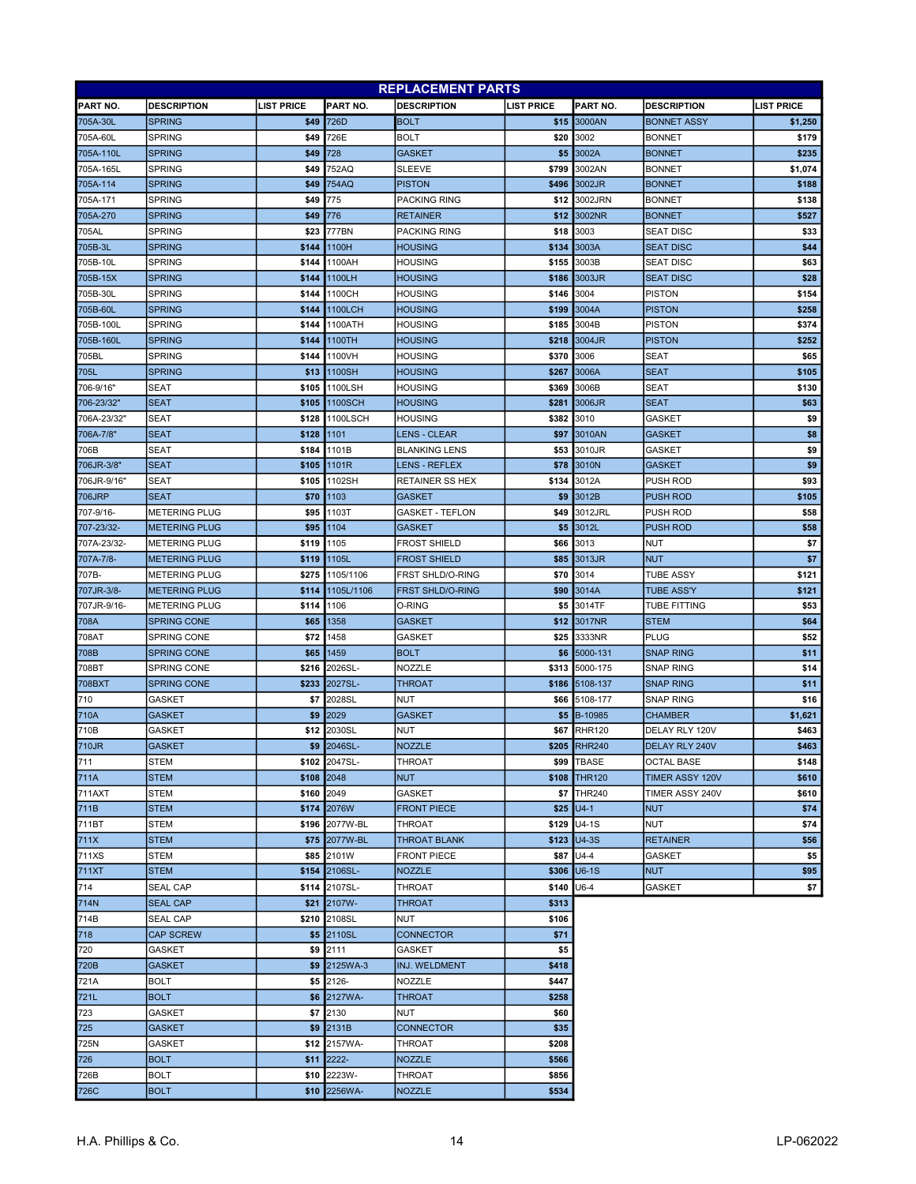|                 | <b>REPLACEMENT PARTS</b> |                   |                     |                         |                   |               |                    |                   |
|-----------------|--------------------------|-------------------|---------------------|-------------------------|-------------------|---------------|--------------------|-------------------|
| <b>PART NO.</b> | <b>DESCRIPTION</b>       | <b>LIST PRICE</b> | PART NO.            | <b>DESCRIPTION</b>      | <b>LIST PRICE</b> | PART NO.      | <b>DESCRIPTION</b> | <b>LIST PRICE</b> |
| 705A-30L        | <b>SPRING</b>            | \$49              | 726D                | <b>BOLT</b>             | \$15              | 3000AN        | <b>BONNET ASSY</b> | \$1,250           |
| 705A-60L        | <b>SPRING</b>            | \$49              | 726E                | <b>BOLT</b>             | \$20              | 3002          | <b>BONNET</b>      | \$179             |
| 705A-110L       | <b>SPRING</b>            | \$49              | 728                 | <b>GASKET</b>           | \$5               | 3002A         | <b>BONNET</b>      | \$235             |
| 705A-165L       | <b>SPRING</b>            | \$49              | 752AQ               | <b>SLEEVE</b>           | \$799             | 3002AN        | <b>BONNET</b>      | \$1,074           |
| 705A-114        | <b>SPRING</b>            | \$49              | 754AQ               | <b>PISTON</b>           | \$496             | 3002JR        | <b>BONNET</b>      | \$188             |
| 705A-171        | <b>SPRING</b>            | \$49              | 775                 | <b>PACKING RING</b>     | \$12              | 3002JRN       | <b>BONNET</b>      | \$138             |
| 705A-270        | <b>SPRING</b>            | \$49              | 776                 | <b>RETAINER</b>         | \$12              | 3002NR        | <b>BONNET</b>      | \$527             |
| 705AL           | <b>SPRING</b>            | \$23              | 777BN               | PACKING RING            | \$18              | 3003          | <b>SEAT DISC</b>   | \$33              |
| 705B-3L         | <b>SPRING</b>            | \$144             | 1100H               | <b>HOUSING</b>          | \$134             | 3003A         | <b>SEAT DISC</b>   | \$44              |
| 705B-10L        | <b>SPRING</b>            | \$144             | 1100AH              | <b>HOUSING</b>          | \$155             | 3003B         | <b>SEAT DISC</b>   | \$63              |
| 705B-15X        | <b>SPRING</b>            | \$144             | 1100LH              | <b>HOUSING</b>          | \$186             | 3003JR        | <b>SEAT DISC</b>   | \$28              |
| 705B-30L        | <b>SPRING</b>            | \$144             | 1100CH              | HOUSING                 | \$146             | 3004          | <b>PISTON</b>      | \$154             |
| 705B-60L        | <b>SPRING</b>            | \$144             | 1100LCH             | <b>HOUSING</b>          | \$199             | 3004A         | <b>PISTON</b>      | \$258             |
| 705B-100L       | <b>SPRING</b>            | \$144             | 1100ATH             | <b>HOUSING</b>          | \$185             | 3004B         | <b>PISTON</b>      | \$374             |
| 705B-160L       | <b>SPRING</b>            | \$144             | 1100TH              | <b>HOUSING</b>          | \$218             | 3004JR        | <b>PISTON</b>      | \$252             |
| 705BL           | <b>SPRING</b>            | \$144             | 1100VH              | <b>HOUSING</b>          | \$370             | 3006          | SEAT               | \$65              |
| 705L            | <b>SPRING</b>            | \$13              | 1100SH              | <b>HOUSING</b>          | \$267             | 3006A         | SEAT               | \$105             |
| 706-9/16"       | <b>SEAT</b>              | \$105             | 1100LSH             | <b>HOUSING</b>          | \$369             | 3006B         | SEAT               | \$130             |
| 706-23/32"      | <b>SEAT</b>              | \$105             | <b>1100SCH</b>      | <b>HOUSING</b>          | \$281             | 3006JR        | <b>SEAT</b>        | \$63              |
| 706A-23/32'     | <b>SEAT</b>              | \$128             | 1100LSCH            | <b>HOUSING</b>          | \$382             | 3010          | GASKET             | \$9               |
| 706A-7/8"       | <b>SEAT</b>              | \$128             | 1101                | <b>LENS - CLEAR</b>     | \$97              | 3010AN        | <b>GASKET</b>      | \$8               |
| 706B            | <b>SEAT</b>              | \$184             | 1101B               | <b>BLANKING LENS</b>    | \$53              | 3010JR        | GASKET             | \$9               |
| 706JR-3/8"      | <b>SEAT</b>              | \$105             | 1101R               | <b>LENS - REFLEX</b>    | \$78              | 3010N         | <b>GASKET</b>      | \$9               |
| 706JR-9/16"     | <b>SEAT</b>              | \$105             | 1102SH              | <b>RETAINER SS HEX</b>  | \$134             | 3012A         | PUSH ROD           | \$93              |
| 706JRP          | <b>SEAT</b>              | \$70              | 1103                | <b>GASKET</b>           | \$9               | 3012B         | PUSH ROD           | \$105             |
| 707-9/16-       | <b>METERING PLUG</b>     | \$95              | 1103T               | <b>GASKET - TEFLON</b>  | \$49              | 3012JRL       | PUSH ROD           | \$58              |
| 707-23/32-      | <b>METERING PLUG</b>     | \$95              | 1104                | <b>GASKET</b>           | \$5               | 3012L         | <b>PUSH ROD</b>    | \$58              |
| 707A-23/32-     | <b>METERING PLUG</b>     | \$119             | 1105                | <b>FROST SHIELD</b>     | \$66              | 3013          | <b>NUT</b>         | \$7               |
| 707A-7/8-       | <b>METERING PLUG</b>     | \$119             | 1105L               | <b>FROST SHIELD</b>     | \$85              | 3013JR        | <b>NUT</b>         | \$7               |
| 707B-           | <b>METERING PLUG</b>     | \$275             | 1105/1106           | <b>FRST SHLD/O-RING</b> | \$70              | 3014          | <b>TUBE ASSY</b>   | \$121             |
| 707JR-3/8-      | <b>METERING PLUG</b>     | \$114             | 1105L/1106          | <b>FRST SHLD/O-RING</b> | \$90              | 3014A         | <b>TUBE ASS'Y</b>  | \$121             |
| 707JR-9/16-     | <b>METERING PLUG</b>     | \$114             | 1106                | O-RING                  | \$5               | 3014TF        | TUBE FITTING       | \$53              |
| 708A            | <b>SPRING CONE</b>       | \$65              | 1358                | <b>GASKET</b>           | \$12              | 3017NR        | <b>STEM</b>        | \$64              |
| 708AT           | SPRING CONE              | \$72              | 1458                | GASKET                  | \$25              | 3333NR        | PLUG               | \$52              |
| 708B            | <b>SPRING CONE</b>       | \$65              | 1459                | <b>BOLT</b>             | \$6               | 5000-131      | SNAP RING          | \$11              |
| 708BT           | SPRING CONE              | \$216             | 2026SL-             | <b>NOZZLE</b>           | \$313             | 5000-175      | SNAP RING          | \$14              |
| 708BXT          | <b>SPRING CONE</b>       | \$233             | 2027SL-             | <b>THROAT</b>           | \$186             | 5108-137      | SNAP RING          | \$11              |
| 710             | <b>GASKET</b>            | \$7               | 2028SL              | <b>NUT</b>              | \$66              | 5108-177      | SNAP RING          | \$16              |
| 710A            | <b>GASKET</b>            | \$9               | 2029                | <b>GASKET</b>           | \$5               | B-10985       | CHAMBER            | \$1,621           |
| 710B            | <b>GASKET</b>            | \$12              | 2030SL              | NUT                     | \$67              | <b>RHR120</b> | DELAY RLY 120V     | \$463             |
| 710JR           | <b>GASKET</b>            | \$9               | 2046SL-             | <b>NOZZLE</b>           |                   | \$205 RHR240  | DELAY RLY 240V     | \$463             |
| 711             | STEM                     |                   | \$102 2047SL-       | <b>THROAT</b>           |                   | \$99 TBASE    | <b>OCTAL BASE</b>  | \$148             |
| 711A            | <b>STEM</b>              | \$108             | 2048                | <b>NUT</b>              |                   | \$108 THR120  | TIMER ASSY 120V    | \$610             |
| <b>711AXT</b>   | STEM                     | \$160 2049        |                     | <b>GASKET</b>           | \$7               | <b>THR240</b> | TIMER ASSY 240V    | \$610             |
| 711B            | <b>STEM</b>              |                   | \$174 2076W         | <b>FRONT PIECE</b>      |                   | $$25$ U4-1    | <b>NUT</b>         | \$74              |
| 711BT           | STEM                     |                   | \$196 2077W-BL      | THROAT                  | \$129             | $U4-1S$       | <b>NUT</b>         | \$74              |
| 711X            | <b>STEM</b>              |                   | \$75 2077W-BL       | <b>THROAT BLANK</b>     | \$123             | $U4-3S$       | <b>RETAINER</b>    | \$56              |
| 711XS           | STEM                     |                   | \$85 2101W          | <b>FRONT PIECE</b>      | \$87              | U4-4          | <b>GASKET</b>      | \$5               |
| 711XT           | <b>STEM</b>              |                   | \$154 2106SL-       | <b>NOZZLE</b>           | \$306             | <b>U6-1S</b>  | <b>NUT</b>         | \$95              |
| 714             | <b>SEAL CAP</b>          |                   | \$114 2107SL-       | <b>THROAT</b>           | \$140             | U6-4          | GASKET             | \$7               |
| 714N            | <b>SEAL CAP</b>          |                   | \$21 2107W-         | <b>THROAT</b>           | \$313             |               |                    |                   |
| 714B            | <b>SEAL CAP</b>          |                   | \$210 2108SL        | NUT                     | \$106             |               |                    |                   |
| 718             | <b>CAP SCREW</b>         |                   | \$5 2110SL          | <b>CONNECTOR</b>        | \$71              |               |                    |                   |
| 720             | GASKET                   |                   | \$9 2111            | GASKET                  | \$5               |               |                    |                   |
| 720B            | <b>GASKET</b>            |                   | <b>\$9 2125WA-3</b> | INJ. WELDMENT           | \$418             |               |                    |                   |
| 721A            | <b>BOLT</b>              |                   | \$5 2126-           | NOZZLE                  | \$447             |               |                    |                   |
| 721L            | <b>BOLT</b>              |                   | \$6 2127WA-         | THROAT                  | \$258             |               |                    |                   |
| 723             | GASKET                   |                   | \$7 2130            | NUT                     | \$60              |               |                    |                   |
| 725             | <b>GASKET</b>            |                   | \$9 2131B           | <b>CONNECTOR</b>        | \$35              |               |                    |                   |
| 725N            | GASKET                   | \$12              | 2157WA-             | THROAT                  | \$208             |               |                    |                   |
| 726             | <b>BOLT</b>              |                   | $$11$ 2222-         | <b>NOZZLE</b>           | \$566             |               |                    |                   |
| 726B            | <b>BOLT</b>              | \$10              | 2223W-              | THROAT                  | \$856             |               |                    |                   |
| 726C            | <b>BOLT</b>              |                   | \$10 2256WA-        | <b>NOZZLE</b>           | \$534             |               |                    |                   |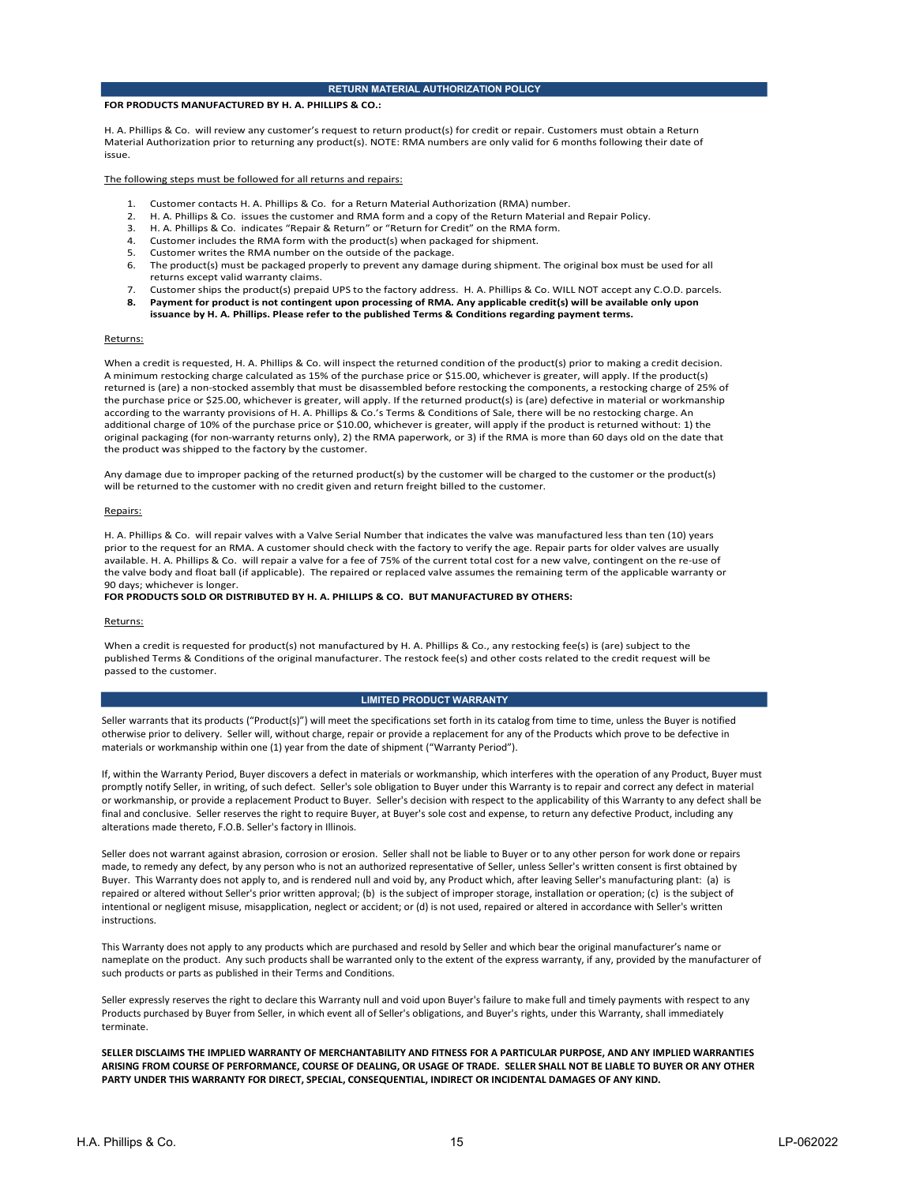#### RETURN MATERIAL AUTHORIZATION POLICY

#### FOR PRODUCTS MANUFACTURED BY H. A. PHILLIPS & CO.:

H. A. Phillips & Co. will review any customer's request to return product(s) for credit or repair. Customers must obtain a Return<br>Material Authorization prior to returning any product(s). NOTE: RMA numbers are only valid f Material Authorization prior to returning any product(s). NOTE: RMA numbers are only valid for 6 months following their date of<br>
issue.<br>
The following steps must be followed for all returns and repairs:<br>
1. Customer contac

- 
- 
- 
- 
- 
- 6. The product(s) must be packaged properly to prevent any damage during shipment. The original box must be used for all<br>returns except valid warranty claims.<br>7. Customer ships the product(s) prepaid UPS to the factory add
- 8. Payment for product is not contingent upon processing of RMA. Any applicable credit(s) will be available only upon
- issuance by H. A. Phillips. Please refer to the published Terms & Conditions regarding payment terms.

When a credit is requested, H. A. Phillips & Co. will inspect the returned condition of the products) prior to making a credit decision.<br>A minimum estokehold charge ideological particular particular prior extends ("Produc Returns:<br>When a credit is requested, H. A. Phillips & Co. will inspect the returned condition of the product(s) prior to making a credit decision. A minimum restocking charge calculated as 15% of the purchase price or \$15.00, whichever is greater, will apply. If the product(s) returned is (are) a non-stocked assembly that must be disassembled before restocking the components, a restocking charge of 25% of the purchase price or \$25.00, whichever is greater, will apply. If the returned product(s) is (are) defective in material or workmanship according to the warranty provisions of H. A. Phillips & Co.'s Terms & Conditions of Sale, there will be no restocking charge. An additional charge of 10% of the purchase price or \$10.00, whichever is greater, will apply if the product is returned without: 1) the original packaging (for non-warranty returns only), 2) the RMA paperwork, or 3) if the RMA is more than 60 days old on the date that the product was shipped to the factory by the customer.

Any damage due to improper packing of the returned product(s) by the customer will be charged to the customer or the product(s) will be returned to the customer with no credit given and return freight billed to the customer.

#### Repairs:

H. A. Phillips & Co. will repair valves with a Valve Serial Number that indicates the valve was manufactured less than ten (10) years prior to the request for an RMA. A customer should check with the factory to verify the age. Repair parts for older valves are usually available. H. A. Phillips & Co. will repair a valve for a fee of 75% of the current total cost for a new valve, contingent on the re-use of the valve body and float ball (if applicable). The repaired or replaced valve assumes the remaining term of the applicable warranty or 90 days; whichever is longer.

#### FOR PRODUCTS SOLD OR DISTRIBUTED BY H. A. PHILLIPS & CO. BUT MANUFACTURED BY OTHERS:

Returns:<br>When a credit is requested for product(s) not manufactured by H. A. Phillips & Co., any restocking fee(s) is (are) subject to the published Terms & Conditions of the original manufacturer. The restock fee(s) and other costs related to the credit request will be passed to the customer.

#### LIMITED PRODUCT WARRANTY

otherwise prior to delivery. Seller will, without charge, repair or provide a replacement for any of the Products which prove to be defective in materials or workmanship within one (1) year from the date of shipment ("Warranty Period").

If the precise price or 52.520, whicheve is prestrained in the reduction of the first decision in material or workmanship<br>stars a decision of the Material Control of the Material Control of the SM particles with the operat promptly notify Seller, in writing, of such defect. Seller's sole obligation to Buyer under this Warranty is to repair and correct any defect in material additional change of UNK of the purellase pieces of this orbit will be provide the product is the product of the applicability of the product is the product of the applicability of the applicability of the application will final and conclusive. Seller reserves the right to require Buyer, at Buyer's sole cost and expense, to return any defective Product, including any alterations made thereto, F.O.B. Seller's factory in Illinois.

Seller does not warrant against abrasion, corrosion or erosion. Seller shall not be liable to Buyer or to any other person for work done or repairs made, to remedy any defect, by any person who is not an authorized representative of Seller, unless Seller's written consent is first obtained by Buyer. This Warranty does not apply to, and is rendered null and void by, any Product which, after leaving Seller's manufacturing plant: (a) is rie. A. Phillips & Co. will repair valves with a valve Serial Number that indicates the valve was meanfectured less than ten 100 years<br>of the valve in value in the subject of the subject of interval in the subject of inter in A. B. Phillips & Co. wall repair values with statistical or network that indicates the color was manifestuation to the November or network or accident mission in the spin for accordance the spin for alternation in the s instructions. The value hoot and had hall (If a split and hall into the pulse of replaced and seasones the remaining term of the applicable warranty or<br>The value of the split and the purchased by reductions of the Are purchased and the Exploration control for production for a manufactured by H.A. Phillips & Co., any reduction general to the credit respect will be positived Torms & Constituted Torms & Constituted Torms & Constituted Torms and a positived When a condit is requested by products purchased by the A Products purchased by the angle of the purchased by the state of the conditions of the original manufactures. The resiste ched in check created to the create reques

nameplate on the product. Any such products shall be warranted only to the extent of the express warranty, if any, provided by the manufacturer of such products or parts as published in their Terms and Conditions.

terminate.

SELLER DISCLAIMS THE IMPLIED WARRANTY OF MERCHANTABILITY AND FITNESS FOR A PARTICULAR PURPOSE, AND ANY IMPLIED WARRANTIES ARISING FROM COURSE OF PERFORMANCE, COURSE OF DEALING, OR USAGE OF TRADE. SELLER SHALL NOT BE LIABLE TO BUYER OR ANY OTHER PARTY UNDER THIS WARRANTY FOR DIRECT, SPECIAL, CONSEQUENTIAL, INDIRECT OR INCIDENTAL DAMAGES OF ANY KIND.